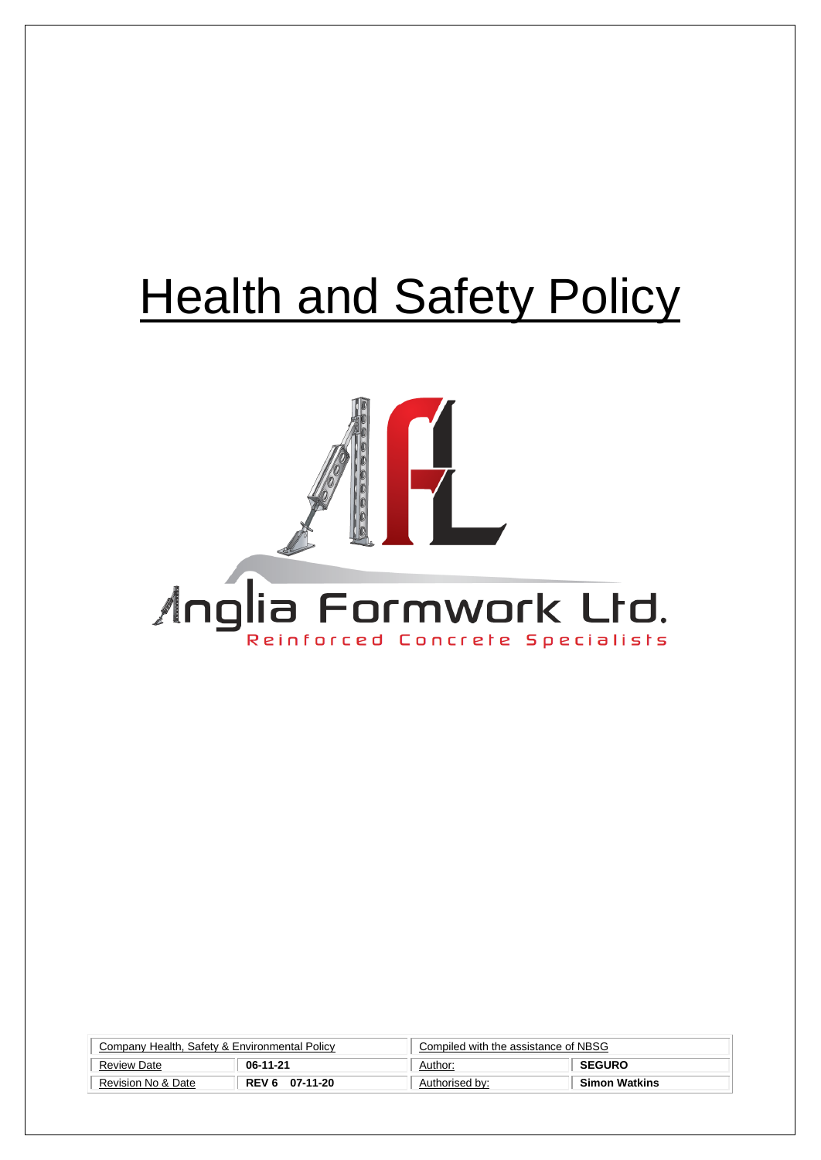# **Health and Safety Policy**



| Company Health, Safety & Environmental Policy |                | Compiled with the assistance of NBSG |                      |
|-----------------------------------------------|----------------|--------------------------------------|----------------------|
| <b>Review Date</b>                            | 06-11-21       | Author:                              | <b>SEGURO</b>        |
| Revision No & Date                            | REV 6 07-11-20 | Authorised by:                       | <b>Simon Watkins</b> |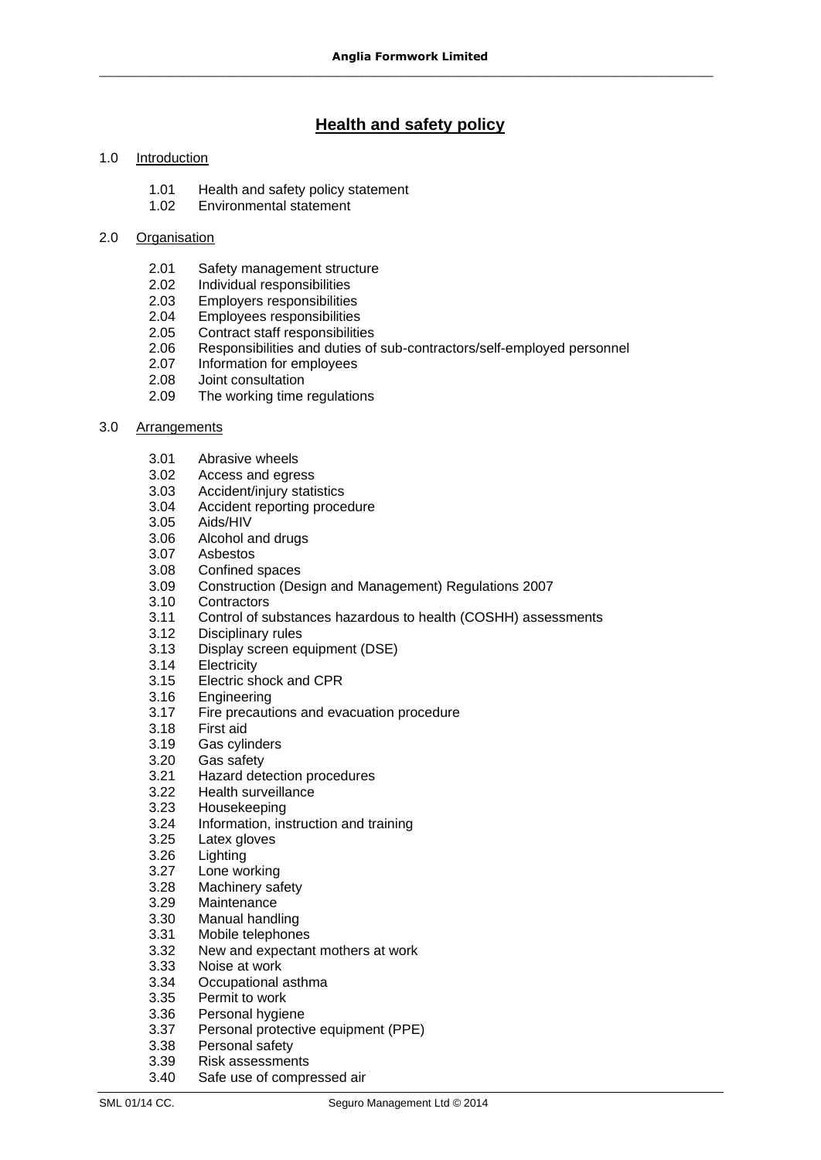# **Health and safety policy**

### 1.0 Introduction

- 1.01 Health and safety policy statement
- 1.02 Environmental statement

### 2.0 Organisation

- 2.01 Safety management structure
- 2.02 Individual responsibilities
- 2.03 Employers responsibilities
- 2.04 Employees responsibilities
- 2.05 Contract staff responsibilities
- 2.06 Responsibilities and duties of sub-contractors/self-employed personnel
- 2.07 Information for employees
- 2.08 Joint consultation
- 2.09 The working time regulations

### 3.0 Arrangements

- 3.01 Abrasive wheels
- 3.02 Access and egress
- 3.03 Accident/injury statistics
- 3.04 Accident reporting procedure<br>3.05 Aids/HIV
- Aids/HIV
- 3.06 Alcohol and drugs
- 3.07 Asbestos
- 3.08 Confined spaces
- 3.09 Construction (Design and Management) Regulations 2007
- 3.10 Contractors
- 3.11 Control of substances hazardous to health (COSHH) assessments
- 3.12 Disciplinary rules
- 3.13 Display screen equipment (DSE)
- 3.14 Electricity
- 3.15 Electric shock and CPR
- 3.16 Engineering<br>3.17 Fire precaut
- Fire precautions and evacuation procedure
- 3.18 First aid
- 3.19 Gas cylinders
- 3.20 Gas safety
- 3.21 Hazard detection procedures
- 3.22 Health surveillance
- 3.23 Housekeeping
- 3.24 Information, instruction and training
- 3.25 Latex gloves
- 3.26 Lighting
- 3.27 Lone working
- 3.28 Machinery safety<br>3.29 Maintenance
- **Maintenance**
- 3.30 Manual handling
- 3.31 Mobile telephones
- 3.32 New and expectant mothers at work
- 3.33 Noise at work
- 3.34 Occupational asthma
- 3.35 Permit to work
- 3.36 Personal hygiene
- 3.37 Personal protective equipment (PPE)
- 3.38 Personal safety
- 3.39 Risk assessments
- 3.40 Safe use of compressed air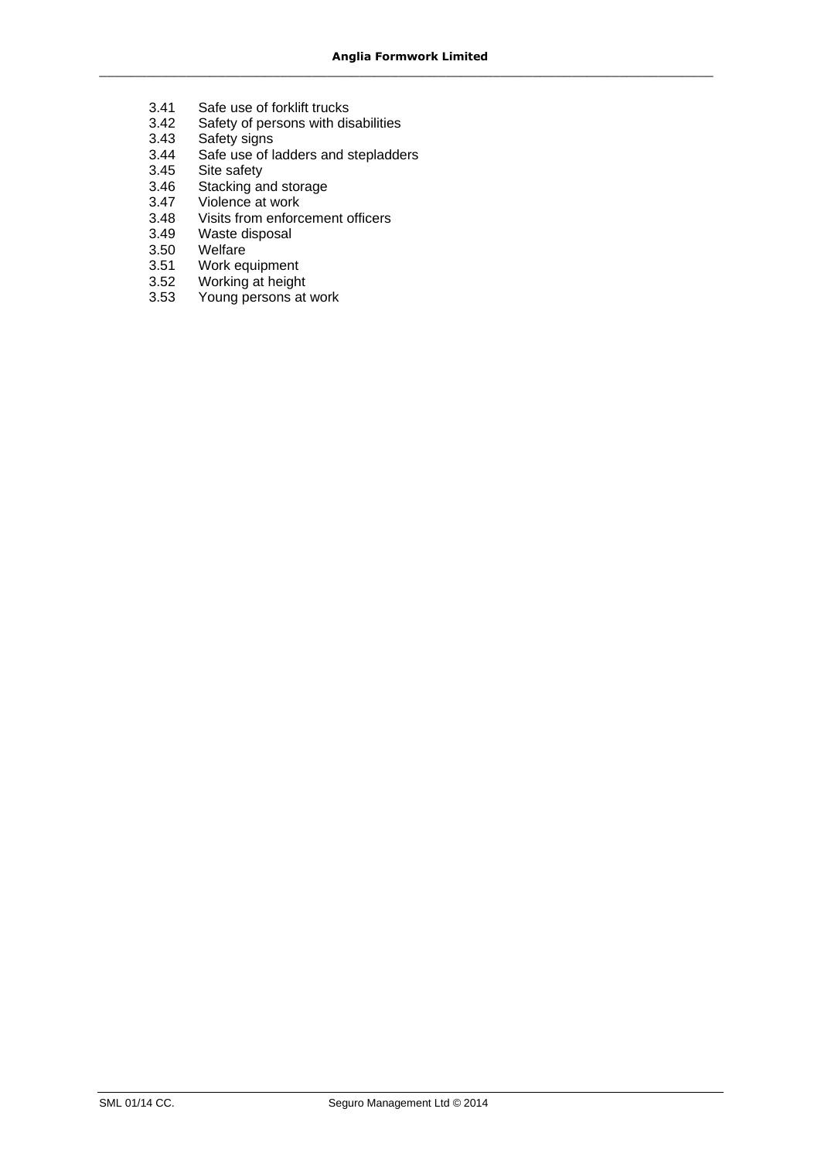- 3.41 Safe use of forklift trucks<br>3.42 Safety of persons with dis
- 3.42 Safety of persons with disabilities<br>3.43 Safety signs
- Safety signs
- 3.44 Safe use of ladders and stepladders
- 3.45 Site safety
- 3.46 Stacking and storage<br>3.47 Violence at work
- 3.47 Violence at work<br>3.48 Visits from enforc
- 3.48 Visits from enforcement officers<br>3.49 Waste disposal
- 3.49 Waste disposal
- 3.50 Welfare<br>3.51 Work eq
- 3.51 Work equipment<br>3.52 Working at height
- 3.52 Working at height<br>3.53 Young persons at
- Young persons at work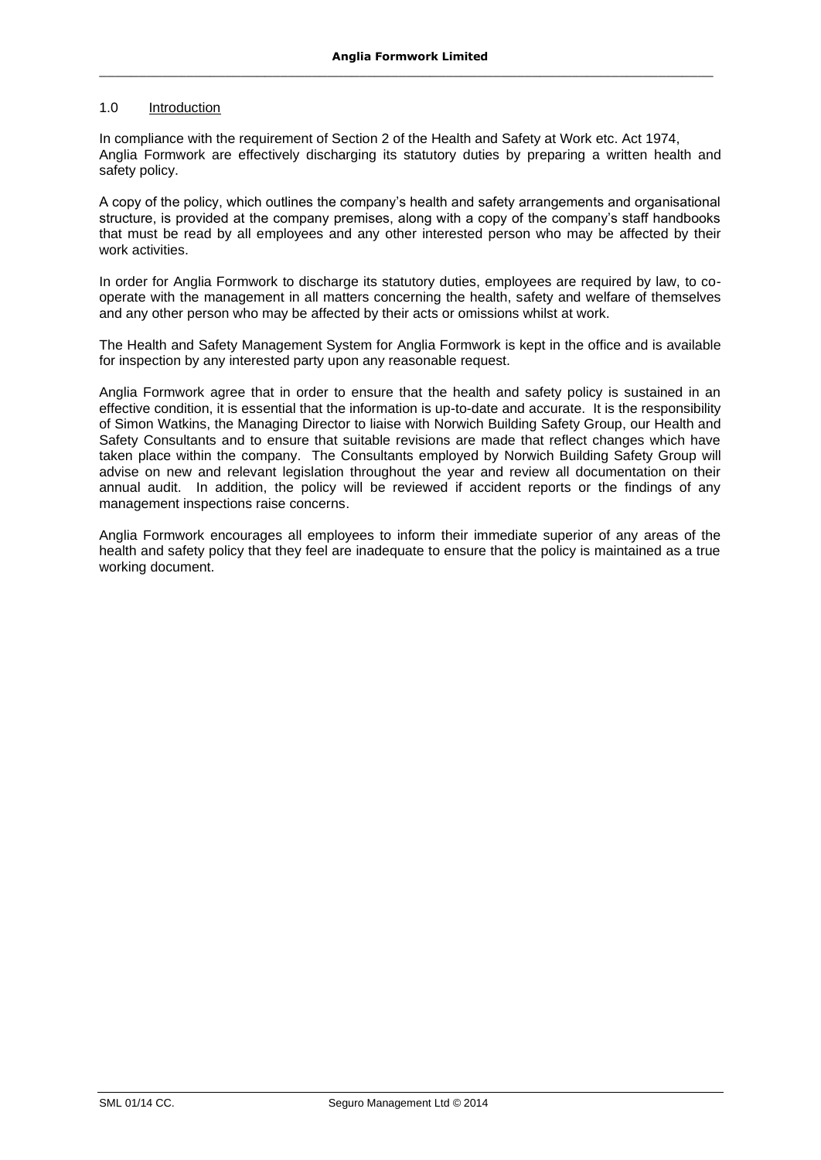#### 1.0 Introduction

In compliance with the requirement of Section 2 of the Health and Safety at Work etc. Act 1974, Anglia Formwork are effectively discharging its statutory duties by preparing a written health and safety policy.

A copy of the policy, which outlines the company's health and safety arrangements and organisational structure, is provided at the company premises, along with a copy of the company's staff handbooks that must be read by all employees and any other interested person who may be affected by their work activities.

In order for Anglia Formwork to discharge its statutory duties, employees are required by law, to cooperate with the management in all matters concerning the health, safety and welfare of themselves and any other person who may be affected by their acts or omissions whilst at work.

The Health and Safety Management System for Anglia Formwork is kept in the office and is available for inspection by any interested party upon any reasonable request.

Anglia Formwork agree that in order to ensure that the health and safety policy is sustained in an effective condition, it is essential that the information is up-to-date and accurate. It is the responsibility of Simon Watkins, the Managing Director to liaise with Norwich Building Safety Group, our Health and Safety Consultants and to ensure that suitable revisions are made that reflect changes which have taken place within the company. The Consultants employed by Norwich Building Safety Group will advise on new and relevant legislation throughout the year and review all documentation on their annual audit. In addition, the policy will be reviewed if accident reports or the findings of any management inspections raise concerns.

Anglia Formwork encourages all employees to inform their immediate superior of any areas of the health and safety policy that they feel are inadequate to ensure that the policy is maintained as a true working document.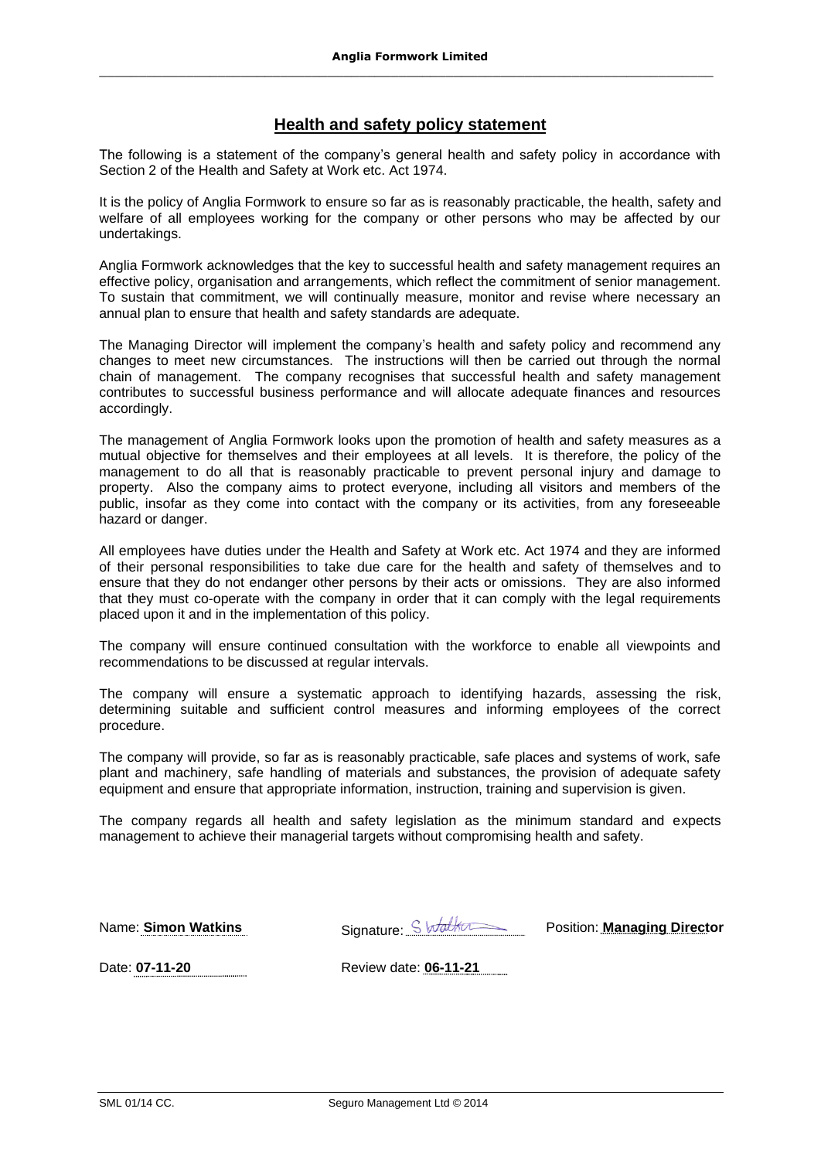# **Health and safety policy statement**

The following is a statement of the company's general health and safety policy in accordance with Section 2 of the Health and Safety at Work etc. Act 1974.

It is the policy of Anglia Formwork to ensure so far as is reasonably practicable, the health, safety and welfare of all employees working for the company or other persons who may be affected by our undertakings.

Anglia Formwork acknowledges that the key to successful health and safety management requires an effective policy, organisation and arrangements, which reflect the commitment of senior management. To sustain that commitment, we will continually measure, monitor and revise where necessary an annual plan to ensure that health and safety standards are adequate.

The Managing Director will implement the company's health and safety policy and recommend any changes to meet new circumstances. The instructions will then be carried out through the normal chain of management. The company recognises that successful health and safety management contributes to successful business performance and will allocate adequate finances and resources accordingly.

The management of Anglia Formwork looks upon the promotion of health and safety measures as a mutual objective for themselves and their employees at all levels. It is therefore, the policy of the management to do all that is reasonably practicable to prevent personal injury and damage to property. Also the company aims to protect everyone, including all visitors and members of the public, insofar as they come into contact with the company or its activities, from any foreseeable hazard or danger.

All employees have duties under the Health and Safety at Work etc. Act 1974 and they are informed of their personal responsibilities to take due care for the health and safety of themselves and to ensure that they do not endanger other persons by their acts or omissions. They are also informed that they must co-operate with the company in order that it can comply with the legal requirements placed upon it and in the implementation of this policy.

The company will ensure continued consultation with the workforce to enable all viewpoints and recommendations to be discussed at regular intervals.

The company will ensure a systematic approach to identifying hazards, assessing the risk, determining suitable and sufficient control measures and informing employees of the correct procedure.

The company will provide, so far as is reasonably practicable, safe places and systems of work, safe plant and machinery, safe handling of materials and substances, the provision of adequate safety equipment and ensure that appropriate information, instruction, training and supervision is given.

The company regards all health and safety legislation as the minimum standard and expects management to achieve their managerial targets without compromising health and safety.

Name: **Simon Watkins** Signature: Standbottle Position: **Managing Director** 

Date: **07-11-20** Review date: **06-11-21**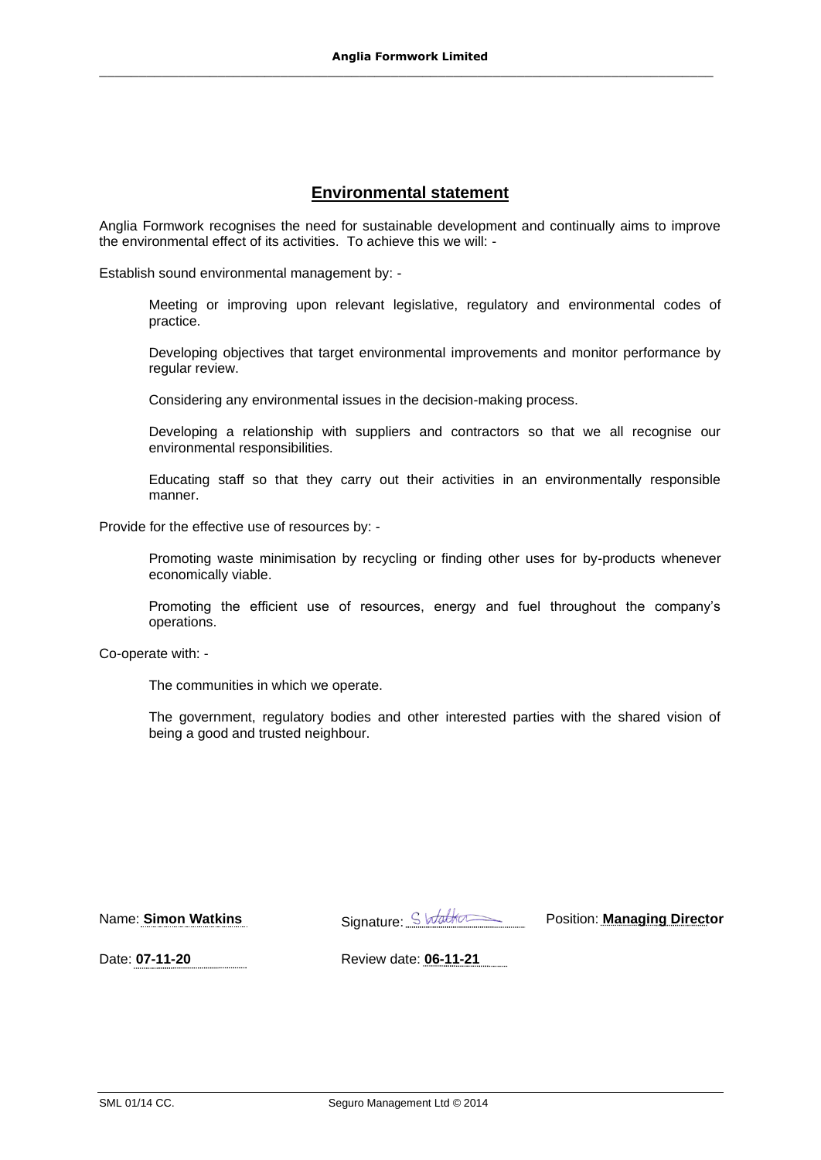# **Environmental statement**

Anglia Formwork recognises the need for sustainable development and continually aims to improve the environmental effect of its activities. To achieve this we will: -

Establish sound environmental management by: -

Meeting or improving upon relevant legislative, regulatory and environmental codes of practice.

Developing objectives that target environmental improvements and monitor performance by regular review.

Considering any environmental issues in the decision-making process.

Developing a relationship with suppliers and contractors so that we all recognise our environmental responsibilities.

Educating staff so that they carry out their activities in an environmentally responsible manner.

Provide for the effective use of resources by: -

Promoting waste minimisation by recycling or finding other uses for by-products whenever economically viable.

Promoting the efficient use of resources, energy and fuel throughout the company's operations.

Co-operate with: -

The communities in which we operate.

The government, regulatory bodies and other interested parties with the shared vision of being a good and trusted neighbour.

Name: **Simon Watkins** Signature: Subditional Position: **Managing Director** 

Date: **07-11-20** Review date: **06-11-21**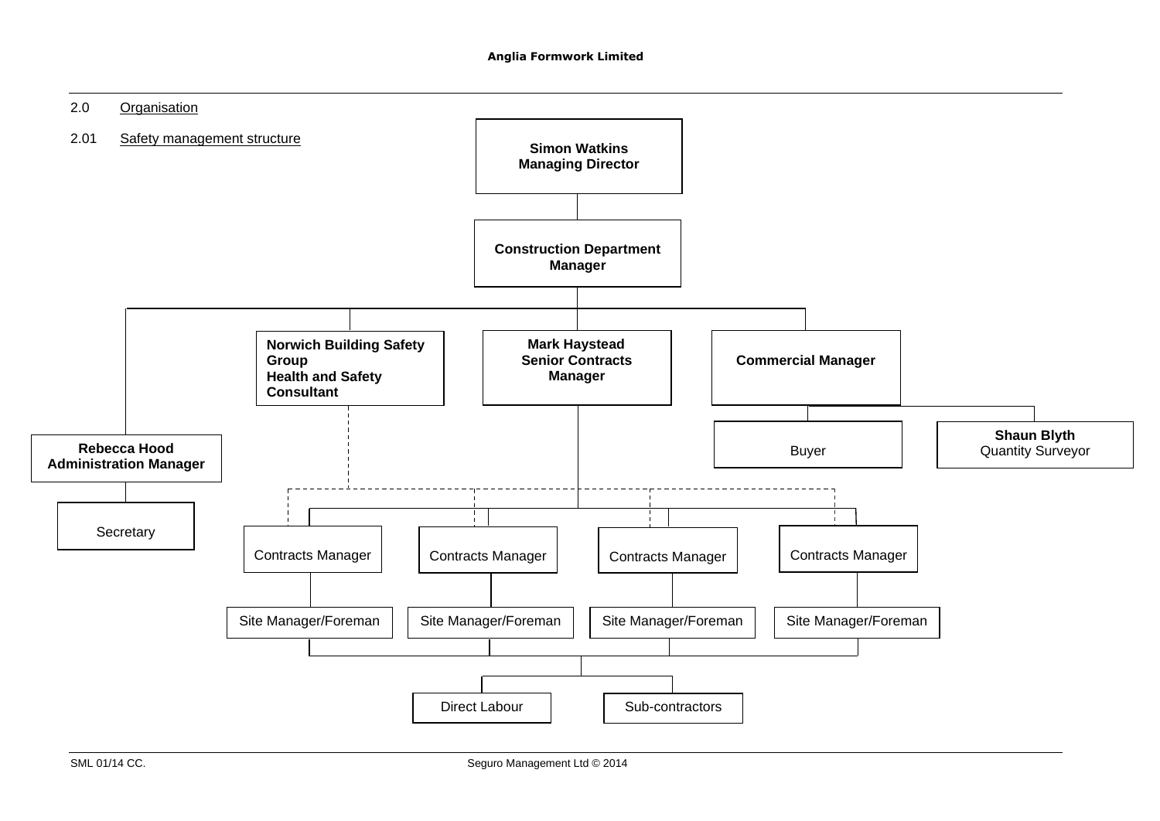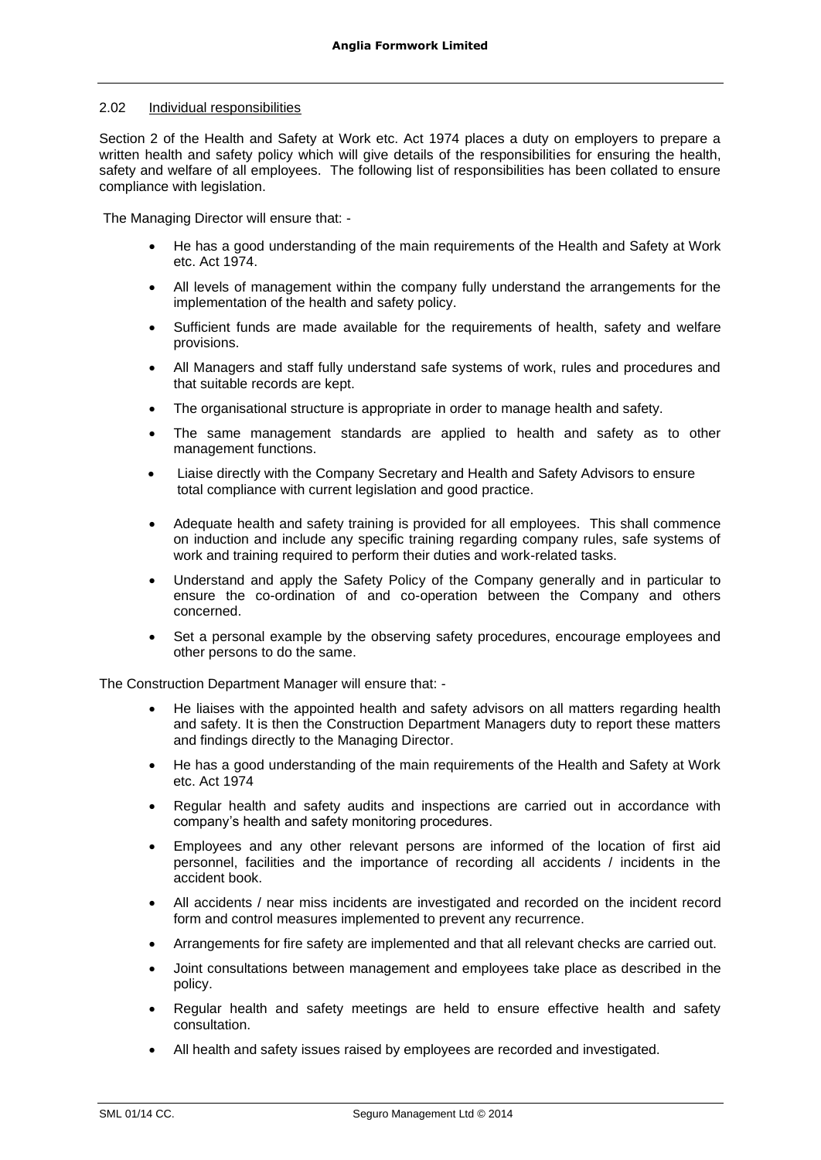### 2.02 Individual responsibilities

Section 2 of the Health and Safety at Work etc. Act 1974 places a duty on employers to prepare a written health and safety policy which will give details of the responsibilities for ensuring the health, safety and welfare of all employees. The following list of responsibilities has been collated to ensure compliance with legislation.

The Managing Director will ensure that: -

- He has a good understanding of the main requirements of the Health and Safety at Work etc. Act 1974.
- All levels of management within the company fully understand the arrangements for the implementation of the health and safety policy.
- Sufficient funds are made available for the requirements of health, safety and welfare provisions.
- All Managers and staff fully understand safe systems of work, rules and procedures and that suitable records are kept.
- The organisational structure is appropriate in order to manage health and safety.
- The same management standards are applied to health and safety as to other management functions.
- Liaise directly with the Company Secretary and Health and Safety Advisors to ensure total compliance with current legislation and good practice.
- Adequate health and safety training is provided for all employees. This shall commence on induction and include any specific training regarding company rules, safe systems of work and training required to perform their duties and work-related tasks.
- Understand and apply the Safety Policy of the Company generally and in particular to ensure the co-ordination of and co-operation between the Company and others concerned.
- Set a personal example by the observing safety procedures, encourage employees and other persons to do the same.

The Construction Department Manager will ensure that: -

- He liaises with the appointed health and safety advisors on all matters regarding health and safety. It is then the Construction Department Managers duty to report these matters and findings directly to the Managing Director.
- He has a good understanding of the main requirements of the Health and Safety at Work etc. Act 1974
- Regular health and safety audits and inspections are carried out in accordance with company's health and safety monitoring procedures.
- Employees and any other relevant persons are informed of the location of first aid personnel, facilities and the importance of recording all accidents / incidents in the accident book.
- All accidents / near miss incidents are investigated and recorded on the incident record form and control measures implemented to prevent any recurrence.
- Arrangements for fire safety are implemented and that all relevant checks are carried out.
- Joint consultations between management and employees take place as described in the policy.
- Regular health and safety meetings are held to ensure effective health and safety consultation.
- All health and safety issues raised by employees are recorded and investigated.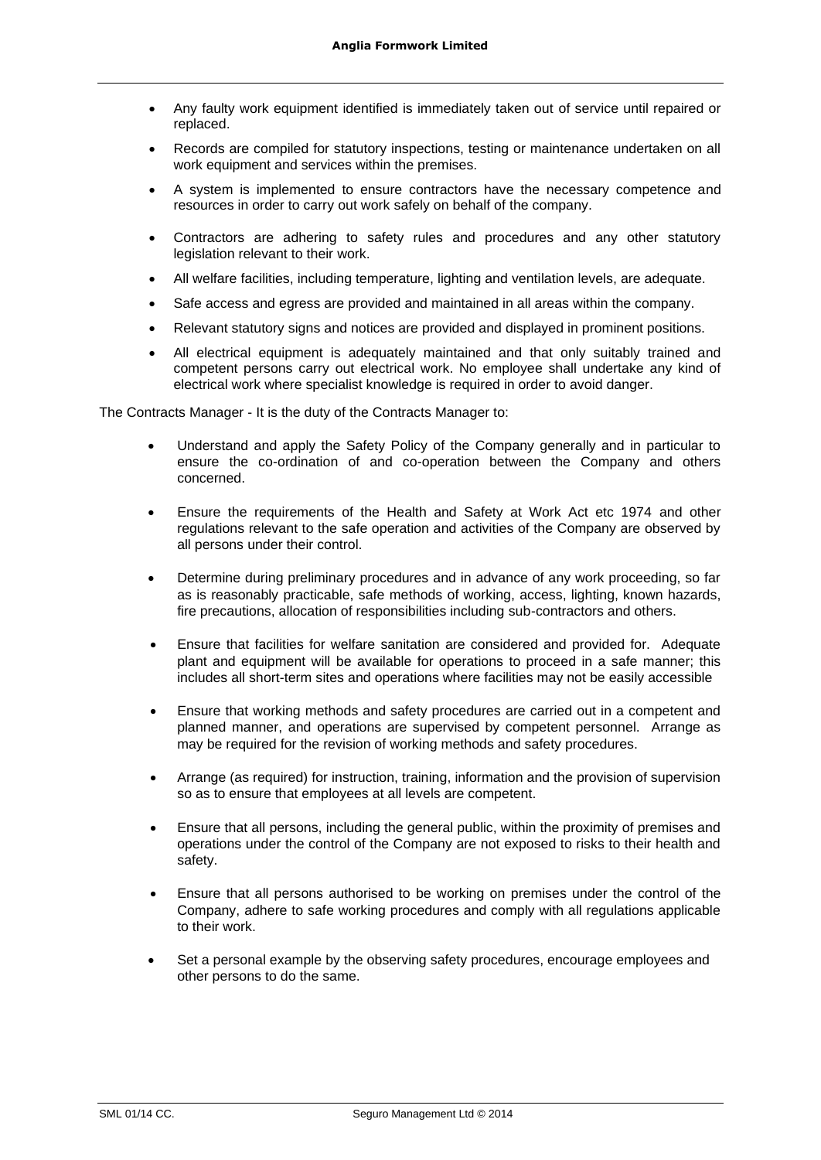- Any faulty work equipment identified is immediately taken out of service until repaired or replaced.
- Records are compiled for statutory inspections, testing or maintenance undertaken on all work equipment and services within the premises.
- A system is implemented to ensure contractors have the necessary competence and resources in order to carry out work safely on behalf of the company.
- Contractors are adhering to safety rules and procedures and any other statutory legislation relevant to their work.
- All welfare facilities, including temperature, lighting and ventilation levels, are adequate.
- Safe access and egress are provided and maintained in all areas within the company.
- Relevant statutory signs and notices are provided and displayed in prominent positions.
- All electrical equipment is adequately maintained and that only suitably trained and competent persons carry out electrical work. No employee shall undertake any kind of electrical work where specialist knowledge is required in order to avoid danger.

The Contracts Manager - It is the duty of the Contracts Manager to:

- Understand and apply the Safety Policy of the Company generally and in particular to ensure the co-ordination of and co-operation between the Company and others concerned.
- Ensure the requirements of the Health and Safety at Work Act etc 1974 and other regulations relevant to the safe operation and activities of the Company are observed by all persons under their control.
- Determine during preliminary procedures and in advance of any work proceeding, so far as is reasonably practicable, safe methods of working, access, lighting, known hazards, fire precautions, allocation of responsibilities including sub-contractors and others.
- Ensure that facilities for welfare sanitation are considered and provided for. Adequate plant and equipment will be available for operations to proceed in a safe manner; this includes all short-term sites and operations where facilities may not be easily accessible
- Ensure that working methods and safety procedures are carried out in a competent and planned manner, and operations are supervised by competent personnel. Arrange as may be required for the revision of working methods and safety procedures.
- Arrange (as required) for instruction, training, information and the provision of supervision so as to ensure that employees at all levels are competent.
- Ensure that all persons, including the general public, within the proximity of premises and operations under the control of the Company are not exposed to risks to their health and safety.
- Ensure that all persons authorised to be working on premises under the control of the Company, adhere to safe working procedures and comply with all regulations applicable to their work.
- Set a personal example by the observing safety procedures, encourage employees and other persons to do the same.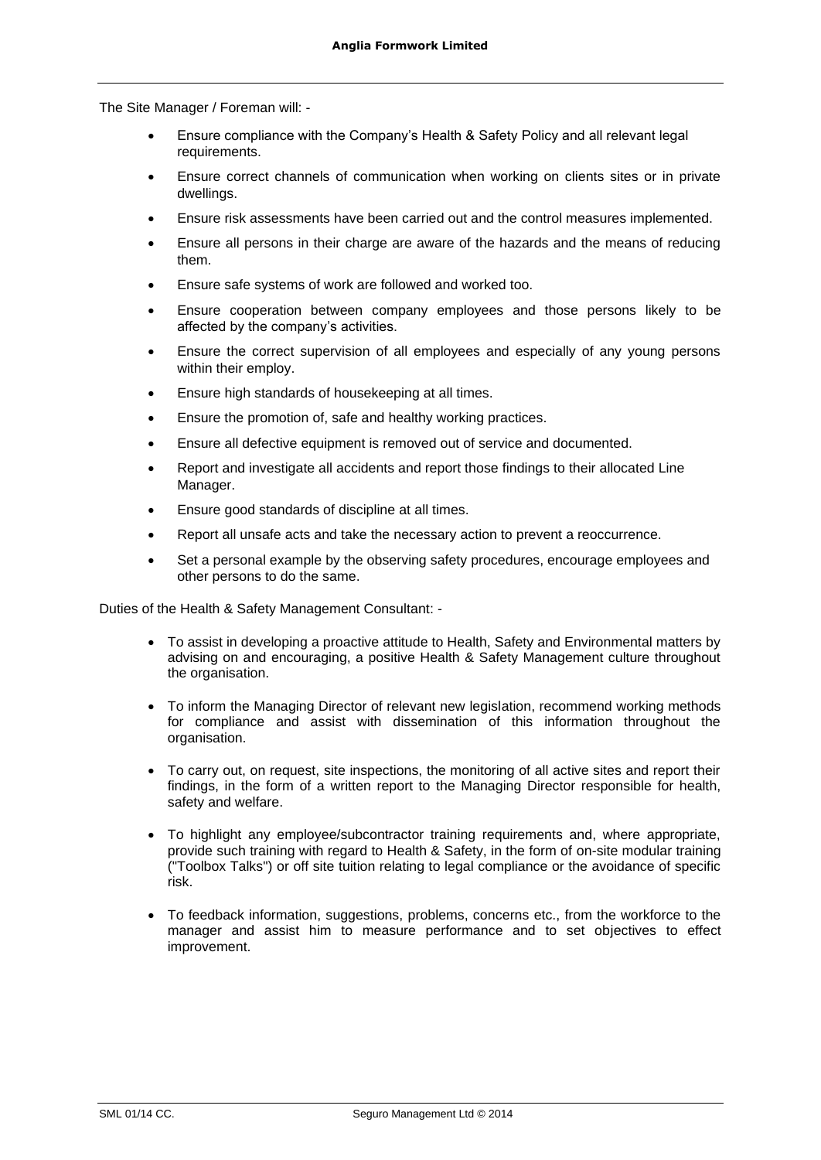The Site Manager / Foreman will: -

- Ensure compliance with the Company's Health & Safety Policy and all relevant legal requirements.
- Ensure correct channels of communication when working on clients sites or in private dwellings.
- Ensure risk assessments have been carried out and the control measures implemented.
- Ensure all persons in their charge are aware of the hazards and the means of reducing them.
- Ensure safe systems of work are followed and worked too.
- Ensure cooperation between company employees and those persons likely to be affected by the company's activities.
- Ensure the correct supervision of all employees and especially of any young persons within their employ.
- Ensure high standards of housekeeping at all times.
- Ensure the promotion of, safe and healthy working practices.
- Ensure all defective equipment is removed out of service and documented.
- Report and investigate all accidents and report those findings to their allocated Line Manager.
- Ensure good standards of discipline at all times.
- Report all unsafe acts and take the necessary action to prevent a reoccurrence.
- Set a personal example by the observing safety procedures, encourage employees and other persons to do the same.

Duties of the Health & Safety Management Consultant: -

- To assist in developing a proactive attitude to Health, Safety and Environmental matters by advising on and encouraging, a positive Health & Safety Management culture throughout the organisation.
- To inform the Managing Director of relevant new legislation, recommend working methods for compliance and assist with dissemination of this information throughout the organisation.
- To carry out, on request, site inspections, the monitoring of all active sites and report their findings, in the form of a written report to the Managing Director responsible for health, safety and welfare.
- To highlight any employee/subcontractor training requirements and, where appropriate, provide such training with regard to Health & Safety, in the form of on-site modular training ("Toolbox Talks") or off site tuition relating to legal compliance or the avoidance of specific risk.
- To feedback information, suggestions, problems, concerns etc., from the workforce to the manager and assist him to measure performance and to set objectives to effect improvement.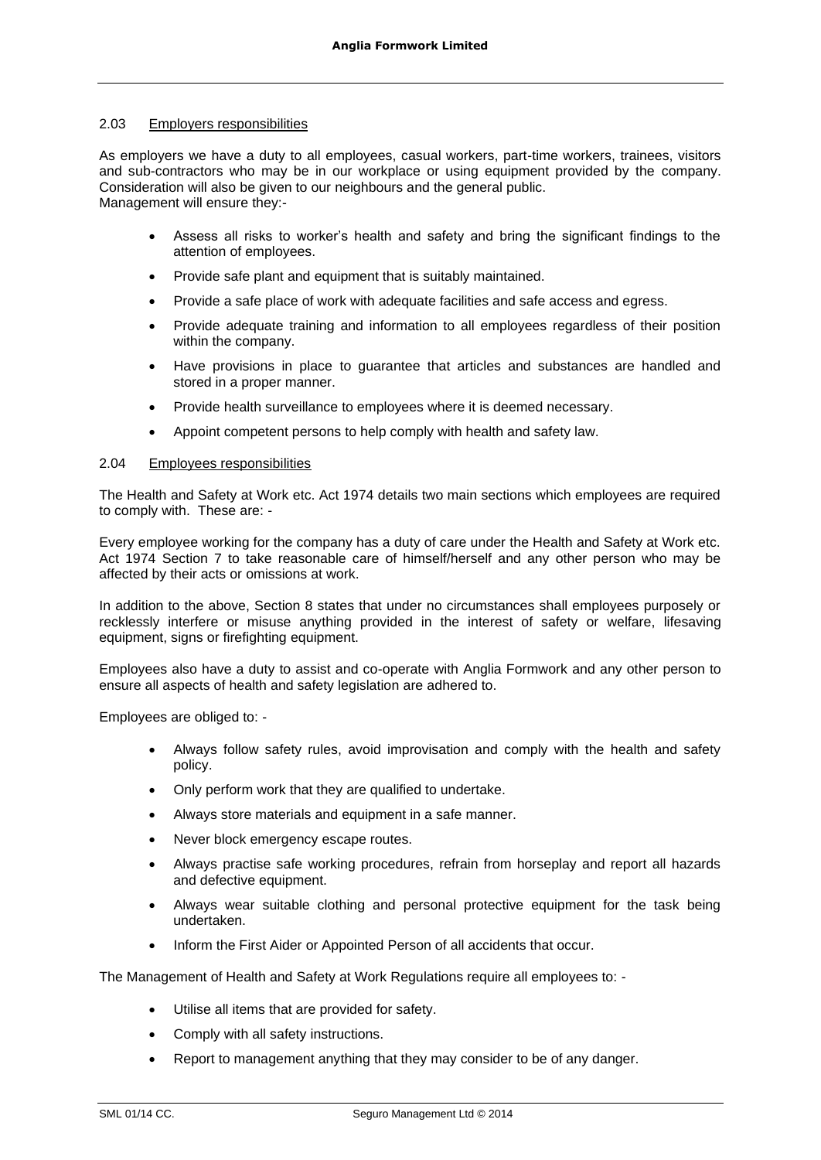### 2.03 Employers responsibilities

As employers we have a duty to all employees, casual workers, part-time workers, trainees, visitors and sub-contractors who may be in our workplace or using equipment provided by the company. Consideration will also be given to our neighbours and the general public. Management will ensure they:-

- Assess all risks to worker's health and safety and bring the significant findings to the attention of employees.
- Provide safe plant and equipment that is suitably maintained.
- Provide a safe place of work with adequate facilities and safe access and egress.
- Provide adequate training and information to all employees regardless of their position within the company.
- Have provisions in place to guarantee that articles and substances are handled and stored in a proper manner.
- Provide health surveillance to employees where it is deemed necessary.
- Appoint competent persons to help comply with health and safety law.

# 2.04 Employees responsibilities

The Health and Safety at Work etc. Act 1974 details two main sections which employees are required to comply with. These are: -

Every employee working for the company has a duty of care under the Health and Safety at Work etc. Act 1974 Section 7 to take reasonable care of himself/herself and any other person who may be affected by their acts or omissions at work.

In addition to the above, Section 8 states that under no circumstances shall employees purposely or recklessly interfere or misuse anything provided in the interest of safety or welfare, lifesaving equipment, signs or firefighting equipment.

Employees also have a duty to assist and co-operate with Anglia Formwork and any other person to ensure all aspects of health and safety legislation are adhered to.

Employees are obliged to: -

- Always follow safety rules, avoid improvisation and comply with the health and safety policy.
- Only perform work that they are qualified to undertake.
- Always store materials and equipment in a safe manner.
- Never block emergency escape routes.
- Always practise safe working procedures, refrain from horseplay and report all hazards and defective equipment.
- Always wear suitable clothing and personal protective equipment for the task being undertaken.
- Inform the First Aider or Appointed Person of all accidents that occur.

The Management of Health and Safety at Work Regulations require all employees to: -

- Utilise all items that are provided for safety.
- Comply with all safety instructions.
- Report to management anything that they may consider to be of any danger.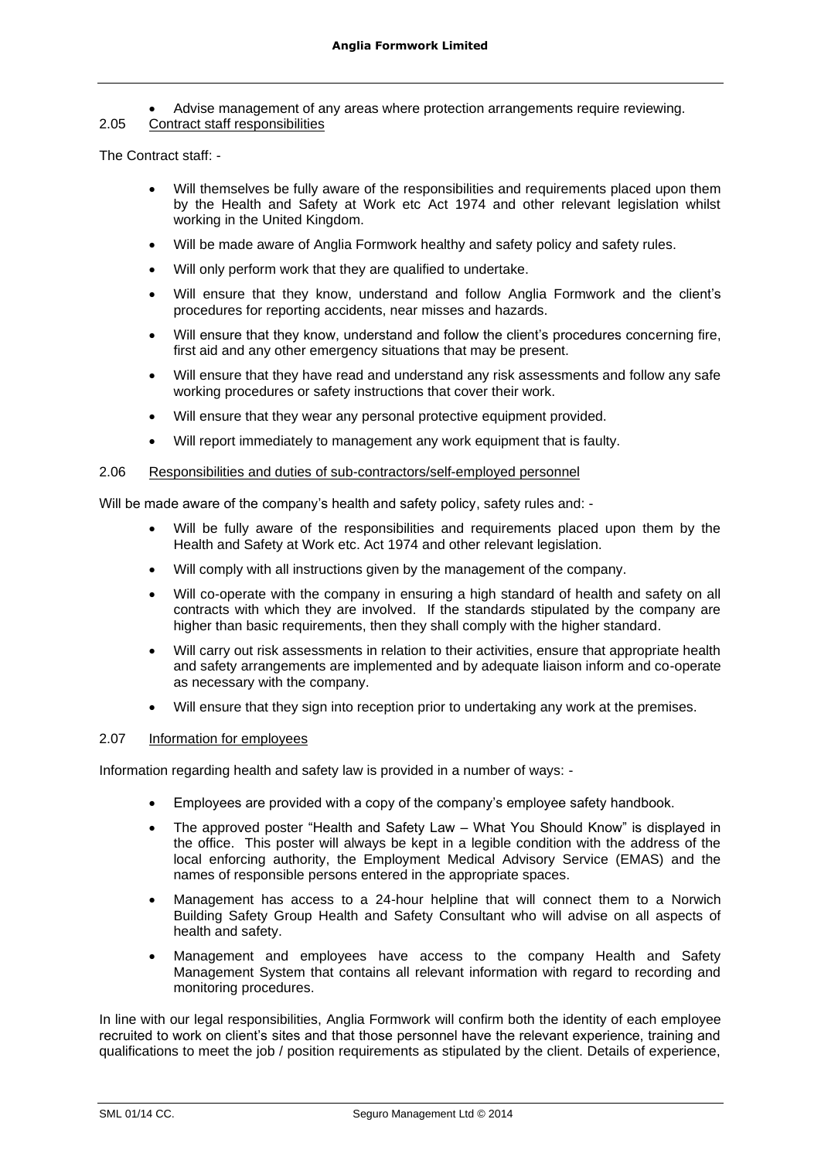• Advise management of any areas where protection arrangements require reviewing.

### 2.05 Contract staff responsibilities

The Contract staff: -

- Will themselves be fully aware of the responsibilities and requirements placed upon them by the Health and Safety at Work etc Act 1974 and other relevant legislation whilst working in the United Kingdom.
- Will be made aware of Anglia Formwork healthy and safety policy and safety rules.
- Will only perform work that they are qualified to undertake.
- Will ensure that they know, understand and follow Anglia Formwork and the client's procedures for reporting accidents, near misses and hazards.
- Will ensure that they know, understand and follow the client's procedures concerning fire, first aid and any other emergency situations that may be present.
- Will ensure that they have read and understand any risk assessments and follow any safe working procedures or safety instructions that cover their work.
- Will ensure that they wear any personal protective equipment provided.
- Will report immediately to management any work equipment that is faulty.

### 2.06 Responsibilities and duties of sub-contractors/self-employed personnel

Will be made aware of the company's health and safety policy, safety rules and: -

- Will be fully aware of the responsibilities and requirements placed upon them by the Health and Safety at Work etc. Act 1974 and other relevant legislation.
- Will comply with all instructions given by the management of the company.
- Will co-operate with the company in ensuring a high standard of health and safety on all contracts with which they are involved. If the standards stipulated by the company are higher than basic requirements, then they shall comply with the higher standard.
- Will carry out risk assessments in relation to their activities, ensure that appropriate health and safety arrangements are implemented and by adequate liaison inform and co-operate as necessary with the company.
- Will ensure that they sign into reception prior to undertaking any work at the premises.

# 2.07 Information for employees

Information regarding health and safety law is provided in a number of ways: -

- Employees are provided with a copy of the company's employee safety handbook.
- The approved poster "Health and Safety Law What You Should Know" is displayed in the office. This poster will always be kept in a legible condition with the address of the local enforcing authority, the Employment Medical Advisory Service (EMAS) and the names of responsible persons entered in the appropriate spaces.
- Management has access to a 24-hour helpline that will connect them to a Norwich Building Safety Group Health and Safety Consultant who will advise on all aspects of health and safety.
- Management and employees have access to the company Health and Safety Management System that contains all relevant information with regard to recording and monitoring procedures.

In line with our legal responsibilities, Anglia Formwork will confirm both the identity of each employee recruited to work on client's sites and that those personnel have the relevant experience, training and qualifications to meet the job / position requirements as stipulated by the client. Details of experience,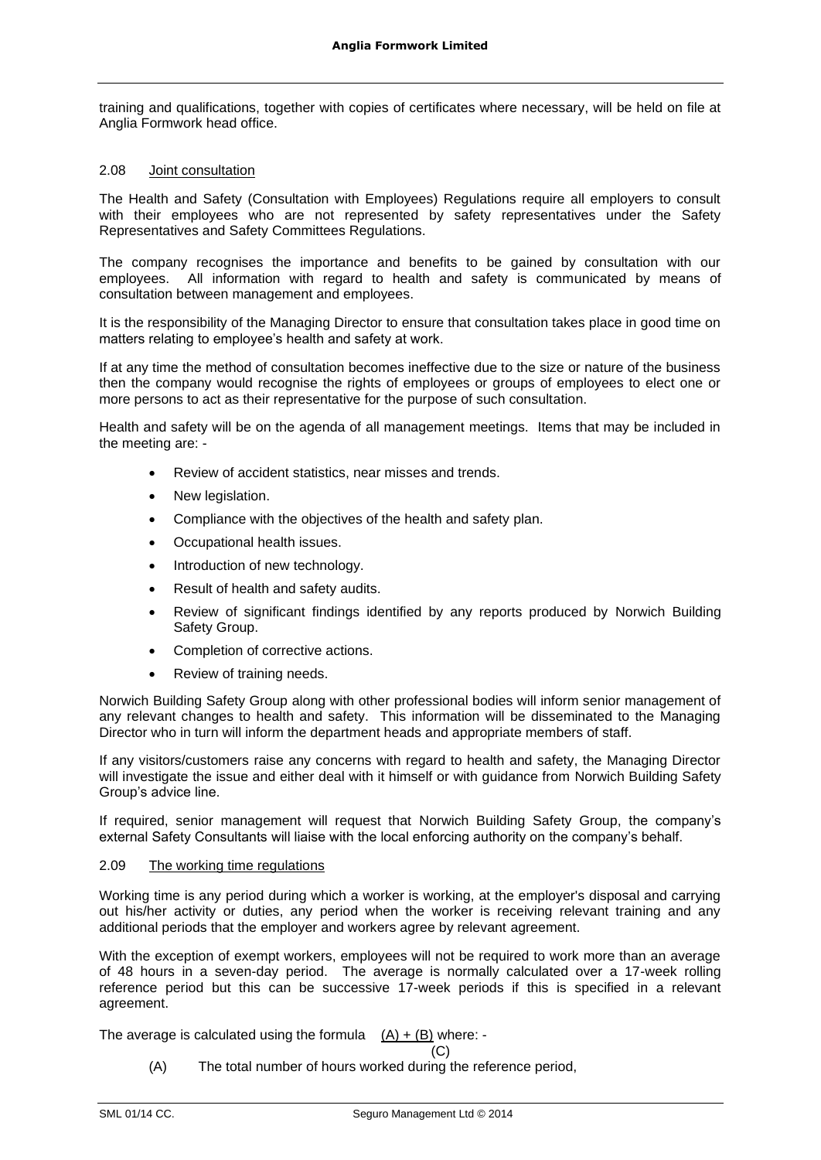training and qualifications, together with copies of certificates where necessary, will be held on file at Anglia Formwork head office.

### 2.08 Joint consultation

The Health and Safety (Consultation with Employees) Regulations require all employers to consult with their employees who are not represented by safety representatives under the Safety Representatives and Safety Committees Regulations.

The company recognises the importance and benefits to be gained by consultation with our employees. All information with regard to health and safety is communicated by means of consultation between management and employees.

It is the responsibility of the Managing Director to ensure that consultation takes place in good time on matters relating to employee's health and safety at work.

If at any time the method of consultation becomes ineffective due to the size or nature of the business then the company would recognise the rights of employees or groups of employees to elect one or more persons to act as their representative for the purpose of such consultation.

Health and safety will be on the agenda of all management meetings. Items that may be included in the meeting are: -

- Review of accident statistics, near misses and trends.
- New legislation.
- Compliance with the objectives of the health and safety plan.
- Occupational health issues.
- Introduction of new technology.
- Result of health and safety audits.
- Review of significant findings identified by any reports produced by Norwich Building Safety Group.
- Completion of corrective actions.
- Review of training needs.

Norwich Building Safety Group along with other professional bodies will inform senior management of any relevant changes to health and safety. This information will be disseminated to the Managing Director who in turn will inform the department heads and appropriate members of staff.

If any visitors/customers raise any concerns with regard to health and safety, the Managing Director will investigate the issue and either deal with it himself or with guidance from Norwich Building Safety Group's advice line.

If required, senior management will request that Norwich Building Safety Group, the company's external Safety Consultants will liaise with the local enforcing authority on the company's behalf.

### 2.09 The working time regulations

Working time is any period during which a worker is working, at the employer's disposal and carrying out his/her activity or duties, any period when the worker is receiving relevant training and any additional periods that the employer and workers agree by relevant agreement.

With the exception of exempt workers, employees will not be required to work more than an average of 48 hours in a seven-day period. The average is normally calculated over a 17-week rolling reference period but this can be successive 17-week periods if this is specified in a relevant agreement.

The average is calculated using the formula  $(A) + (B)$  where: -

 $(C)$ 

(A) The total number of hours worked during the reference period,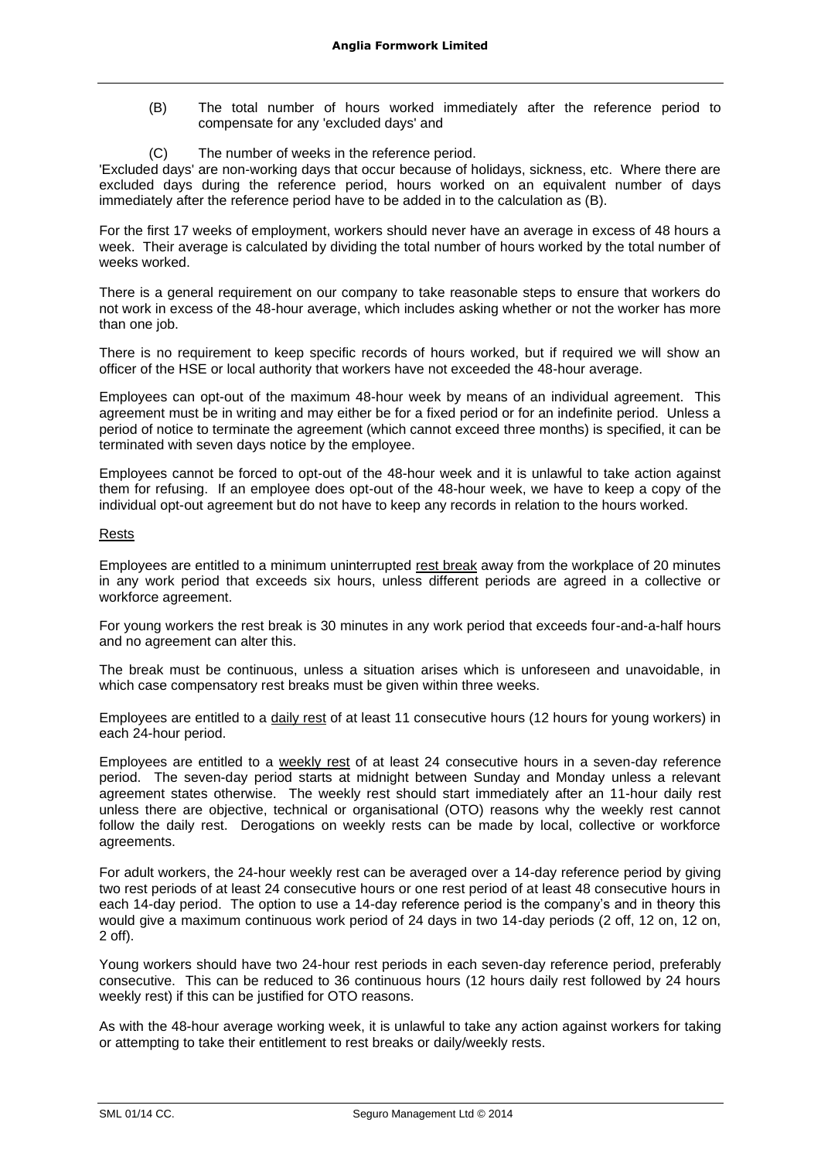- (B) The total number of hours worked immediately after the reference period to compensate for any 'excluded days' and
- (C) The number of weeks in the reference period.

'Excluded days' are non-working days that occur because of holidays, sickness, etc. Where there are excluded days during the reference period, hours worked on an equivalent number of days immediately after the reference period have to be added in to the calculation as (B).

For the first 17 weeks of employment, workers should never have an average in excess of 48 hours a week. Their average is calculated by dividing the total number of hours worked by the total number of weeks worked.

There is a general requirement on our company to take reasonable steps to ensure that workers do not work in excess of the 48-hour average, which includes asking whether or not the worker has more than one job.

There is no requirement to keep specific records of hours worked, but if required we will show an officer of the HSE or local authority that workers have not exceeded the 48-hour average.

Employees can opt-out of the maximum 48-hour week by means of an individual agreement. This agreement must be in writing and may either be for a fixed period or for an indefinite period. Unless a period of notice to terminate the agreement (which cannot exceed three months) is specified, it can be terminated with seven days notice by the employee.

Employees cannot be forced to opt-out of the 48-hour week and it is unlawful to take action against them for refusing. If an employee does opt-out of the 48-hour week, we have to keep a copy of the individual opt-out agreement but do not have to keep any records in relation to the hours worked.

### Rests

Employees are entitled to a minimum uninterrupted rest break away from the workplace of 20 minutes in any work period that exceeds six hours, unless different periods are agreed in a collective or workforce agreement.

For young workers the rest break is 30 minutes in any work period that exceeds four-and-a-half hours and no agreement can alter this.

The break must be continuous, unless a situation arises which is unforeseen and unavoidable, in which case compensatory rest breaks must be given within three weeks.

Employees are entitled to a daily rest of at least 11 consecutive hours (12 hours for young workers) in each 24-hour period.

Employees are entitled to a weekly rest of at least 24 consecutive hours in a seven-day reference period. The seven-day period starts at midnight between Sunday and Monday unless a relevant agreement states otherwise. The weekly rest should start immediately after an 11-hour daily rest unless there are objective, technical or organisational (OTO) reasons why the weekly rest cannot follow the daily rest. Derogations on weekly rests can be made by local, collective or workforce agreements.

For adult workers, the 24-hour weekly rest can be averaged over a 14-day reference period by giving two rest periods of at least 24 consecutive hours or one rest period of at least 48 consecutive hours in each 14-day period. The option to use a 14-day reference period is the company's and in theory this would give a maximum continuous work period of 24 days in two 14-day periods (2 off, 12 on, 12 on, 2 off).

Young workers should have two 24-hour rest periods in each seven-day reference period, preferably consecutive. This can be reduced to 36 continuous hours (12 hours daily rest followed by 24 hours weekly rest) if this can be justified for OTO reasons.

As with the 48-hour average working week, it is unlawful to take any action against workers for taking or attempting to take their entitlement to rest breaks or daily/weekly rests.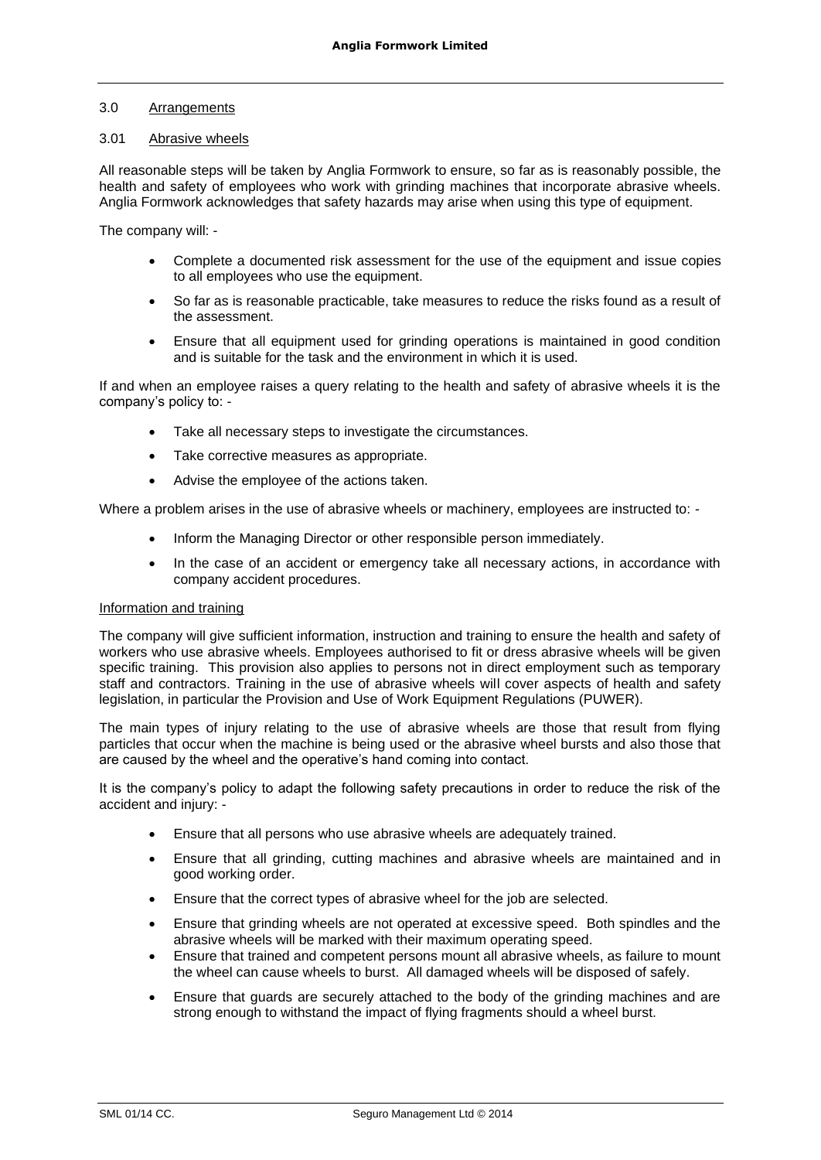### 3.0 Arrangements

### 3.01 Abrasive wheels

All reasonable steps will be taken by Anglia Formwork to ensure, so far as is reasonably possible, the health and safety of employees who work with grinding machines that incorporate abrasive wheels. Anglia Formwork acknowledges that safety hazards may arise when using this type of equipment.

The company will: -

- Complete a documented risk assessment for the use of the equipment and issue copies to all employees who use the equipment.
- So far as is reasonable practicable, take measures to reduce the risks found as a result of the assessment.
- Ensure that all equipment used for grinding operations is maintained in good condition and is suitable for the task and the environment in which it is used.

If and when an employee raises a query relating to the health and safety of abrasive wheels it is the company's policy to: -

- Take all necessary steps to investigate the circumstances.
- Take corrective measures as appropriate.
- Advise the employee of the actions taken.

Where a problem arises in the use of abrasive wheels or machinery, employees are instructed to: -

- Inform the Managing Director or other responsible person immediately.
- In the case of an accident or emergency take all necessary actions, in accordance with company accident procedures.

### Information and training

The company will give sufficient information, instruction and training to ensure the health and safety of workers who use abrasive wheels. Employees authorised to fit or dress abrasive wheels will be given specific training. This provision also applies to persons not in direct employment such as temporary staff and contractors. Training in the use of abrasive wheels will cover aspects of health and safety legislation, in particular the Provision and Use of Work Equipment Regulations (PUWER).

The main types of injury relating to the use of abrasive wheels are those that result from flying particles that occur when the machine is being used or the abrasive wheel bursts and also those that are caused by the wheel and the operative's hand coming into contact.

It is the company's policy to adapt the following safety precautions in order to reduce the risk of the accident and injury: -

- Ensure that all persons who use abrasive wheels are adequately trained.
- Ensure that all grinding, cutting machines and abrasive wheels are maintained and in good working order.
- Ensure that the correct types of abrasive wheel for the job are selected.
- Ensure that grinding wheels are not operated at excessive speed. Both spindles and the abrasive wheels will be marked with their maximum operating speed.
- Ensure that trained and competent persons mount all abrasive wheels, as failure to mount the wheel can cause wheels to burst. All damaged wheels will be disposed of safely.
- Ensure that guards are securely attached to the body of the grinding machines and are strong enough to withstand the impact of flying fragments should a wheel burst.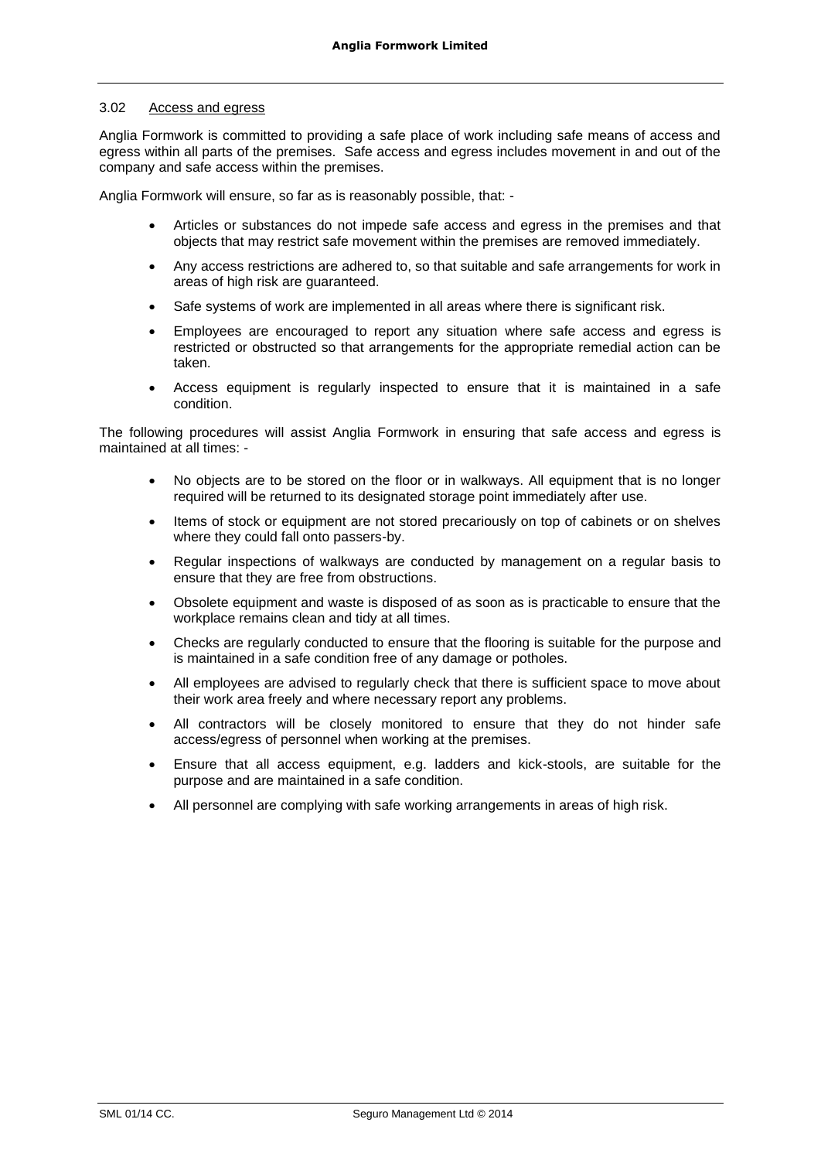### 3.02 Access and egress

Anglia Formwork is committed to providing a safe place of work including safe means of access and egress within all parts of the premises. Safe access and egress includes movement in and out of the company and safe access within the premises.

Anglia Formwork will ensure, so far as is reasonably possible, that: -

- Articles or substances do not impede safe access and egress in the premises and that objects that may restrict safe movement within the premises are removed immediately.
- Any access restrictions are adhered to, so that suitable and safe arrangements for work in areas of high risk are guaranteed.
- Safe systems of work are implemented in all areas where there is significant risk.
- Employees are encouraged to report any situation where safe access and egress is restricted or obstructed so that arrangements for the appropriate remedial action can be taken.
- Access equipment is regularly inspected to ensure that it is maintained in a safe condition.

The following procedures will assist Anglia Formwork in ensuring that safe access and egress is maintained at all times: -

- No objects are to be stored on the floor or in walkways. All equipment that is no longer required will be returned to its designated storage point immediately after use.
- Items of stock or equipment are not stored precariously on top of cabinets or on shelves where they could fall onto passers-by.
- Regular inspections of walkways are conducted by management on a regular basis to ensure that they are free from obstructions.
- Obsolete equipment and waste is disposed of as soon as is practicable to ensure that the workplace remains clean and tidy at all times.
- Checks are regularly conducted to ensure that the flooring is suitable for the purpose and is maintained in a safe condition free of any damage or potholes.
- All employees are advised to regularly check that there is sufficient space to move about their work area freely and where necessary report any problems.
- All contractors will be closely monitored to ensure that they do not hinder safe access/egress of personnel when working at the premises.
- Ensure that all access equipment, e.g. ladders and kick-stools, are suitable for the purpose and are maintained in a safe condition.
- All personnel are complying with safe working arrangements in areas of high risk.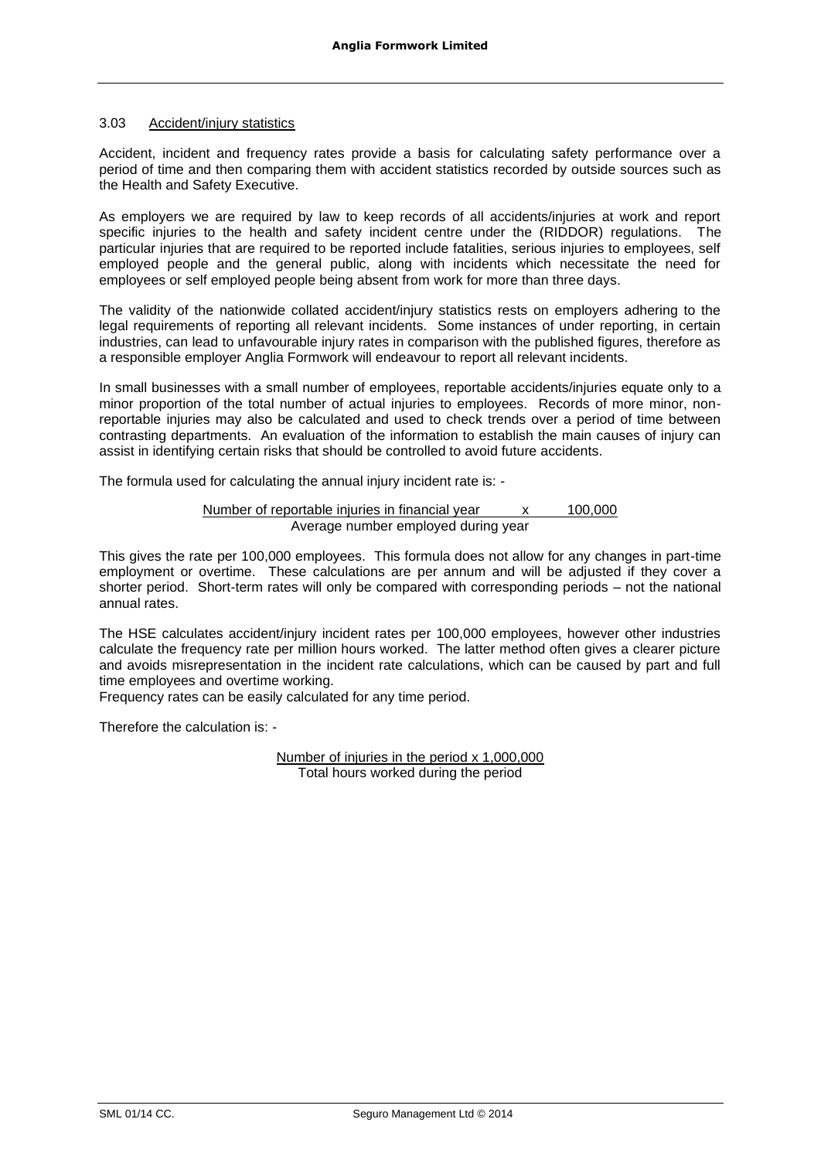### 3.03 Accident/injury statistics

Accident, incident and frequency rates provide a basis for calculating safety performance over a period of time and then comparing them with accident statistics recorded by outside sources such as the Health and Safety Executive.

As employers we are required by law to keep records of all accidents/injuries at work and report specific injuries to the health and safety incident centre under the (RIDDOR) regulations. The particular injuries that are required to be reported include fatalities, serious injuries to employees, self employed people and the general public, along with incidents which necessitate the need for employees or self employed people being absent from work for more than three days.

The validity of the nationwide collated accident/injury statistics rests on employers adhering to the legal requirements of reporting all relevant incidents. Some instances of under reporting, in certain industries, can lead to unfavourable injury rates in comparison with the published figures, therefore as a responsible employer Anglia Formwork will endeavour to report all relevant incidents.

In small businesses with a small number of employees, reportable accidents/injuries equate only to a minor proportion of the total number of actual injuries to employees. Records of more minor, nonreportable injuries may also be calculated and used to check trends over a period of time between contrasting departments. An evaluation of the information to establish the main causes of injury can assist in identifying certain risks that should be controlled to avoid future accidents.

The formula used for calculating the annual injury incident rate is: -

Number of reportable injuries in financial year x 100,000 Average number employed during year

This gives the rate per 100,000 employees. This formula does not allow for any changes in part-time employment or overtime. These calculations are per annum and will be adjusted if they cover a shorter period. Short-term rates will only be compared with corresponding periods – not the national annual rates.

The HSE calculates accident/injury incident rates per 100,000 employees, however other industries calculate the frequency rate per million hours worked. The latter method often gives a clearer picture and avoids misrepresentation in the incident rate calculations, which can be caused by part and full time employees and overtime working.

Frequency rates can be easily calculated for any time period.

Therefore the calculation is: -

Number of injuries in the period x 1,000,000 Total hours worked during the period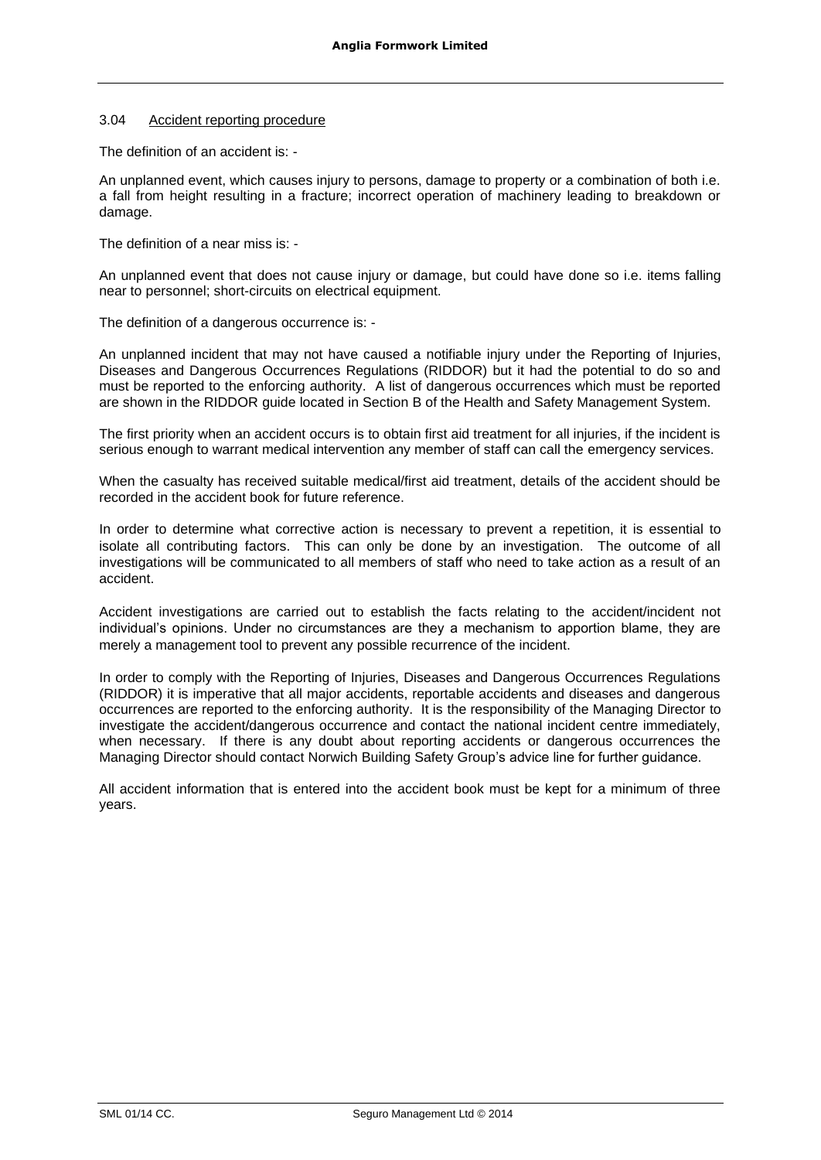### 3.04 Accident reporting procedure

The definition of an accident is: -

An unplanned event, which causes injury to persons, damage to property or a combination of both i.e. a fall from height resulting in a fracture; incorrect operation of machinery leading to breakdown or damage.

The definition of a near miss is: -

An unplanned event that does not cause injury or damage, but could have done so i.e. items falling near to personnel; short-circuits on electrical equipment.

The definition of a dangerous occurrence is: -

An unplanned incident that may not have caused a notifiable injury under the Reporting of Injuries, Diseases and Dangerous Occurrences Regulations (RIDDOR) but it had the potential to do so and must be reported to the enforcing authority. A list of dangerous occurrences which must be reported are shown in the RIDDOR guide located in Section B of the Health and Safety Management System.

The first priority when an accident occurs is to obtain first aid treatment for all injuries, if the incident is serious enough to warrant medical intervention any member of staff can call the emergency services.

When the casualty has received suitable medical/first aid treatment, details of the accident should be recorded in the accident book for future reference.

In order to determine what corrective action is necessary to prevent a repetition, it is essential to isolate all contributing factors. This can only be done by an investigation. The outcome of all investigations will be communicated to all members of staff who need to take action as a result of an accident.

Accident investigations are carried out to establish the facts relating to the accident/incident not individual's opinions. Under no circumstances are they a mechanism to apportion blame, they are merely a management tool to prevent any possible recurrence of the incident.

In order to comply with the Reporting of Injuries, Diseases and Dangerous Occurrences Regulations (RIDDOR) it is imperative that all major accidents, reportable accidents and diseases and dangerous occurrences are reported to the enforcing authority. It is the responsibility of the Managing Director to investigate the accident/dangerous occurrence and contact the national incident centre immediately, when necessary. If there is any doubt about reporting accidents or dangerous occurrences the Managing Director should contact Norwich Building Safety Group's advice line for further guidance.

All accident information that is entered into the accident book must be kept for a minimum of three years.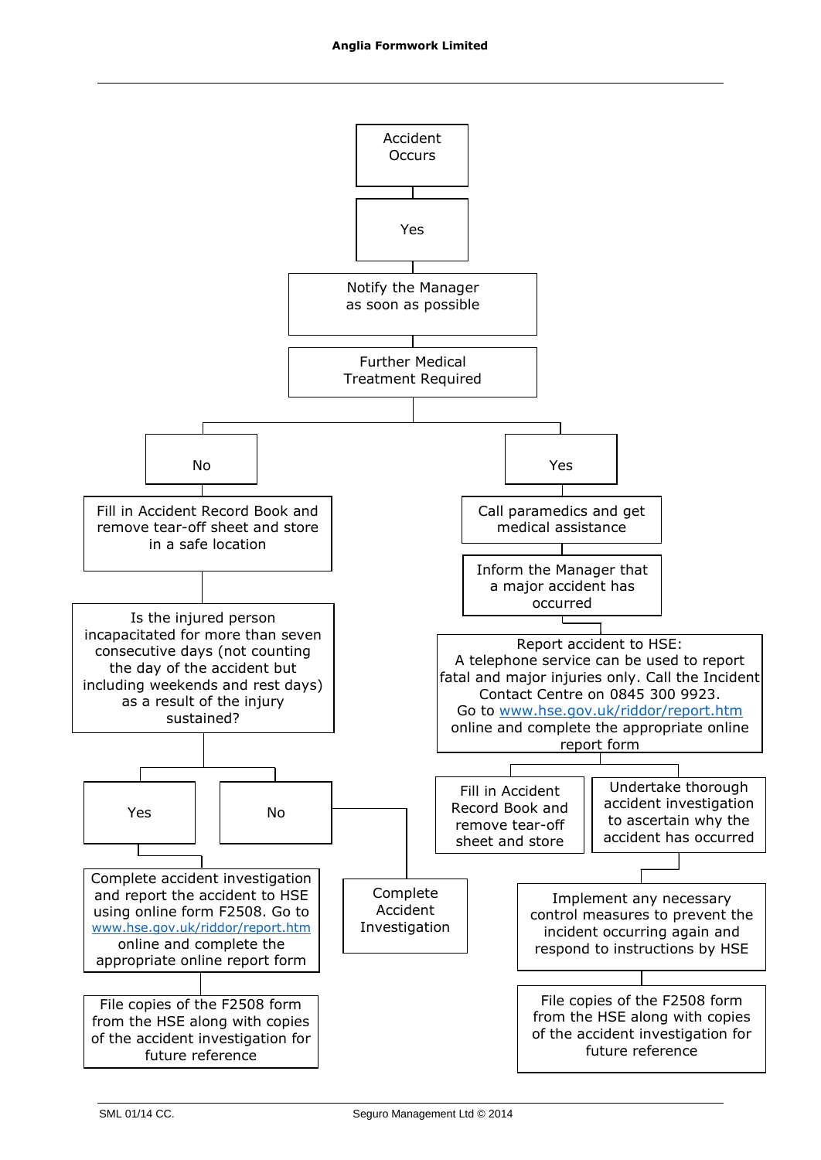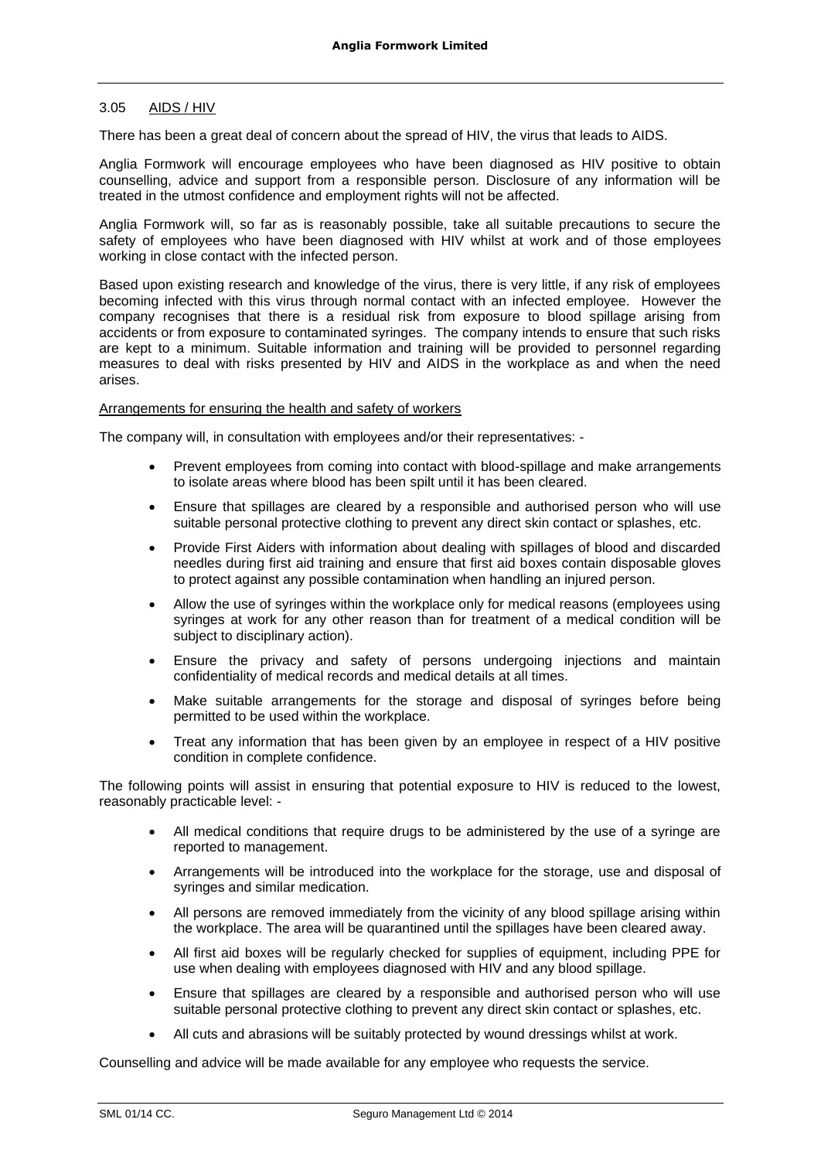### 3.05 AIDS / HIV

There has been a great deal of concern about the spread of HIV, the virus that leads to AIDS.

Anglia Formwork will encourage employees who have been diagnosed as HIV positive to obtain counselling, advice and support from a responsible person. Disclosure of any information will be treated in the utmost confidence and employment rights will not be affected.

Anglia Formwork will, so far as is reasonably possible, take all suitable precautions to secure the safety of employees who have been diagnosed with HIV whilst at work and of those employees working in close contact with the infected person.

Based upon existing research and knowledge of the virus, there is very little, if any risk of employees becoming infected with this virus through normal contact with an infected employee. However the company recognises that there is a residual risk from exposure to blood spillage arising from accidents or from exposure to contaminated syringes. The company intends to ensure that such risks are kept to a minimum. Suitable information and training will be provided to personnel regarding measures to deal with risks presented by HIV and AIDS in the workplace as and when the need arises.

### Arrangements for ensuring the health and safety of workers

The company will, in consultation with employees and/or their representatives: -

- Prevent employees from coming into contact with blood-spillage and make arrangements to isolate areas where blood has been spilt until it has been cleared.
- Ensure that spillages are cleared by a responsible and authorised person who will use suitable personal protective clothing to prevent any direct skin contact or splashes, etc.
- Provide First Aiders with information about dealing with spillages of blood and discarded needles during first aid training and ensure that first aid boxes contain disposable gloves to protect against any possible contamination when handling an injured person.
- Allow the use of syringes within the workplace only for medical reasons (employees using syringes at work for any other reason than for treatment of a medical condition will be subject to disciplinary action).
- Ensure the privacy and safety of persons undergoing injections and maintain confidentiality of medical records and medical details at all times.
- Make suitable arrangements for the storage and disposal of syringes before being permitted to be used within the workplace.
- Treat any information that has been given by an employee in respect of a HIV positive condition in complete confidence.

The following points will assist in ensuring that potential exposure to HIV is reduced to the lowest, reasonably practicable level: -

- All medical conditions that require drugs to be administered by the use of a syringe are reported to management.
- Arrangements will be introduced into the workplace for the storage, use and disposal of syringes and similar medication.
- All persons are removed immediately from the vicinity of any blood spillage arising within the workplace. The area will be quarantined until the spillages have been cleared away.
- All first aid boxes will be regularly checked for supplies of equipment, including PPE for use when dealing with employees diagnosed with HIV and any blood spillage.
- Ensure that spillages are cleared by a responsible and authorised person who will use suitable personal protective clothing to prevent any direct skin contact or splashes, etc.
- All cuts and abrasions will be suitably protected by wound dressings whilst at work.

Counselling and advice will be made available for any employee who requests the service.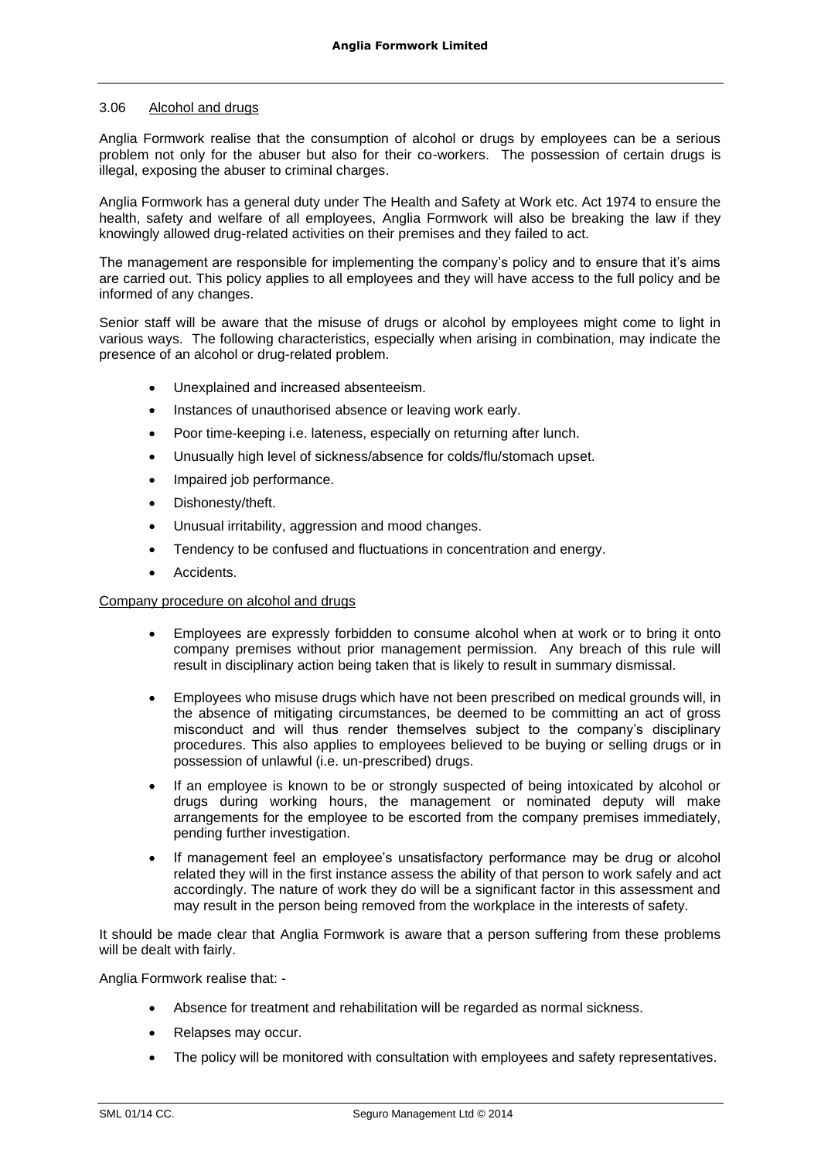### 3.06 Alcohol and drugs

Anglia Formwork realise that the consumption of alcohol or drugs by employees can be a serious problem not only for the abuser but also for their co-workers. The possession of certain drugs is illegal, exposing the abuser to criminal charges.

Anglia Formwork has a general duty under The Health and Safety at Work etc. Act 1974 to ensure the health, safety and welfare of all employees, Anglia Formwork will also be breaking the law if they knowingly allowed drug-related activities on their premises and they failed to act.

The management are responsible for implementing the company's policy and to ensure that it's aims are carried out. This policy applies to all employees and they will have access to the full policy and be informed of any changes.

Senior staff will be aware that the misuse of drugs or alcohol by employees might come to light in various ways. The following characteristics, especially when arising in combination, may indicate the presence of an alcohol or drug-related problem.

- Unexplained and increased absenteeism.
- Instances of unauthorised absence or leaving work early.
- Poor time-keeping i.e. lateness, especially on returning after lunch.
- Unusually high level of sickness/absence for colds/flu/stomach upset.
- Impaired job performance.
- Dishonesty/theft.
- Unusual irritability, aggression and mood changes.
- Tendency to be confused and fluctuations in concentration and energy.
- Accidents.

### Company procedure on alcohol and drugs

- Employees are expressly forbidden to consume alcohol when at work or to bring it onto company premises without prior management permission. Any breach of this rule will result in disciplinary action being taken that is likely to result in summary dismissal.
- Employees who misuse drugs which have not been prescribed on medical grounds will, in the absence of mitigating circumstances, be deemed to be committing an act of gross misconduct and will thus render themselves subject to the company's disciplinary procedures. This also applies to employees believed to be buying or selling drugs or in possession of unlawful (i.e. un-prescribed) drugs.
- If an employee is known to be or strongly suspected of being intoxicated by alcohol or drugs during working hours, the management or nominated deputy will make arrangements for the employee to be escorted from the company premises immediately, pending further investigation.
- If management feel an employee's unsatisfactory performance may be drug or alcohol related they will in the first instance assess the ability of that person to work safely and act accordingly. The nature of work they do will be a significant factor in this assessment and may result in the person being removed from the workplace in the interests of safety.

It should be made clear that Anglia Formwork is aware that a person suffering from these problems will be dealt with fairly.

Anglia Formwork realise that: -

- Absence for treatment and rehabilitation will be regarded as normal sickness.
- Relapses may occur.
- The policy will be monitored with consultation with employees and safety representatives.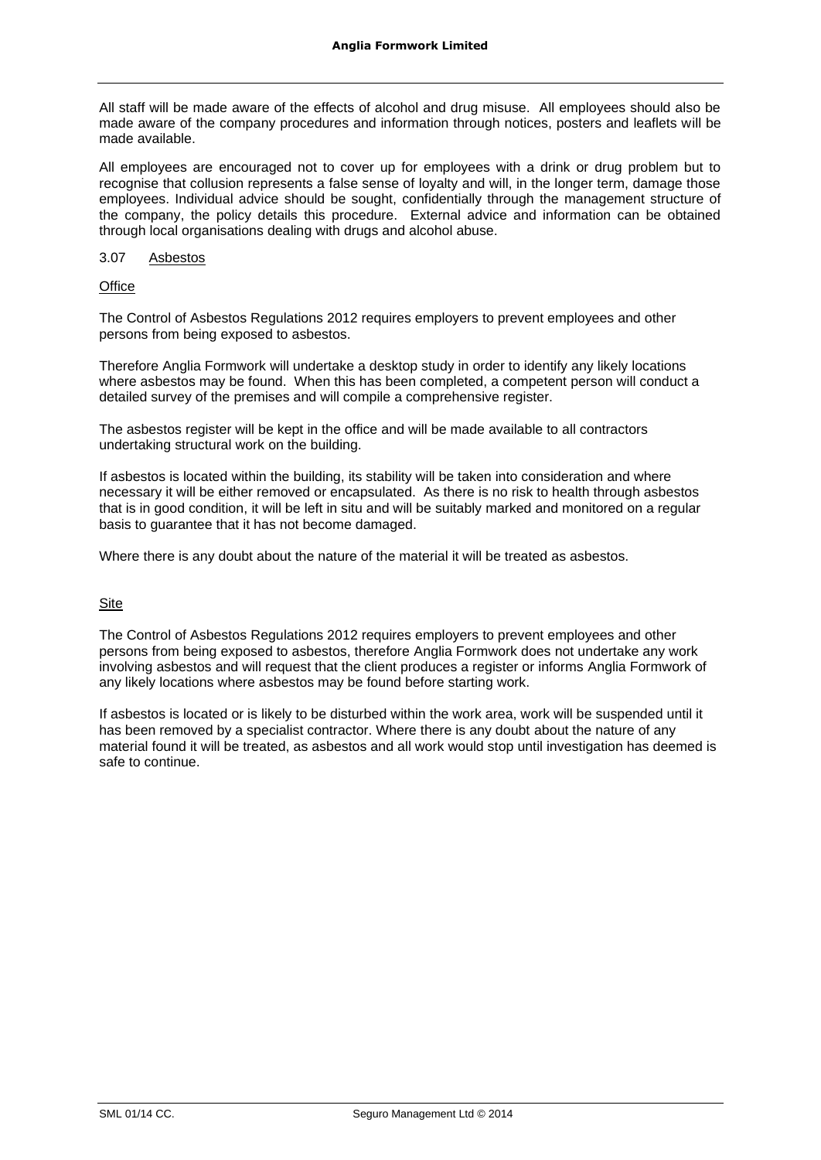All staff will be made aware of the effects of alcohol and drug misuse. All employees should also be made aware of the company procedures and information through notices, posters and leaflets will be made available.

All employees are encouraged not to cover up for employees with a drink or drug problem but to recognise that collusion represents a false sense of loyalty and will, in the longer term, damage those employees. Individual advice should be sought, confidentially through the management structure of the company, the policy details this procedure. External advice and information can be obtained through local organisations dealing with drugs and alcohol abuse.

### 3.07 Asbestos

**Office** 

The Control of Asbestos Regulations 2012 requires employers to prevent employees and other persons from being exposed to asbestos.

Therefore Anglia Formwork will undertake a desktop study in order to identify any likely locations where asbestos may be found. When this has been completed, a competent person will conduct a detailed survey of the premises and will compile a comprehensive register.

The asbestos register will be kept in the office and will be made available to all contractors undertaking structural work on the building.

If asbestos is located within the building, its stability will be taken into consideration and where necessary it will be either removed or encapsulated. As there is no risk to health through asbestos that is in good condition, it will be left in situ and will be suitably marked and monitored on a regular basis to guarantee that it has not become damaged.

Where there is any doubt about the nature of the material it will be treated as asbestos.

# Site

The Control of Asbestos Regulations 2012 requires employers to prevent employees and other persons from being exposed to asbestos, therefore Anglia Formwork does not undertake any work involving asbestos and will request that the client produces a register or informs Anglia Formwork of any likely locations where asbestos may be found before starting work.

If asbestos is located or is likely to be disturbed within the work area, work will be suspended until it has been removed by a specialist contractor. Where there is any doubt about the nature of any material found it will be treated, as asbestos and all work would stop until investigation has deemed is safe to continue.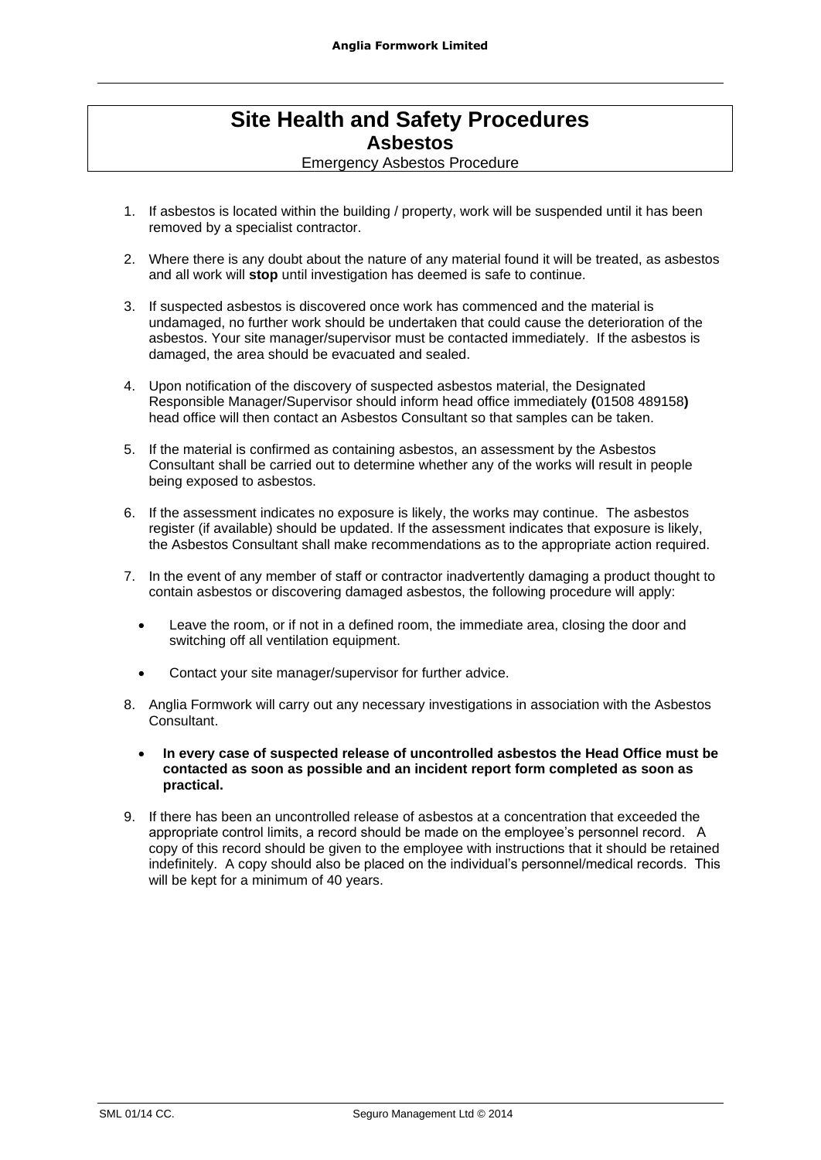# **Site Health and Safety Procedures Asbestos**

Emergency Asbestos Procedure

- 1. If asbestos is located within the building / property, work will be suspended until it has been removed by a specialist contractor.
- 2. Where there is any doubt about the nature of any material found it will be treated, as asbestos and all work will **stop** until investigation has deemed is safe to continue.
- 3. If suspected asbestos is discovered once work has commenced and the material is undamaged, no further work should be undertaken that could cause the deterioration of the asbestos. Your site manager/supervisor must be contacted immediately. If the asbestos is damaged, the area should be evacuated and sealed.
- 4. Upon notification of the discovery of suspected asbestos material, the Designated Responsible Manager/Supervisor should inform head office immediately **(**01508 489158**)** head office will then contact an Asbestos Consultant so that samples can be taken.
- 5. If the material is confirmed as containing asbestos, an assessment by the Asbestos Consultant shall be carried out to determine whether any of the works will result in people being exposed to asbestos.
- 6. If the assessment indicates no exposure is likely, the works may continue. The asbestos register (if available) should be updated. If the assessment indicates that exposure is likely, the Asbestos Consultant shall make recommendations as to the appropriate action required.
- 7. In the event of any member of staff or contractor inadvertently damaging a product thought to contain asbestos or discovering damaged asbestos, the following procedure will apply:
	- Leave the room, or if not in a defined room, the immediate area, closing the door and switching off all ventilation equipment.
	- Contact your site manager/supervisor for further advice.
- 8. Anglia Formwork will carry out any necessary investigations in association with the Asbestos Consultant.
	- **In every case of suspected release of uncontrolled asbestos the Head Office must be contacted as soon as possible and an incident report form completed as soon as practical.**
- 9. If there has been an uncontrolled release of asbestos at a concentration that exceeded the appropriate control limits, a record should be made on the employee's personnel record. A copy of this record should be given to the employee with instructions that it should be retained indefinitely. A copy should also be placed on the individual's personnel/medical records. This will be kept for a minimum of 40 years.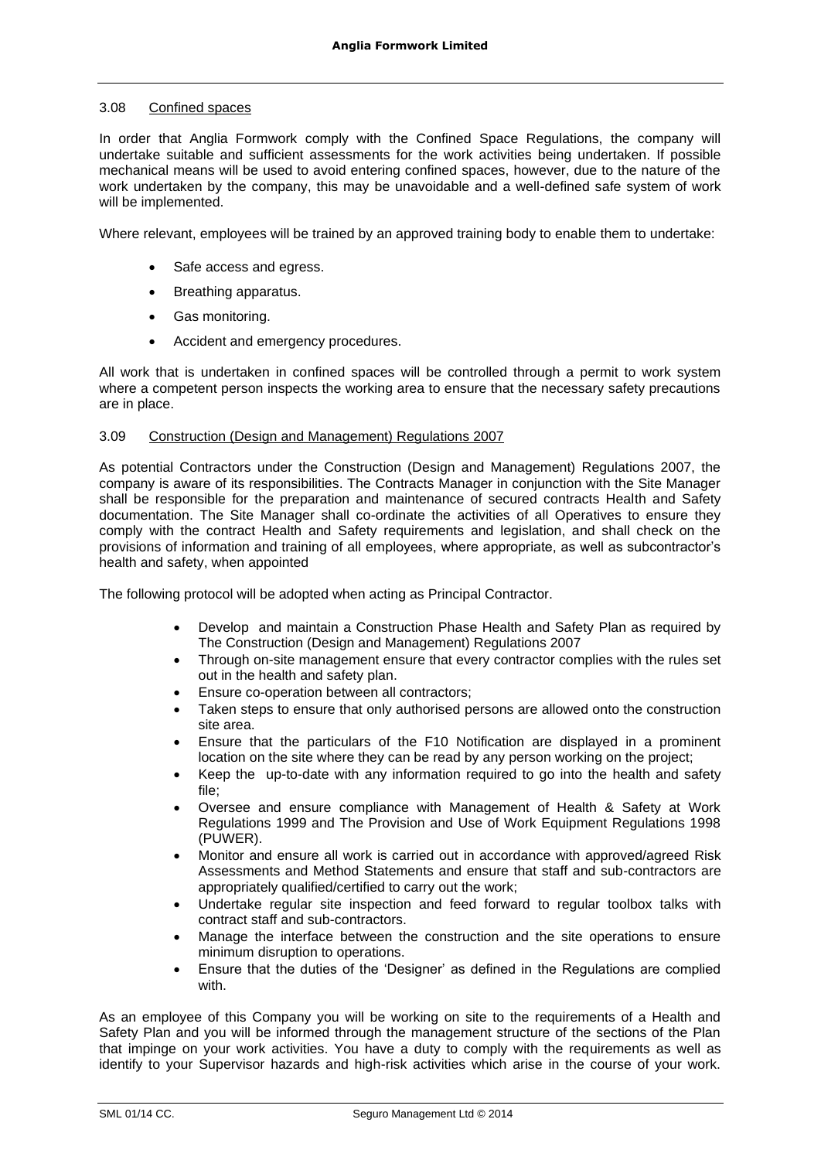### 3.08 Confined spaces

In order that Anglia Formwork comply with the Confined Space Regulations, the company will undertake suitable and sufficient assessments for the work activities being undertaken. If possible mechanical means will be used to avoid entering confined spaces, however, due to the nature of the work undertaken by the company, this may be unavoidable and a well-defined safe system of work will be implemented.

Where relevant, employees will be trained by an approved training body to enable them to undertake:

- Safe access and egress.
- Breathing apparatus.
- Gas monitoring.
- Accident and emergency procedures.

All work that is undertaken in confined spaces will be controlled through a permit to work system where a competent person inspects the working area to ensure that the necessary safety precautions are in place.

### 3.09 Construction (Design and Management) Regulations 2007

As potential Contractors under the Construction (Design and Management) Regulations 2007, the company is aware of its responsibilities. The Contracts Manager in conjunction with the Site Manager shall be responsible for the preparation and maintenance of secured contracts Health and Safety documentation. The Site Manager shall co-ordinate the activities of all Operatives to ensure they comply with the contract Health and Safety requirements and legislation, and shall check on the provisions of information and training of all employees, where appropriate, as well as subcontractor's health and safety, when appointed

The following protocol will be adopted when acting as Principal Contractor.

- Develop and maintain a Construction Phase Health and Safety Plan as required by The Construction (Design and Management) Regulations 2007
- Through on-site management ensure that every contractor complies with the rules set out in the health and safety plan.
- Ensure co-operation between all contractors;
- Taken steps to ensure that only authorised persons are allowed onto the construction site area.
- Ensure that the particulars of the F10 Notification are displayed in a prominent location on the site where they can be read by any person working on the project;
- Keep the up-to-date with any information required to go into the health and safety file;
- Oversee and ensure compliance with Management of Health & Safety at Work Regulations 1999 and The Provision and Use of Work Equipment Regulations 1998 (PUWER).
- Monitor and ensure all work is carried out in accordance with approved/agreed Risk Assessments and Method Statements and ensure that staff and sub-contractors are appropriately qualified/certified to carry out the work;
- Undertake regular site inspection and feed forward to regular toolbox talks with contract staff and sub-contractors.
- Manage the interface between the construction and the site operations to ensure minimum disruption to operations.
- Ensure that the duties of the 'Designer' as defined in the Regulations are complied with.

As an employee of this Company you will be working on site to the requirements of a Health and Safety Plan and you will be informed through the management structure of the sections of the Plan that impinge on your work activities. You have a duty to comply with the requirements as well as identify to your Supervisor hazards and high-risk activities which arise in the course of your work.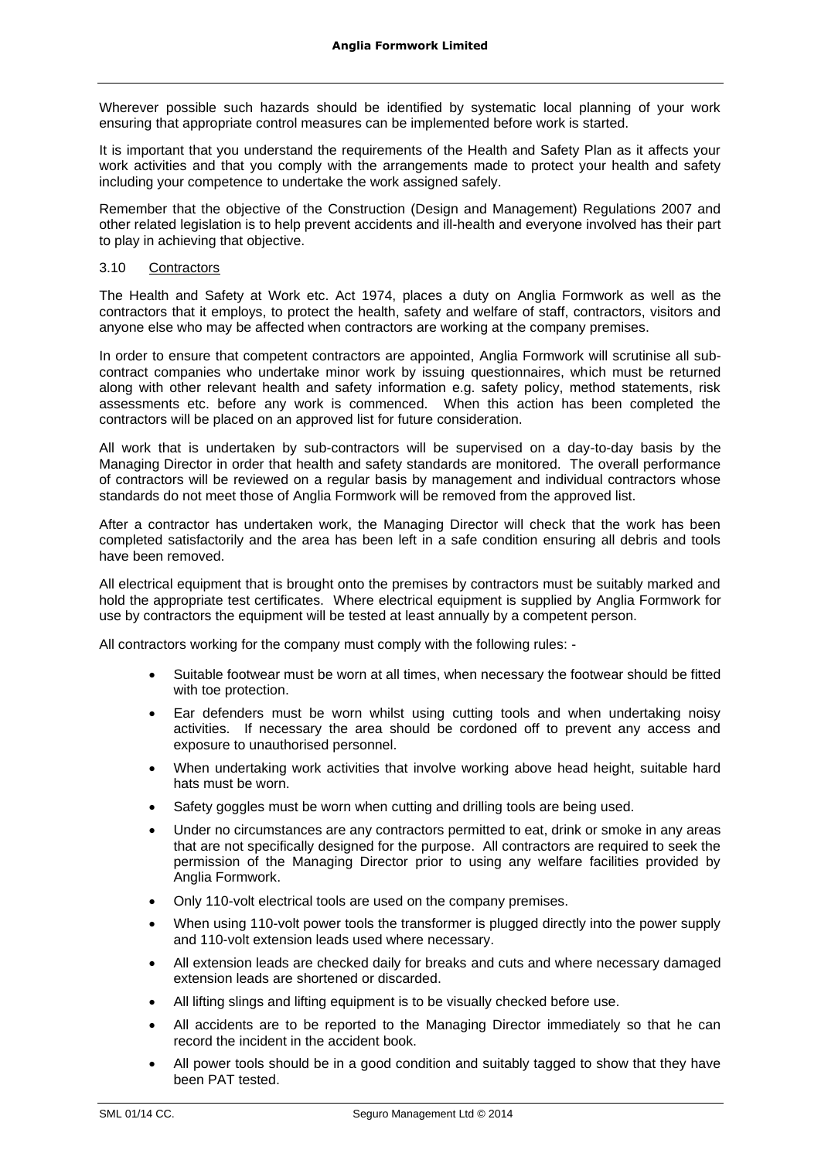Wherever possible such hazards should be identified by systematic local planning of your work ensuring that appropriate control measures can be implemented before work is started.

It is important that you understand the requirements of the Health and Safety Plan as it affects your work activities and that you comply with the arrangements made to protect your health and safety including your competence to undertake the work assigned safely.

Remember that the objective of the Construction (Design and Management) Regulations 2007 and other related legislation is to help prevent accidents and ill-health and everyone involved has their part to play in achieving that objective.

### 3.10 Contractors

The Health and Safety at Work etc. Act 1974, places a duty on Anglia Formwork as well as the contractors that it employs, to protect the health, safety and welfare of staff, contractors, visitors and anyone else who may be affected when contractors are working at the company premises.

In order to ensure that competent contractors are appointed, Anglia Formwork will scrutinise all subcontract companies who undertake minor work by issuing questionnaires, which must be returned along with other relevant health and safety information e.g. safety policy, method statements, risk assessments etc. before any work is commenced. When this action has been completed the contractors will be placed on an approved list for future consideration.

All work that is undertaken by sub-contractors will be supervised on a day-to-day basis by the Managing Director in order that health and safety standards are monitored. The overall performance of contractors will be reviewed on a regular basis by management and individual contractors whose standards do not meet those of Anglia Formwork will be removed from the approved list.

After a contractor has undertaken work, the Managing Director will check that the work has been completed satisfactorily and the area has been left in a safe condition ensuring all debris and tools have been removed.

All electrical equipment that is brought onto the premises by contractors must be suitably marked and hold the appropriate test certificates. Where electrical equipment is supplied by Anglia Formwork for use by contractors the equipment will be tested at least annually by a competent person.

All contractors working for the company must comply with the following rules: -

- Suitable footwear must be worn at all times, when necessary the footwear should be fitted with toe protection.
- Ear defenders must be worn whilst using cutting tools and when undertaking noisy activities. If necessary the area should be cordoned off to prevent any access and exposure to unauthorised personnel.
- When undertaking work activities that involve working above head height, suitable hard hats must be worn.
- Safety goggles must be worn when cutting and drilling tools are being used.
- Under no circumstances are any contractors permitted to eat, drink or smoke in any areas that are not specifically designed for the purpose. All contractors are required to seek the permission of the Managing Director prior to using any welfare facilities provided by Anglia Formwork.
- Only 110-volt electrical tools are used on the company premises.
- When using 110-volt power tools the transformer is plugged directly into the power supply and 110-volt extension leads used where necessary.
- All extension leads are checked daily for breaks and cuts and where necessary damaged extension leads are shortened or discarded.
- All lifting slings and lifting equipment is to be visually checked before use.
- All accidents are to be reported to the Managing Director immediately so that he can record the incident in the accident book.
- All power tools should be in a good condition and suitably tagged to show that they have been PAT tested.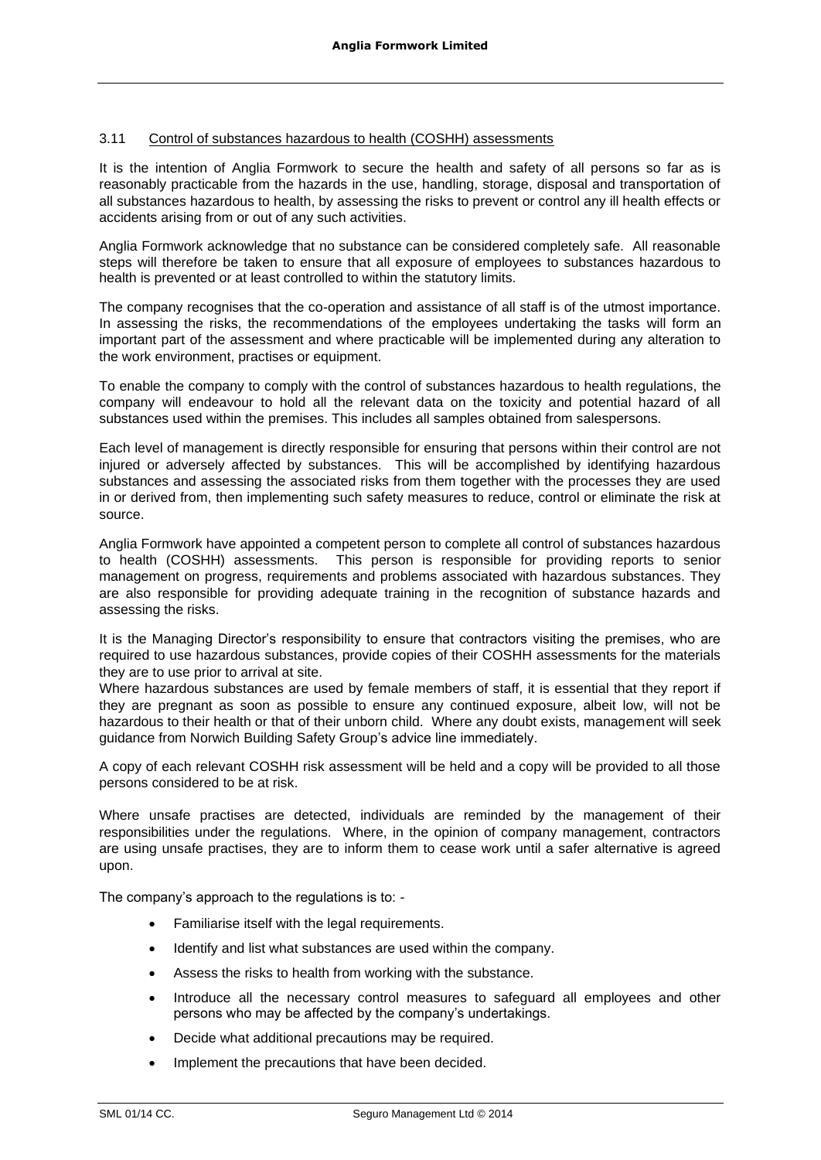# 3.11 Control of substances hazardous to health (COSHH) assessments

It is the intention of Anglia Formwork to secure the health and safety of all persons so far as is reasonably practicable from the hazards in the use, handling, storage, disposal and transportation of all substances hazardous to health, by assessing the risks to prevent or control any ill health effects or accidents arising from or out of any such activities.

Anglia Formwork acknowledge that no substance can be considered completely safe. All reasonable steps will therefore be taken to ensure that all exposure of employees to substances hazardous to health is prevented or at least controlled to within the statutory limits.

The company recognises that the co-operation and assistance of all staff is of the utmost importance. In assessing the risks, the recommendations of the employees undertaking the tasks will form an important part of the assessment and where practicable will be implemented during any alteration to the work environment, practises or equipment.

To enable the company to comply with the control of substances hazardous to health regulations, the company will endeavour to hold all the relevant data on the toxicity and potential hazard of all substances used within the premises. This includes all samples obtained from salespersons.

Each level of management is directly responsible for ensuring that persons within their control are not injured or adversely affected by substances. This will be accomplished by identifying hazardous substances and assessing the associated risks from them together with the processes they are used in or derived from, then implementing such safety measures to reduce, control or eliminate the risk at source.

Anglia Formwork have appointed a competent person to complete all control of substances hazardous to health (COSHH) assessments. This person is responsible for providing reports to senior management on progress, requirements and problems associated with hazardous substances. They are also responsible for providing adequate training in the recognition of substance hazards and assessing the risks.

It is the Managing Director's responsibility to ensure that contractors visiting the premises, who are required to use hazardous substances, provide copies of their COSHH assessments for the materials they are to use prior to arrival at site.

Where hazardous substances are used by female members of staff, it is essential that they report if they are pregnant as soon as possible to ensure any continued exposure, albeit low, will not be hazardous to their health or that of their unborn child. Where any doubt exists, management will seek guidance from Norwich Building Safety Group's advice line immediately.

A copy of each relevant COSHH risk assessment will be held and a copy will be provided to all those persons considered to be at risk.

Where unsafe practises are detected, individuals are reminded by the management of their responsibilities under the regulations. Where, in the opinion of company management, contractors are using unsafe practises, they are to inform them to cease work until a safer alternative is agreed upon.

The company's approach to the regulations is to: -

- Familiarise itself with the legal requirements.
- Identify and list what substances are used within the company.
- Assess the risks to health from working with the substance.
- Introduce all the necessary control measures to safeguard all employees and other persons who may be affected by the company's undertakings.
- Decide what additional precautions may be required.
- Implement the precautions that have been decided.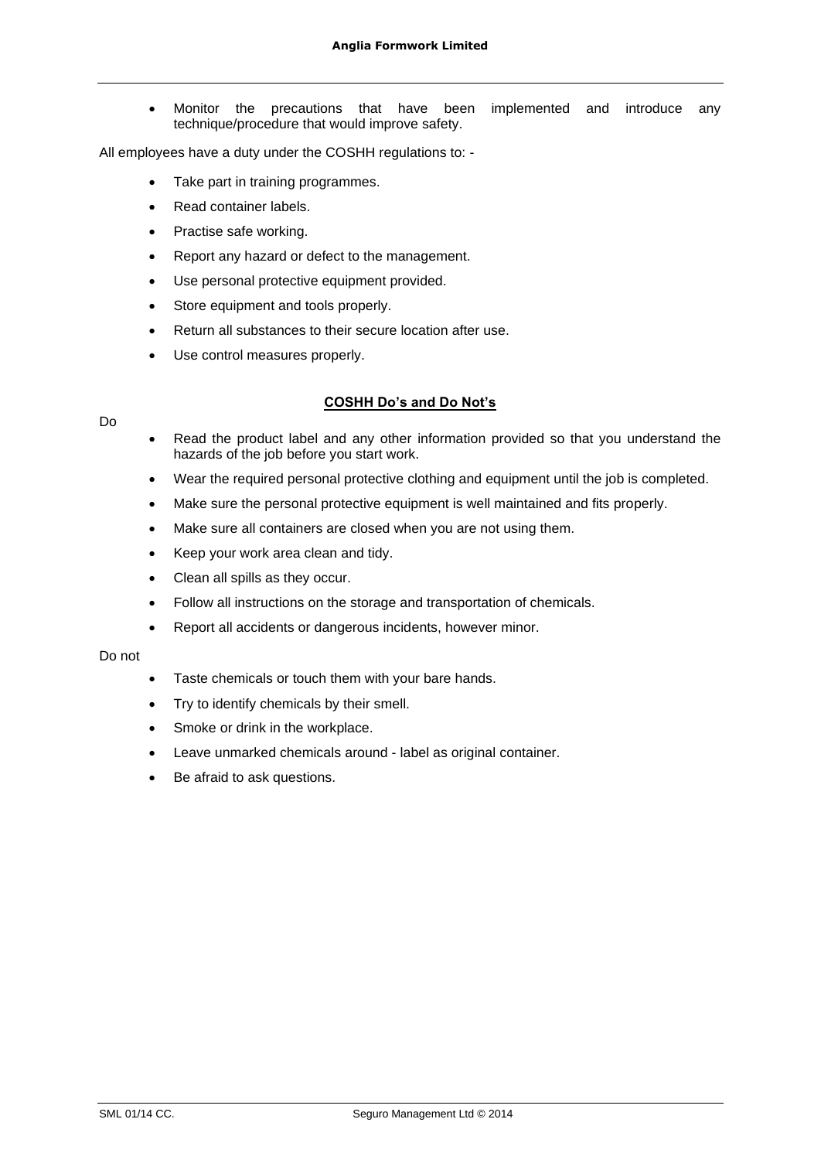• Monitor the precautions that have been implemented and introduce any technique/procedure that would improve safety.

All employees have a duty under the COSHH regulations to: -

- Take part in training programmes.
- Read container labels.
- Practise safe working.
- Report any hazard or defect to the management.
- Use personal protective equipment provided.
- Store equipment and tools properly.
- Return all substances to their secure location after use.
- Use control measures properly.

# **COSHH Do's and Do Not's**

- Read the product label and any other information provided so that you understand the hazards of the job before you start work.
- Wear the required personal protective clothing and equipment until the job is completed.
- Make sure the personal protective equipment is well maintained and fits properly.
- Make sure all containers are closed when you are not using them.
- Keep your work area clean and tidy.
- Clean all spills as they occur.
- Follow all instructions on the storage and transportation of chemicals.
- Report all accidents or dangerous incidents, however minor.

### Do not

Do

- Taste chemicals or touch them with your bare hands.
- Try to identify chemicals by their smell.
- Smoke or drink in the workplace.
- Leave unmarked chemicals around label as original container.
- Be afraid to ask questions.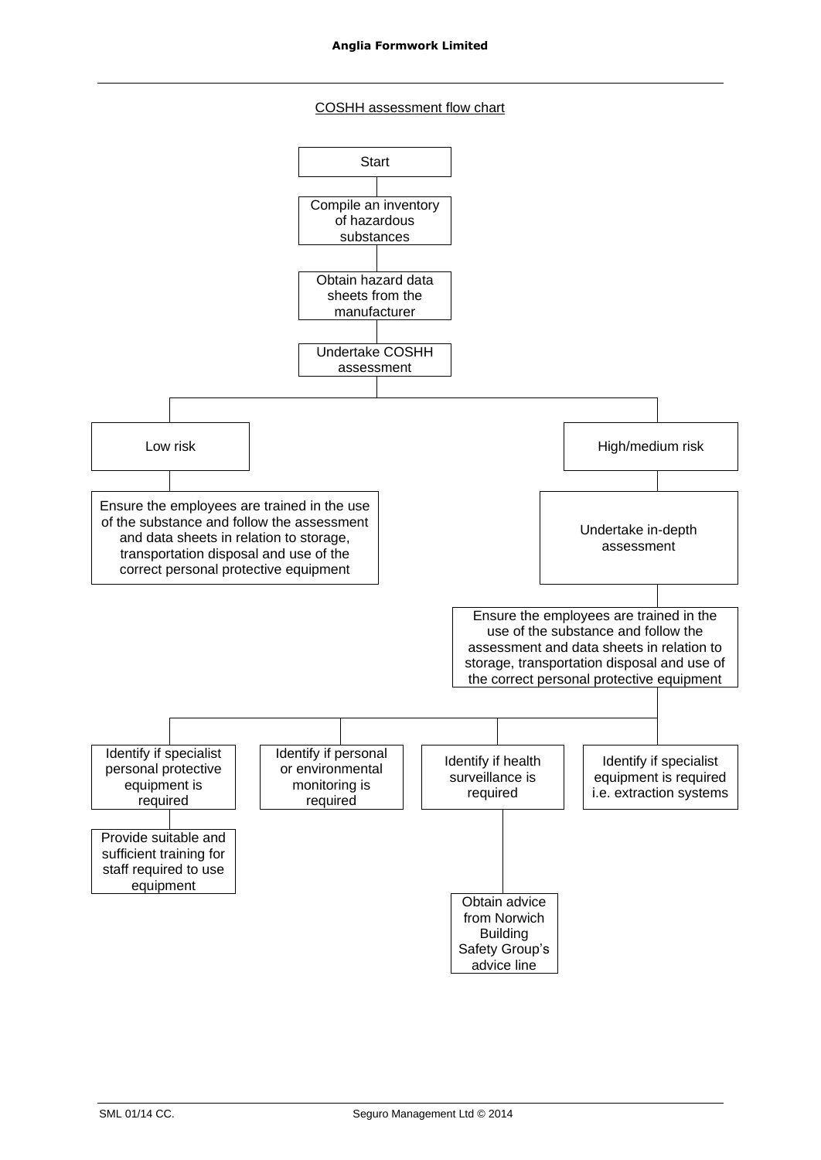### COSHH assessment flow chart

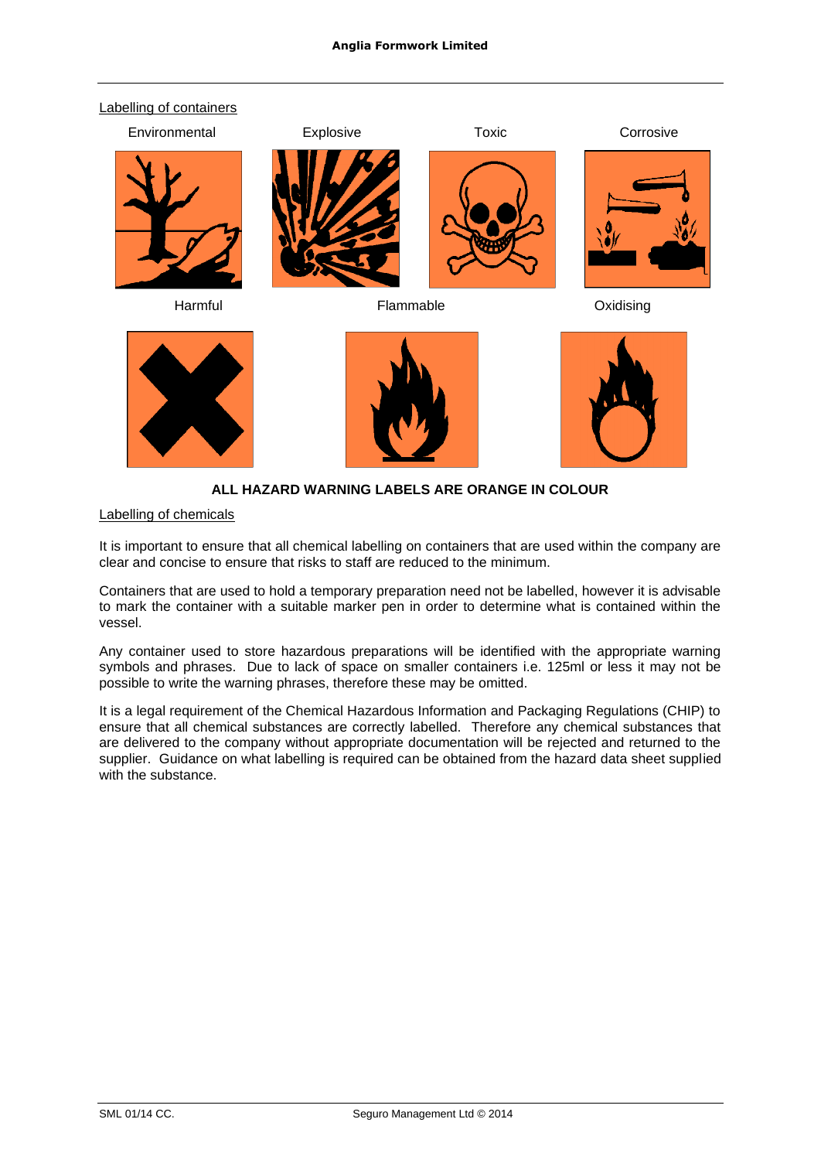

# **ALL HAZARD WARNING LABELS ARE ORANGE IN COLOUR**

### Labelling of chemicals

It is important to ensure that all chemical labelling on containers that are used within the company are clear and concise to ensure that risks to staff are reduced to the minimum.

Containers that are used to hold a temporary preparation need not be labelled, however it is advisable to mark the container with a suitable marker pen in order to determine what is contained within the vessel.

Any container used to store hazardous preparations will be identified with the appropriate warning symbols and phrases. Due to lack of space on smaller containers i.e. 125ml or less it may not be possible to write the warning phrases, therefore these may be omitted.

It is a legal requirement of the Chemical Hazardous Information and Packaging Regulations (CHIP) to ensure that all chemical substances are correctly labelled. Therefore any chemical substances that are delivered to the company without appropriate documentation will be rejected and returned to the supplier. Guidance on what labelling is required can be obtained from the hazard data sheet supplied with the substance.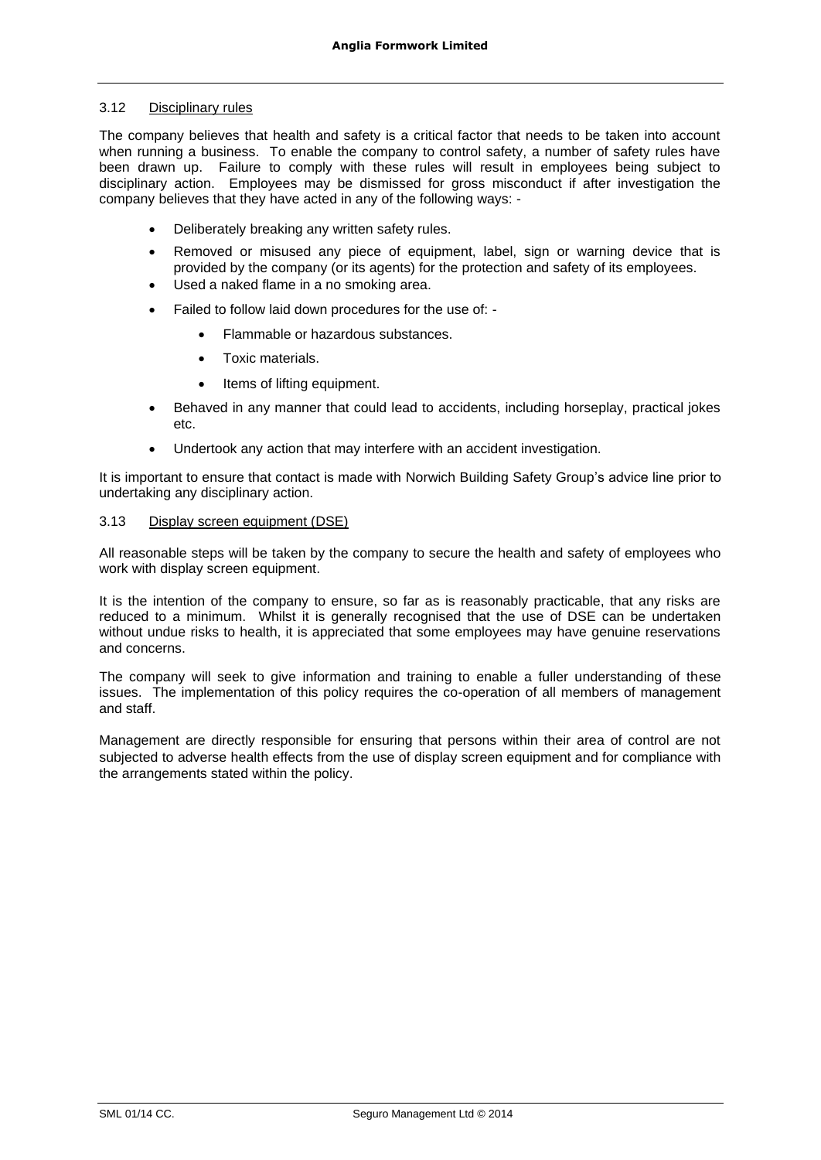### 3.12 Disciplinary rules

The company believes that health and safety is a critical factor that needs to be taken into account when running a business. To enable the company to control safety, a number of safety rules have been drawn up. Failure to comply with these rules will result in employees being subject to disciplinary action. Employees may be dismissed for gross misconduct if after investigation the company believes that they have acted in any of the following ways: -

- Deliberately breaking any written safety rules.
- Removed or misused any piece of equipment, label, sign or warning device that is provided by the company (or its agents) for the protection and safety of its employees.
- Used a naked flame in a no smoking area.
- Failed to follow laid down procedures for the use of:
	- Flammable or hazardous substances.
	- Toxic materials.
	- Items of lifting equipment.
- Behaved in any manner that could lead to accidents, including horseplay, practical jokes etc.
- Undertook any action that may interfere with an accident investigation.

It is important to ensure that contact is made with Norwich Building Safety Group's advice line prior to undertaking any disciplinary action.

### 3.13 Display screen equipment (DSE)

All reasonable steps will be taken by the company to secure the health and safety of employees who work with display screen equipment.

It is the intention of the company to ensure, so far as is reasonably practicable, that any risks are reduced to a minimum. Whilst it is generally recognised that the use of DSE can be undertaken without undue risks to health, it is appreciated that some employees may have genuine reservations and concerns.

The company will seek to give information and training to enable a fuller understanding of these issues. The implementation of this policy requires the co-operation of all members of management and staff.

Management are directly responsible for ensuring that persons within their area of control are not subjected to adverse health effects from the use of display screen equipment and for compliance with the arrangements stated within the policy.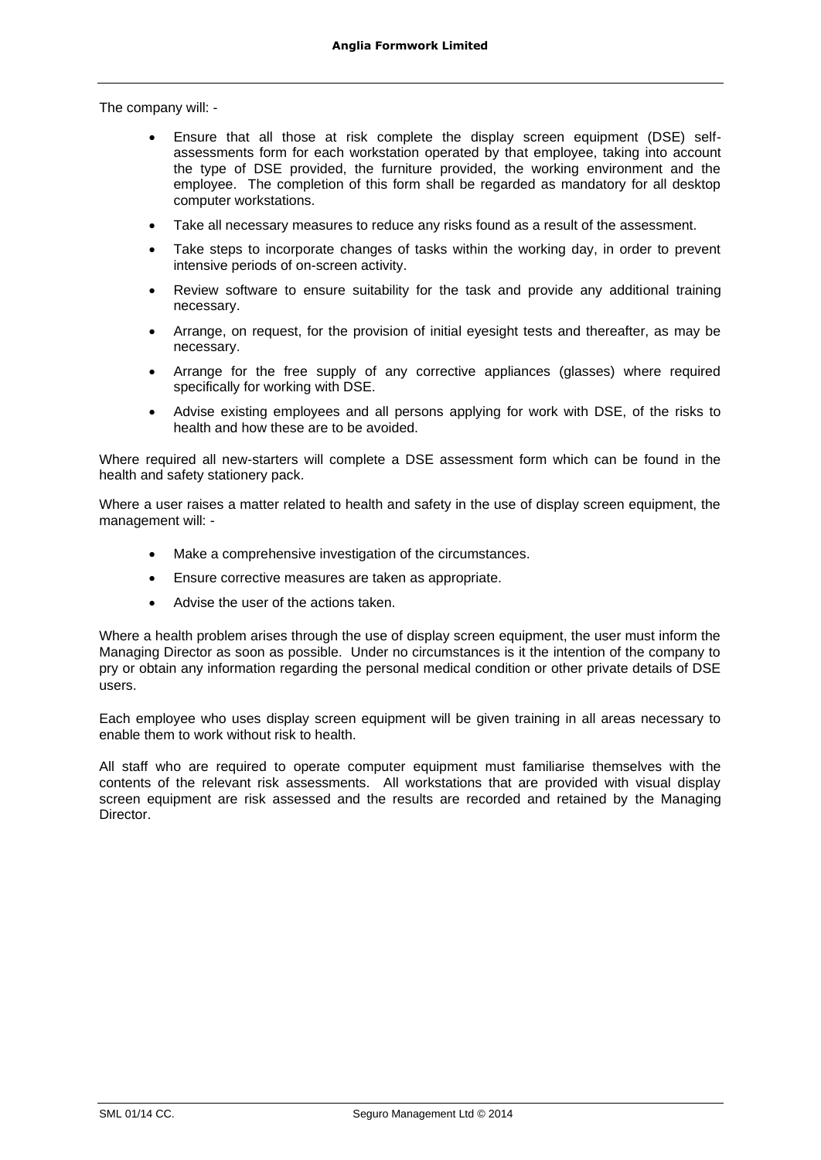The company will: -

- Ensure that all those at risk complete the display screen equipment (DSE) selfassessments form for each workstation operated by that employee, taking into account the type of DSE provided, the furniture provided, the working environment and the employee. The completion of this form shall be regarded as mandatory for all desktop computer workstations.
- Take all necessary measures to reduce any risks found as a result of the assessment.
- Take steps to incorporate changes of tasks within the working day, in order to prevent intensive periods of on-screen activity.
- Review software to ensure suitability for the task and provide any additional training necessary.
- Arrange, on request, for the provision of initial eyesight tests and thereafter, as may be necessary.
- Arrange for the free supply of any corrective appliances (glasses) where required specifically for working with DSE.
- Advise existing employees and all persons applying for work with DSE, of the risks to health and how these are to be avoided.

Where required all new-starters will complete a DSE assessment form which can be found in the health and safety stationery pack.

Where a user raises a matter related to health and safety in the use of display screen equipment, the management will: -

- Make a comprehensive investigation of the circumstances.
- Ensure corrective measures are taken as appropriate.
- Advise the user of the actions taken.

Where a health problem arises through the use of display screen equipment, the user must inform the Managing Director as soon as possible. Under no circumstances is it the intention of the company to pry or obtain any information regarding the personal medical condition or other private details of DSE users.

Each employee who uses display screen equipment will be given training in all areas necessary to enable them to work without risk to health.

All staff who are required to operate computer equipment must familiarise themselves with the contents of the relevant risk assessments. All workstations that are provided with visual display screen equipment are risk assessed and the results are recorded and retained by the Managing **Director**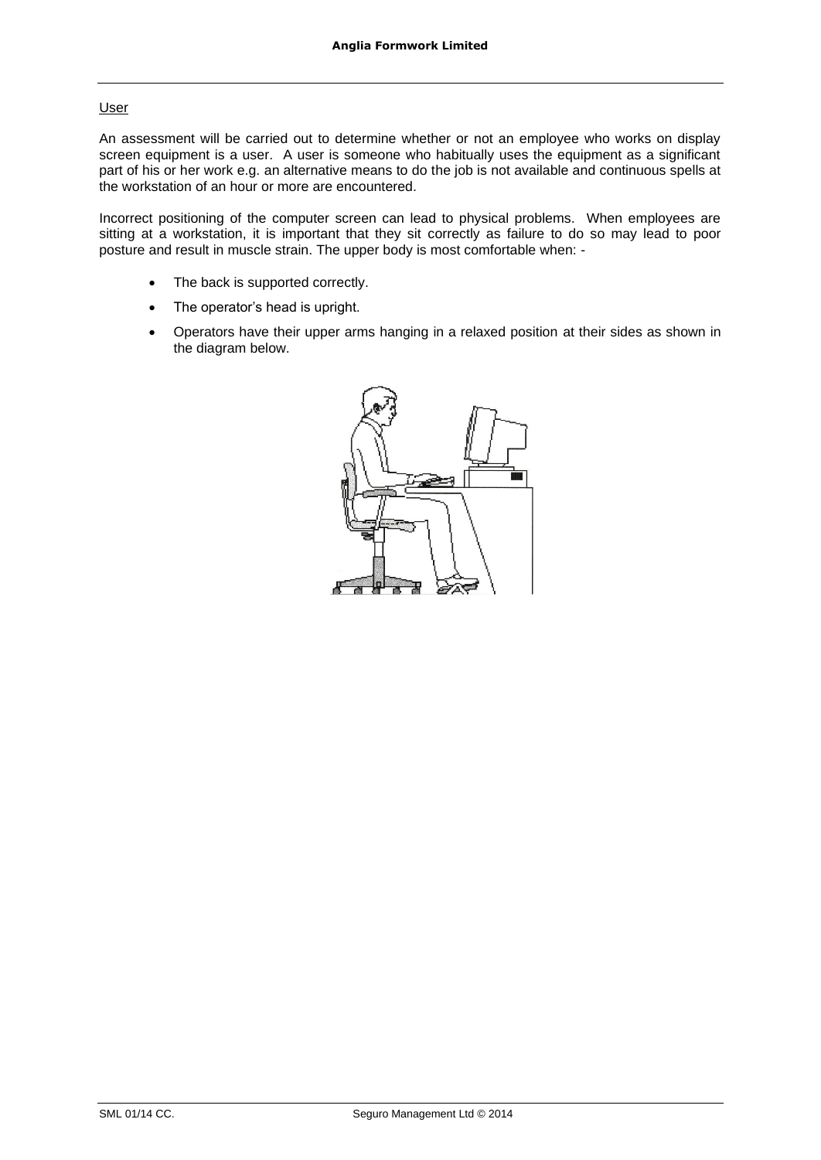### User

An assessment will be carried out to determine whether or not an employee who works on display screen equipment is a user. A user is someone who habitually uses the equipment as a significant part of his or her work e.g. an alternative means to do the job is not available and continuous spells at the workstation of an hour or more are encountered.

Incorrect positioning of the computer screen can lead to physical problems. When employees are sitting at a workstation, it is important that they sit correctly as failure to do so may lead to poor posture and result in muscle strain. The upper body is most comfortable when: -

- The back is supported correctly.
- The operator's head is upright.
- Operators have their upper arms hanging in a relaxed position at their sides as shown in the diagram below.

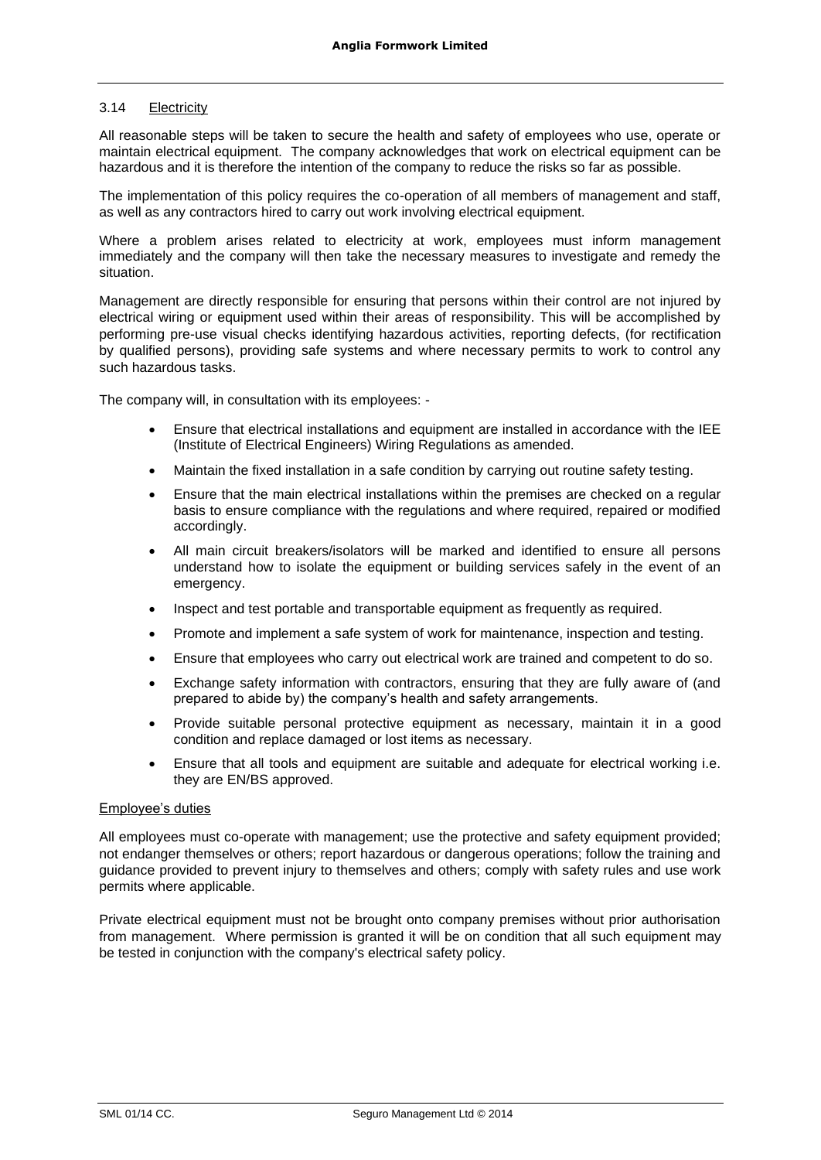### 3.14 Electricity

All reasonable steps will be taken to secure the health and safety of employees who use, operate or maintain electrical equipment. The company acknowledges that work on electrical equipment can be hazardous and it is therefore the intention of the company to reduce the risks so far as possible.

The implementation of this policy requires the co-operation of all members of management and staff, as well as any contractors hired to carry out work involving electrical equipment.

Where a problem arises related to electricity at work, employees must inform management immediately and the company will then take the necessary measures to investigate and remedy the situation.

Management are directly responsible for ensuring that persons within their control are not injured by electrical wiring or equipment used within their areas of responsibility. This will be accomplished by performing pre-use visual checks identifying hazardous activities, reporting defects, (for rectification by qualified persons), providing safe systems and where necessary permits to work to control any such hazardous tasks.

The company will, in consultation with its employees: -

- Ensure that electrical installations and equipment are installed in accordance with the IEE (Institute of Electrical Engineers) Wiring Regulations as amended.
- Maintain the fixed installation in a safe condition by carrying out routine safety testing.
- Ensure that the main electrical installations within the premises are checked on a regular basis to ensure compliance with the regulations and where required, repaired or modified accordingly.
- All main circuit breakers/isolators will be marked and identified to ensure all persons understand how to isolate the equipment or building services safely in the event of an emergency.
- Inspect and test portable and transportable equipment as frequently as required.
- Promote and implement a safe system of work for maintenance, inspection and testing.
- Ensure that employees who carry out electrical work are trained and competent to do so.
- Exchange safety information with contractors, ensuring that they are fully aware of (and prepared to abide by) the company's health and safety arrangements.
- Provide suitable personal protective equipment as necessary, maintain it in a good condition and replace damaged or lost items as necessary.
- Ensure that all tools and equipment are suitable and adequate for electrical working i.e. they are EN/BS approved.

### Employee's duties

All employees must co-operate with management; use the protective and safety equipment provided; not endanger themselves or others; report hazardous or dangerous operations; follow the training and guidance provided to prevent injury to themselves and others; comply with safety rules and use work permits where applicable.

Private electrical equipment must not be brought onto company premises without prior authorisation from management. Where permission is granted it will be on condition that all such equipment may be tested in conjunction with the company's electrical safety policy.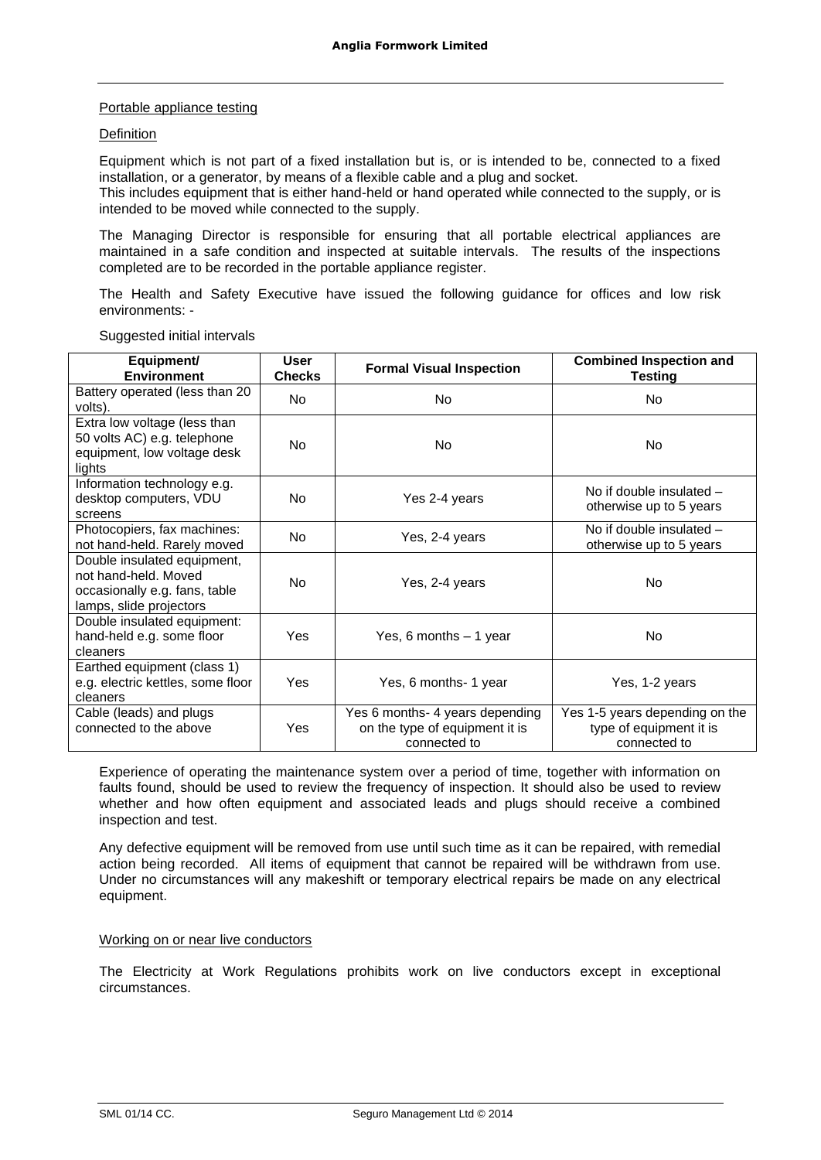### Portable appliance testing

### **Definition**

Equipment which is not part of a fixed installation but is, or is intended to be, connected to a fixed installation, or a generator, by means of a flexible cable and a plug and socket.

This includes equipment that is either hand-held or hand operated while connected to the supply, or is intended to be moved while connected to the supply.

The Managing Director is responsible for ensuring that all portable electrical appliances are maintained in a safe condition and inspected at suitable intervals. The results of the inspections completed are to be recorded in the portable appliance register.

The Health and Safety Executive have issued the following guidance for offices and low risk environments: -

| Equipment/<br><b>Environment</b>                                                                                | <b>User</b><br><b>Checks</b> | <b>Formal Visual Inspection</b>                                                   | <b>Combined Inspection and</b><br>Testing                                 |
|-----------------------------------------------------------------------------------------------------------------|------------------------------|-----------------------------------------------------------------------------------|---------------------------------------------------------------------------|
| Battery operated (less than 20<br>volts).                                                                       | <b>No</b>                    | N <sub>o</sub>                                                                    | No                                                                        |
| Extra low voltage (less than<br>50 volts AC) e.g. telephone<br>equipment, low voltage desk<br>lights            | No                           | N <sub>o</sub>                                                                    | <b>No</b>                                                                 |
| Information technology e.g.<br>desktop computers, VDU<br>screens                                                | <b>No</b>                    | Yes 2-4 years                                                                     | No if double insulated $-$<br>otherwise up to 5 years                     |
| Photocopiers, fax machines:<br>not hand-held. Rarely moved                                                      | N <sub>o</sub>               | Yes, 2-4 years                                                                    | No if double insulated $-$<br>otherwise up to 5 years                     |
| Double insulated equipment,<br>not hand-held. Moved<br>occasionally e.g. fans, table<br>lamps, slide projectors | <b>No</b>                    | Yes, 2-4 years                                                                    | No                                                                        |
| Double insulated equipment:<br>hand-held e.g. some floor<br>cleaners                                            | Yes                          | Yes, 6 months $-1$ year                                                           | No                                                                        |
| Earthed equipment (class 1)<br>e.g. electric kettles, some floor<br>cleaners                                    | Yes                          | Yes, 6 months- 1 year                                                             | Yes, 1-2 years                                                            |
| Cable (leads) and plugs<br>connected to the above                                                               | Yes                          | Yes 6 months- 4 years depending<br>on the type of equipment it is<br>connected to | Yes 1-5 years depending on the<br>type of equipment it is<br>connected to |

Suggested initial intervals

Experience of operating the maintenance system over a period of time, together with information on faults found, should be used to review the frequency of inspection. It should also be used to review whether and how often equipment and associated leads and plugs should receive a combined inspection and test.

Any defective equipment will be removed from use until such time as it can be repaired, with remedial action being recorded. All items of equipment that cannot be repaired will be withdrawn from use. Under no circumstances will any makeshift or temporary electrical repairs be made on any electrical equipment.

### Working on or near live conductors

The Electricity at Work Regulations prohibits work on live conductors except in exceptional circumstances.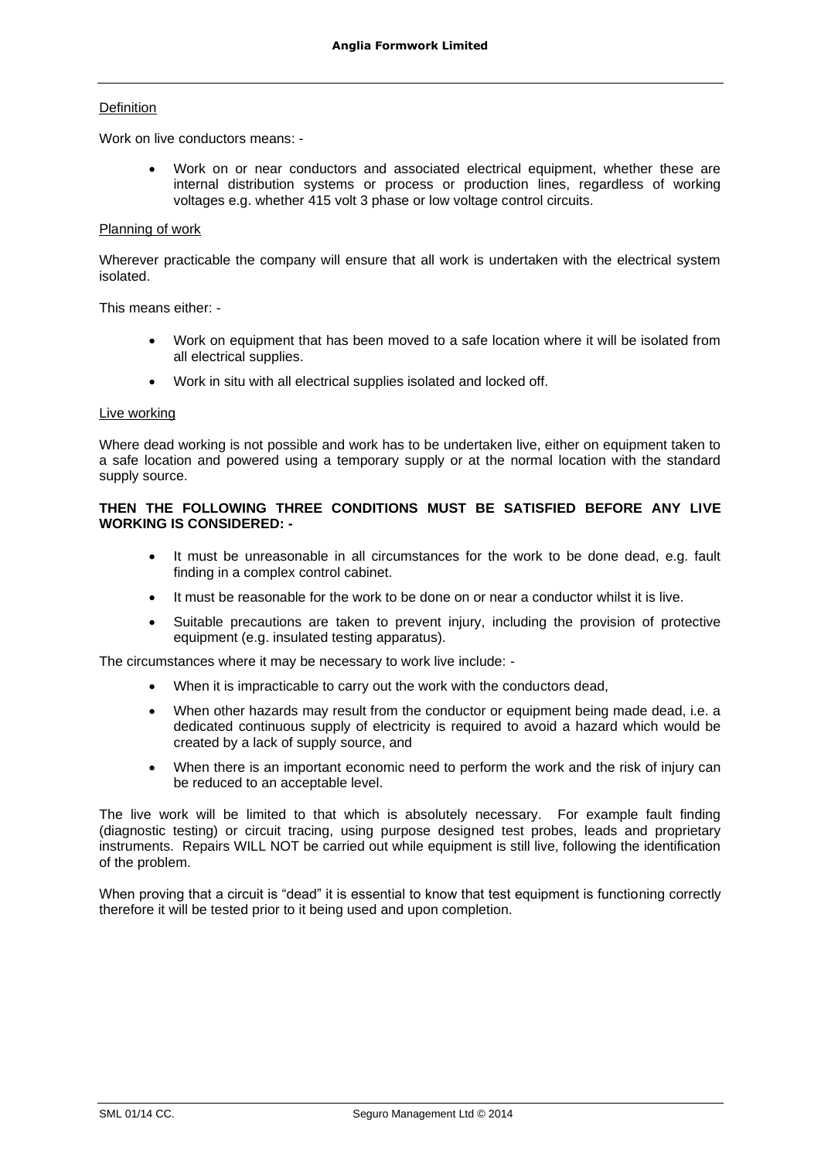### **Definition**

Work on live conductors means: -

• Work on or near conductors and associated electrical equipment, whether these are internal distribution systems or process or production lines, regardless of working voltages e.g. whether 415 volt 3 phase or low voltage control circuits.

### Planning of work

Wherever practicable the company will ensure that all work is undertaken with the electrical system isolated.

This means either: -

- Work on equipment that has been moved to a safe location where it will be isolated from all electrical supplies.
- Work in situ with all electrical supplies isolated and locked off.

#### Live working

Where dead working is not possible and work has to be undertaken live, either on equipment taken to a safe location and powered using a temporary supply or at the normal location with the standard supply source.

### **THEN THE FOLLOWING THREE CONDITIONS MUST BE SATISFIED BEFORE ANY LIVE WORKING IS CONSIDERED: -**

- It must be unreasonable in all circumstances for the work to be done dead, e.g. fault finding in a complex control cabinet.
- It must be reasonable for the work to be done on or near a conductor whilst it is live.
- Suitable precautions are taken to prevent injury, including the provision of protective equipment (e.g. insulated testing apparatus).

The circumstances where it may be necessary to work live include: -

- When it is impracticable to carry out the work with the conductors dead,
- When other hazards may result from the conductor or equipment being made dead, i.e. a dedicated continuous supply of electricity is required to avoid a hazard which would be created by a lack of supply source, and
- When there is an important economic need to perform the work and the risk of injury can be reduced to an acceptable level.

The live work will be limited to that which is absolutely necessary. For example fault finding (diagnostic testing) or circuit tracing, using purpose designed test probes, leads and proprietary instruments. Repairs WILL NOT be carried out while equipment is still live, following the identification of the problem.

When proving that a circuit is "dead" it is essential to know that test equipment is functioning correctly therefore it will be tested prior to it being used and upon completion.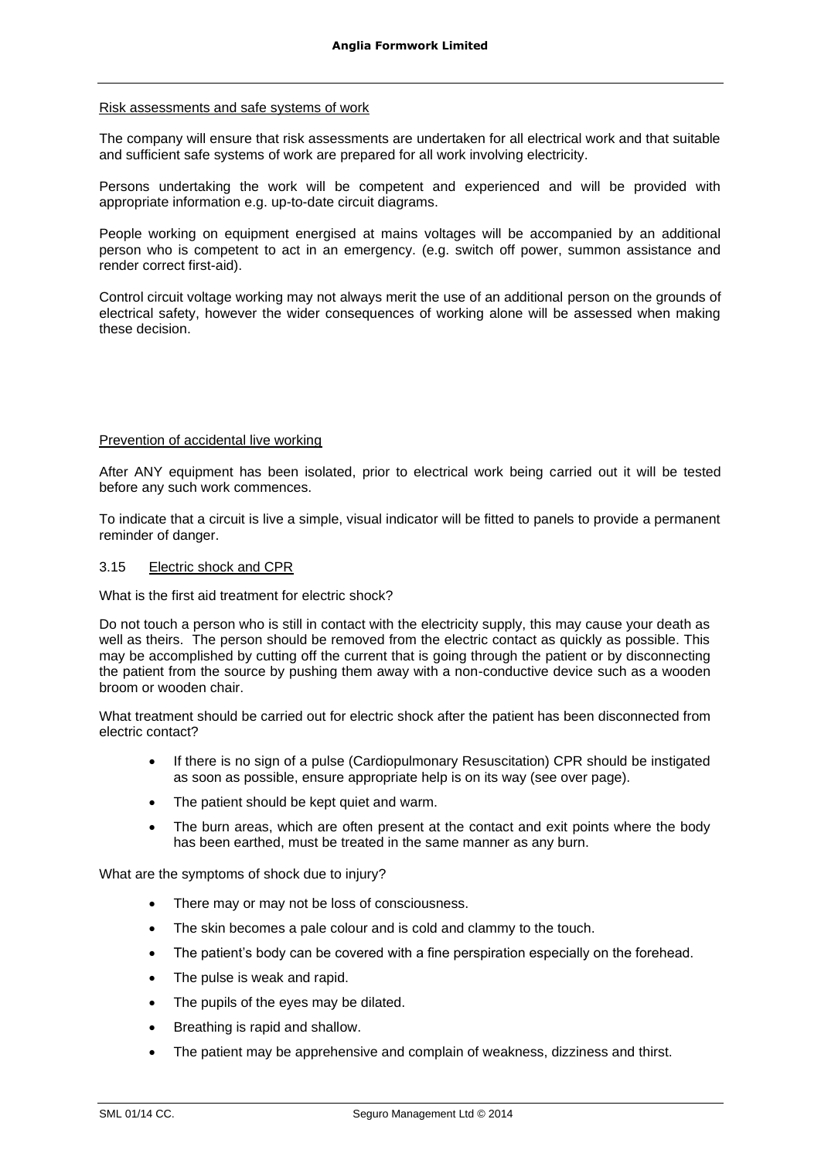### Risk assessments and safe systems of work

The company will ensure that risk assessments are undertaken for all electrical work and that suitable and sufficient safe systems of work are prepared for all work involving electricity.

Persons undertaking the work will be competent and experienced and will be provided with appropriate information e.g. up-to-date circuit diagrams.

People working on equipment energised at mains voltages will be accompanied by an additional person who is competent to act in an emergency. (e.g. switch off power, summon assistance and render correct first-aid).

Control circuit voltage working may not always merit the use of an additional person on the grounds of electrical safety, however the wider consequences of working alone will be assessed when making these decision.

### Prevention of accidental live working

After ANY equipment has been isolated, prior to electrical work being carried out it will be tested before any such work commences.

To indicate that a circuit is live a simple, visual indicator will be fitted to panels to provide a permanent reminder of danger.

### 3.15 Electric shock and CPR

What is the first aid treatment for electric shock?

Do not touch a person who is still in contact with the electricity supply, this may cause your death as well as theirs. The person should be removed from the electric contact as quickly as possible. This may be accomplished by cutting off the current that is going through the patient or by disconnecting the patient from the source by pushing them away with a non-conductive device such as a wooden broom or wooden chair.

What treatment should be carried out for electric shock after the patient has been disconnected from electric contact?

- If there is no sign of a pulse (Cardiopulmonary Resuscitation) CPR should be instigated as soon as possible, ensure appropriate help is on its way (see over page).
- The patient should be kept quiet and warm.
- The burn areas, which are often present at the contact and exit points where the body has been earthed, must be treated in the same manner as any burn.

What are the symptoms of shock due to injury?

- There may or may not be loss of consciousness.
- The skin becomes a pale colour and is cold and clammy to the touch.
- The patient's body can be covered with a fine perspiration especially on the forehead.
- The pulse is weak and rapid.
- The pupils of the eyes may be dilated.
- Breathing is rapid and shallow.
- The patient may be apprehensive and complain of weakness, dizziness and thirst.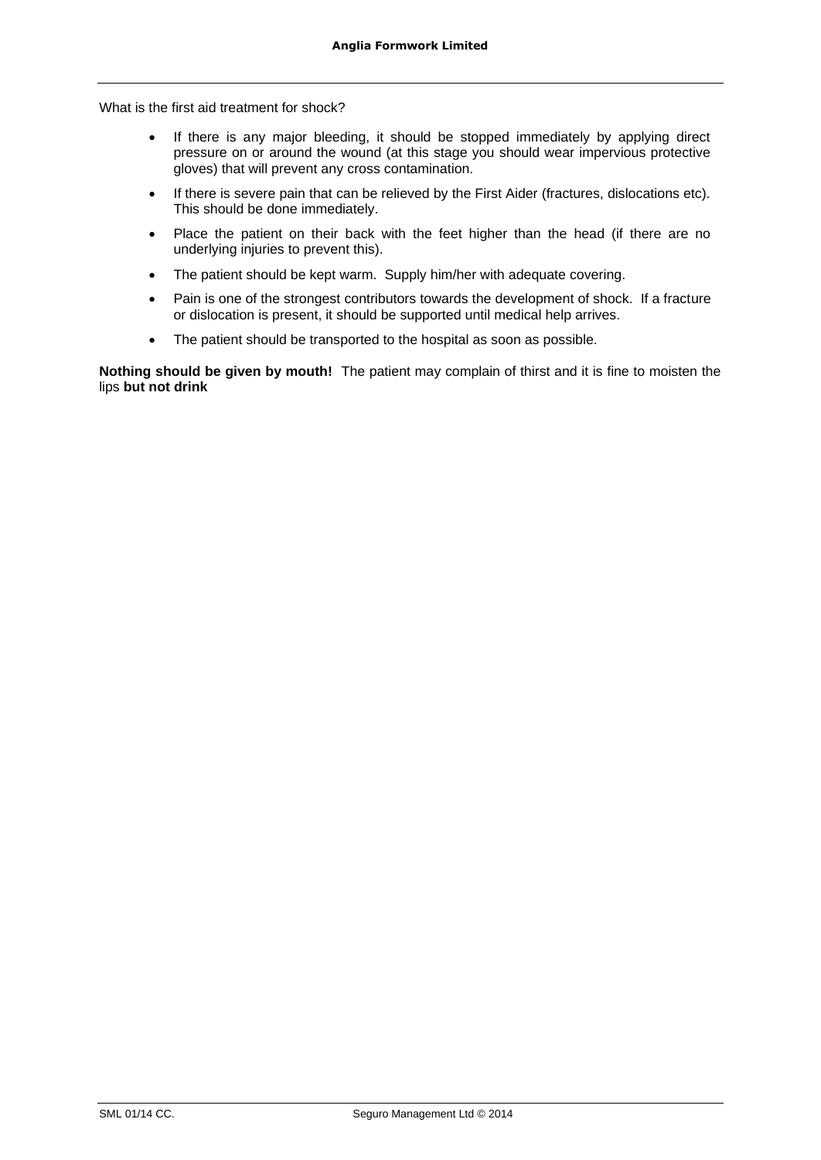What is the first aid treatment for shock?

- If there is any major bleeding, it should be stopped immediately by applying direct pressure on or around the wound (at this stage you should wear impervious protective gloves) that will prevent any cross contamination.
- If there is severe pain that can be relieved by the First Aider (fractures, dislocations etc). This should be done immediately.
- Place the patient on their back with the feet higher than the head (if there are no underlying injuries to prevent this).
- The patient should be kept warm. Supply him/her with adequate covering.
- Pain is one of the strongest contributors towards the development of shock. If a fracture or dislocation is present, it should be supported until medical help arrives.
- The patient should be transported to the hospital as soon as possible.

**Nothing should be given by mouth!** The patient may complain of thirst and it is fine to moisten the lips **but not drink**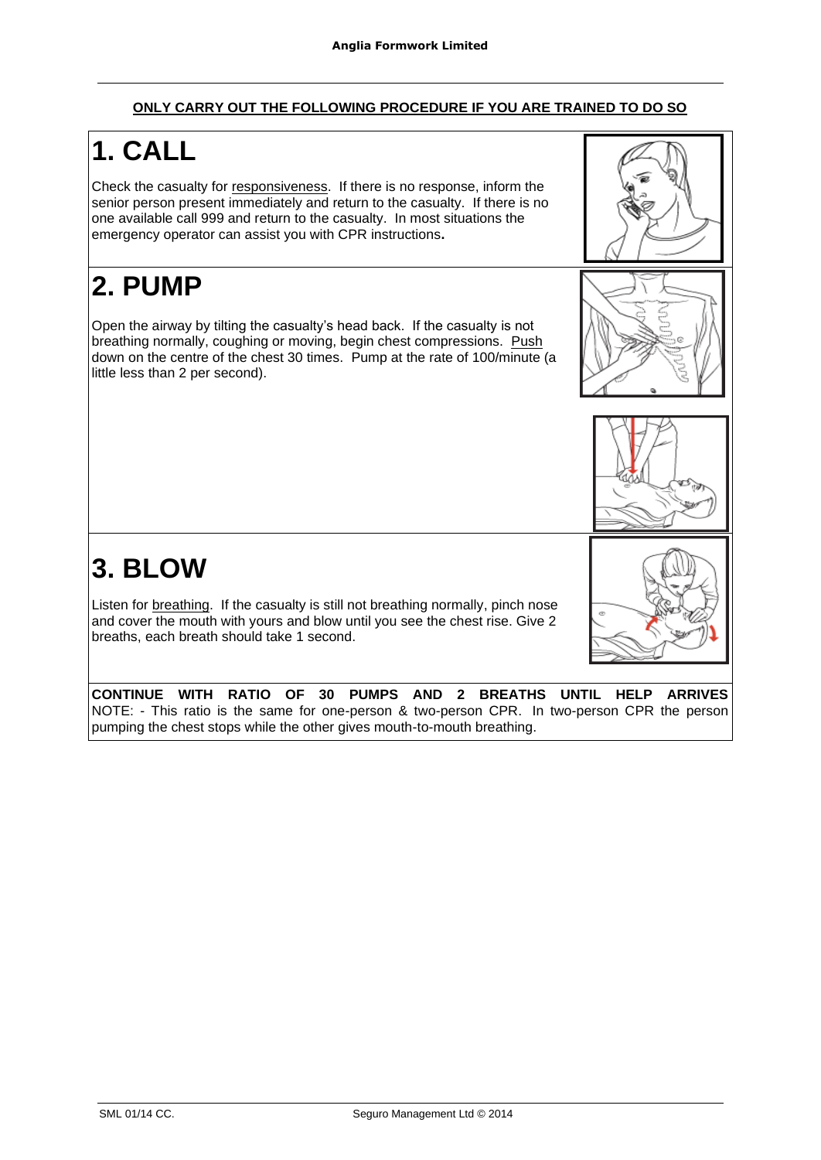# **ONLY CARRY OUT THE FOLLOWING PROCEDURE IF YOU ARE TRAINED TO DO SO**

# **1. CALL**

Check the casualty for responsiveness. If there is no response, inform the senior person present immediately and return to the casualty. If there is no one available call 999 and return to the casualty. In most situations the emergency operator can assist you with CPR instructions**.**

# **2. PUMP**

Open the airway by tilting the casualty's head back. If the casualty is not breathing normally, coughing or moving, begin chest compressions. Push down on the centre of the chest 30 times. Pump at the rate of 100/minute (a little less than 2 per second).





# **3. BLOW**

Listen for breathing. If the casualty is still not breathing normally, pinch nose and cover the mouth with yours and blow until you see the chest rise. Give 2 breaths, each breath should take 1 second.



**CONTINUE WITH RATIO OF 30 PUMPS AND 2 BREATHS UNTIL HELP ARRIVES**  NOTE: - This ratio is the same for one-person & two-person CPR. In two-person CPR the person pumping the chest stops while the other gives mouth-to-mouth breathing.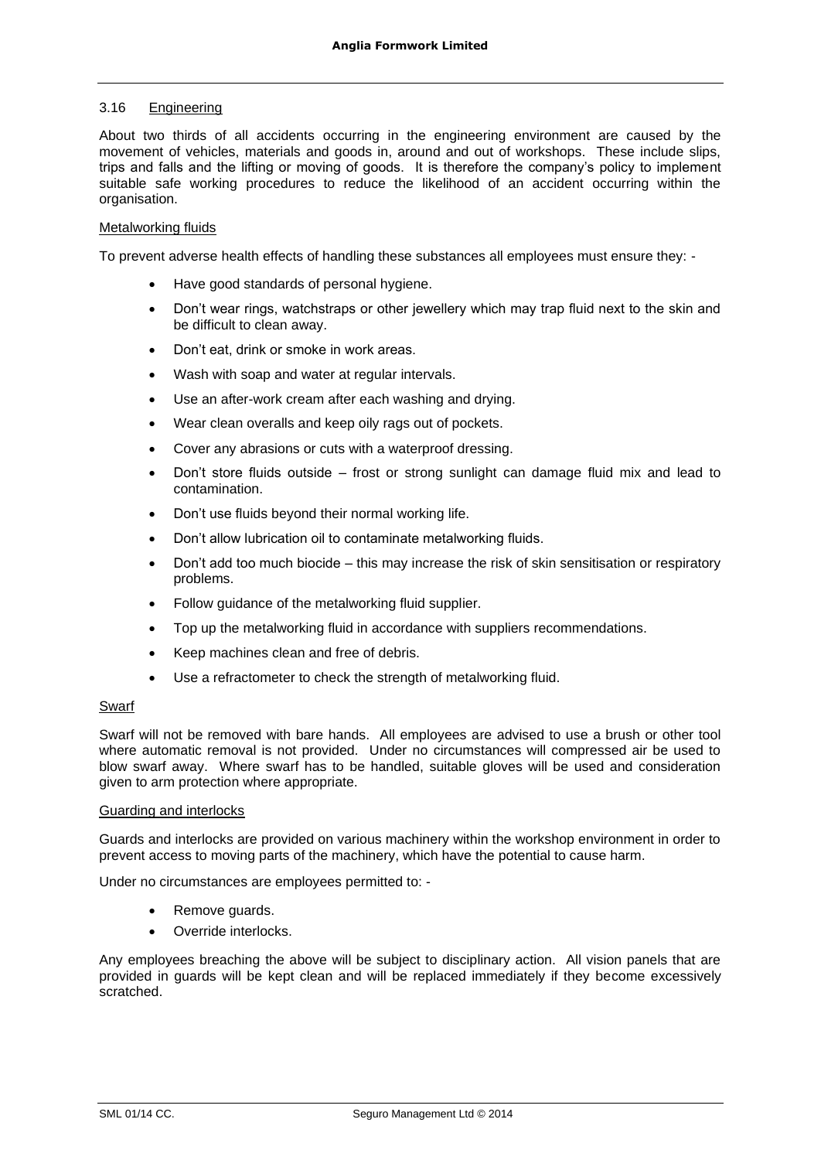# 3.16 Engineering

About two thirds of all accidents occurring in the engineering environment are caused by the movement of vehicles, materials and goods in, around and out of workshops. These include slips, trips and falls and the lifting or moving of goods. It is therefore the company's policy to implement suitable safe working procedures to reduce the likelihood of an accident occurring within the organisation.

# Metalworking fluids

To prevent adverse health effects of handling these substances all employees must ensure they: -

- Have good standards of personal hygiene.
- Don't wear rings, watchstraps or other jewellery which may trap fluid next to the skin and be difficult to clean away.
- Don't eat, drink or smoke in work areas.
- Wash with soap and water at regular intervals.
- Use an after-work cream after each washing and drying.
- Wear clean overalls and keep oily rags out of pockets.
- Cover any abrasions or cuts with a waterproof dressing.
- Don't store fluids outside frost or strong sunlight can damage fluid mix and lead to contamination.
- Don't use fluids beyond their normal working life.
- Don't allow lubrication oil to contaminate metalworking fluids.
- Don't add too much biocide this may increase the risk of skin sensitisation or respiratory problems.
- Follow guidance of the metalworking fluid supplier.
- Top up the metalworking fluid in accordance with suppliers recommendations.
- Keep machines clean and free of debris.
- Use a refractometer to check the strength of metalworking fluid.

# Swarf

Swarf will not be removed with bare hands. All employees are advised to use a brush or other tool where automatic removal is not provided. Under no circumstances will compressed air be used to blow swarf away. Where swarf has to be handled, suitable gloves will be used and consideration given to arm protection where appropriate.

#### Guarding and interlocks

Guards and interlocks are provided on various machinery within the workshop environment in order to prevent access to moving parts of the machinery, which have the potential to cause harm.

Under no circumstances are employees permitted to: -

- Remove guards.
- Override interlocks.

Any employees breaching the above will be subject to disciplinary action. All vision panels that are provided in guards will be kept clean and will be replaced immediately if they become excessively scratched.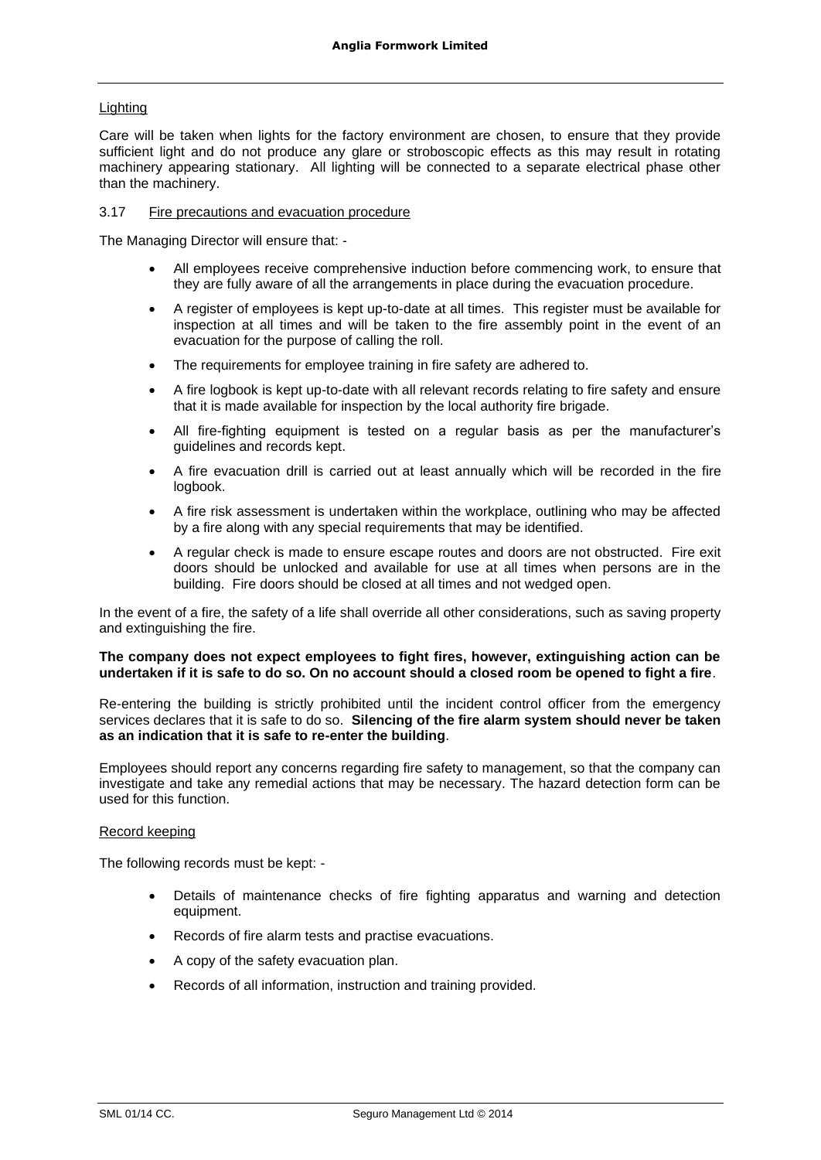# Lighting

Care will be taken when lights for the factory environment are chosen, to ensure that they provide sufficient light and do not produce any glare or stroboscopic effects as this may result in rotating machinery appearing stationary. All lighting will be connected to a separate electrical phase other than the machinery.

#### 3.17 Fire precautions and evacuation procedure

The Managing Director will ensure that: -

- All employees receive comprehensive induction before commencing work, to ensure that they are fully aware of all the arrangements in place during the evacuation procedure.
- A register of employees is kept up-to-date at all times. This register must be available for inspection at all times and will be taken to the fire assembly point in the event of an evacuation for the purpose of calling the roll.
- The requirements for employee training in fire safety are adhered to.
- A fire logbook is kept up-to-date with all relevant records relating to fire safety and ensure that it is made available for inspection by the local authority fire brigade.
- All fire-fighting equipment is tested on a regular basis as per the manufacturer's guidelines and records kept.
- A fire evacuation drill is carried out at least annually which will be recorded in the fire logbook.
- A fire risk assessment is undertaken within the workplace, outlining who may be affected by a fire along with any special requirements that may be identified.
- A regular check is made to ensure escape routes and doors are not obstructed. Fire exit doors should be unlocked and available for use at all times when persons are in the building. Fire doors should be closed at all times and not wedged open.

In the event of a fire, the safety of a life shall override all other considerations, such as saving property and extinguishing the fire.

### **The company does not expect employees to fight fires, however, extinguishing action can be undertaken if it is safe to do so. On no account should a closed room be opened to fight a fire**.

Re-entering the building is strictly prohibited until the incident control officer from the emergency services declares that it is safe to do so. **Silencing of the fire alarm system should never be taken as an indication that it is safe to re-enter the building**.

Employees should report any concerns regarding fire safety to management, so that the company can investigate and take any remedial actions that may be necessary. The hazard detection form can be used for this function.

#### Record keeping

The following records must be kept: -

- Details of maintenance checks of fire fighting apparatus and warning and detection equipment.
- Records of fire alarm tests and practise evacuations.
- A copy of the safety evacuation plan.
- Records of all information, instruction and training provided.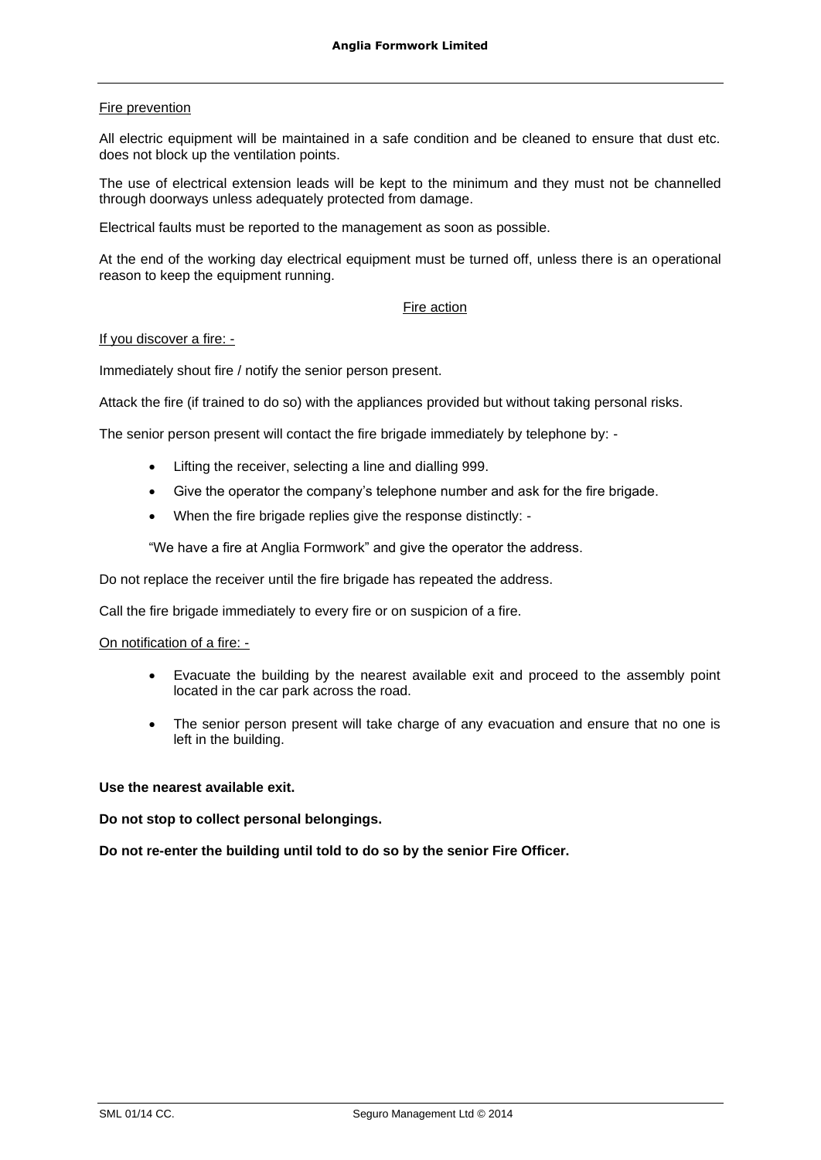# Fire prevention

All electric equipment will be maintained in a safe condition and be cleaned to ensure that dust etc. does not block up the ventilation points.

The use of electrical extension leads will be kept to the minimum and they must not be channelled through doorways unless adequately protected from damage.

Electrical faults must be reported to the management as soon as possible.

At the end of the working day electrical equipment must be turned off, unless there is an operational reason to keep the equipment running.

# Fire action

#### If you discover a fire: -

Immediately shout fire / notify the senior person present.

Attack the fire (if trained to do so) with the appliances provided but without taking personal risks.

The senior person present will contact the fire brigade immediately by telephone by: -

- Lifting the receiver, selecting a line and dialling 999.
- Give the operator the company's telephone number and ask for the fire brigade.
- When the fire brigade replies give the response distinctly: -

"We have a fire at Anglia Formwork" and give the operator the address.

Do not replace the receiver until the fire brigade has repeated the address.

Call the fire brigade immediately to every fire or on suspicion of a fire.

#### On notification of a fire: -

- Evacuate the building by the nearest available exit and proceed to the assembly point located in the car park across the road.
- The senior person present will take charge of any evacuation and ensure that no one is left in the building.

#### **Use the nearest available exit.**

#### **Do not stop to collect personal belongings.**

**Do not re-enter the building until told to do so by the senior Fire Officer.**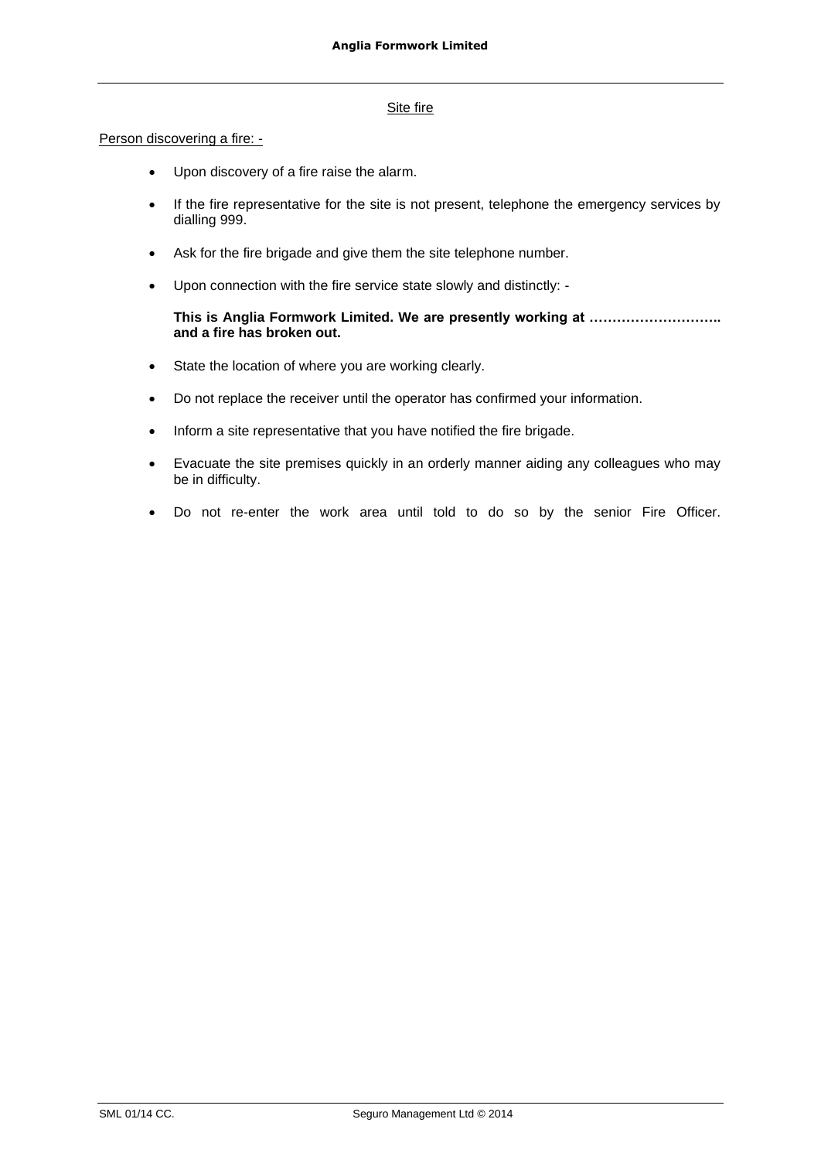# Site fire

### Person discovering a fire: -

- Upon discovery of a fire raise the alarm.
- If the fire representative for the site is not present, telephone the emergency services by dialling 999.
- Ask for the fire brigade and give them the site telephone number.
- Upon connection with the fire service state slowly and distinctly: -

# **This is Anglia Formwork Limited. We are presently working at ……………………….. and a fire has broken out.**

- State the location of where you are working clearly.
- Do not replace the receiver until the operator has confirmed your information.
- Inform a site representative that you have notified the fire brigade.
- Evacuate the site premises quickly in an orderly manner aiding any colleagues who may be in difficulty.
- Do not re-enter the work area until told to do so by the senior Fire Officer.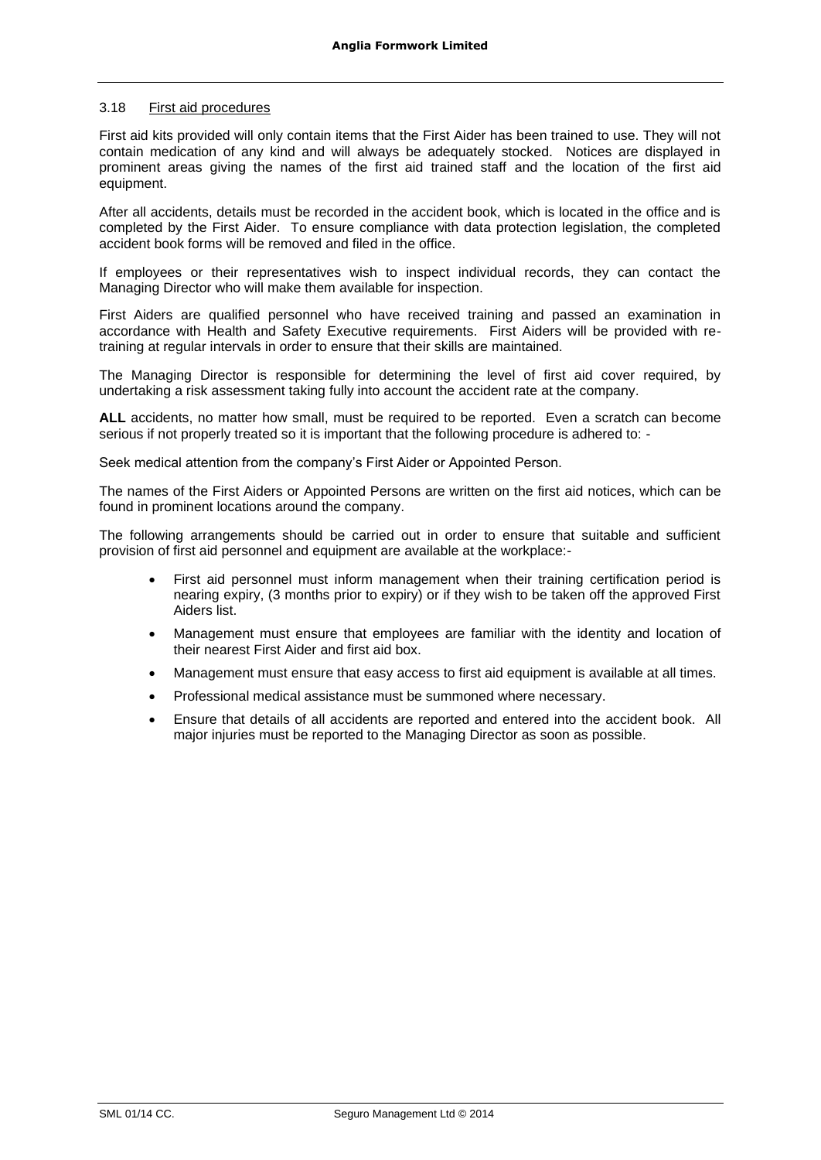#### 3.18 First aid procedures

First aid kits provided will only contain items that the First Aider has been trained to use. They will not contain medication of any kind and will always be adequately stocked. Notices are displayed in prominent areas giving the names of the first aid trained staff and the location of the first aid equipment.

After all accidents, details must be recorded in the accident book, which is located in the office and is completed by the First Aider. To ensure compliance with data protection legislation, the completed accident book forms will be removed and filed in the office.

If employees or their representatives wish to inspect individual records, they can contact the Managing Director who will make them available for inspection.

First Aiders are qualified personnel who have received training and passed an examination in accordance with Health and Safety Executive requirements. First Aiders will be provided with retraining at regular intervals in order to ensure that their skills are maintained.

The Managing Director is responsible for determining the level of first aid cover required, by undertaking a risk assessment taking fully into account the accident rate at the company.

**ALL** accidents, no matter how small, must be required to be reported. Even a scratch can become serious if not properly treated so it is important that the following procedure is adhered to: -

Seek medical attention from the company's First Aider or Appointed Person.

The names of the First Aiders or Appointed Persons are written on the first aid notices, which can be found in prominent locations around the company.

The following arrangements should be carried out in order to ensure that suitable and sufficient provision of first aid personnel and equipment are available at the workplace:-

- First aid personnel must inform management when their training certification period is nearing expiry, (3 months prior to expiry) or if they wish to be taken off the approved First Aiders list.
- Management must ensure that employees are familiar with the identity and location of their nearest First Aider and first aid box.
- Management must ensure that easy access to first aid equipment is available at all times.
- Professional medical assistance must be summoned where necessary.
- Ensure that details of all accidents are reported and entered into the accident book. All major injuries must be reported to the Managing Director as soon as possible.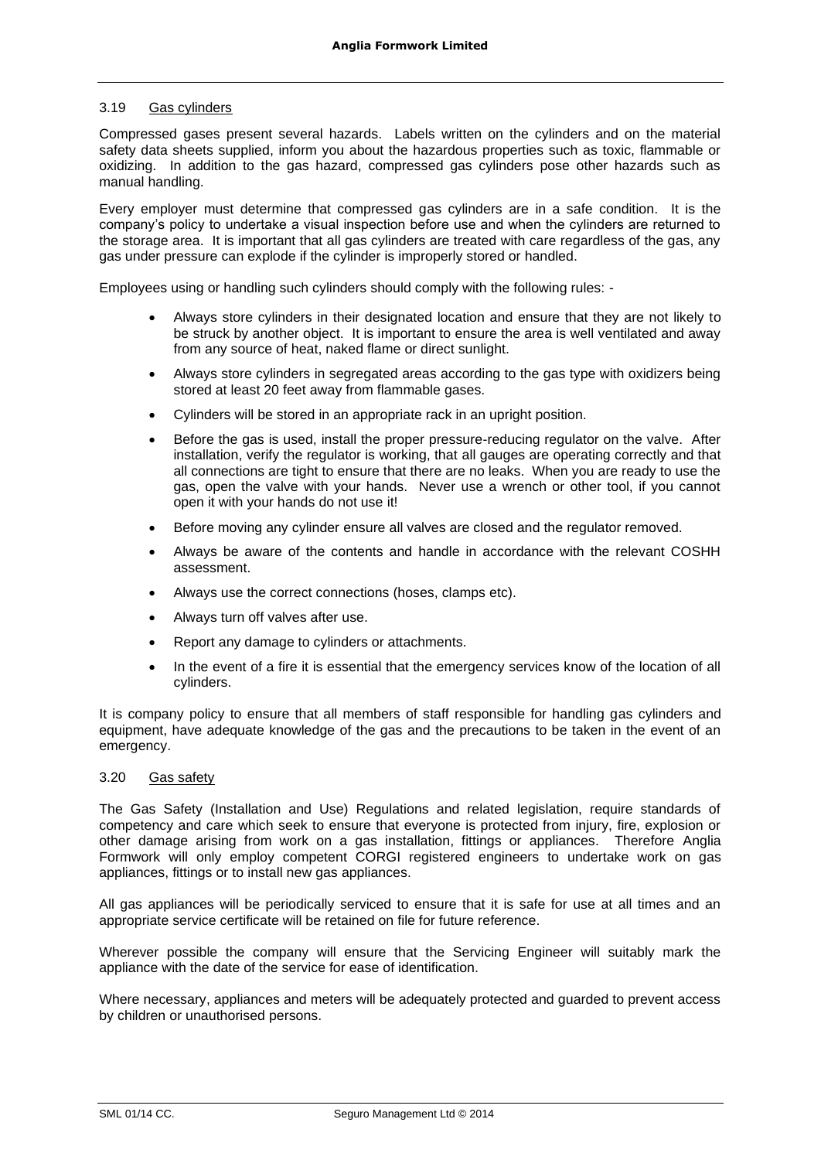#### 3.19 Gas cylinders

Compressed gases present several hazards. Labels written on the cylinders and on the material safety data sheets supplied, inform you about the hazardous properties such as toxic, flammable or oxidizing. In addition to the gas hazard, compressed gas cylinders pose other hazards such as manual handling.

Every employer must determine that compressed gas cylinders are in a safe condition. It is the company's policy to undertake a visual inspection before use and when the cylinders are returned to the storage area. It is important that all gas cylinders are treated with care regardless of the gas, any gas under pressure can explode if the cylinder is improperly stored or handled.

Employees using or handling such cylinders should comply with the following rules: -

- Always store cylinders in their designated location and ensure that they are not likely to be struck by another object. It is important to ensure the area is well ventilated and away from any source of heat, naked flame or direct sunlight.
- Always store cylinders in segregated areas according to the gas type with oxidizers being stored at least 20 feet away from flammable gases.
- Cylinders will be stored in an appropriate rack in an upright position.
- Before the gas is used, install the proper pressure-reducing regulator on the valve. After installation, verify the regulator is working, that all gauges are operating correctly and that all connections are tight to ensure that there are no leaks. When you are ready to use the gas, open the valve with your hands. Never use a wrench or other tool, if you cannot open it with your hands do not use it!
- Before moving any cylinder ensure all valves are closed and the regulator removed.
- Always be aware of the contents and handle in accordance with the relevant COSHH assessment.
- Always use the correct connections (hoses, clamps etc).
- Always turn off valves after use.
- Report any damage to cylinders or attachments.
- In the event of a fire it is essential that the emergency services know of the location of all cylinders.

It is company policy to ensure that all members of staff responsible for handling gas cylinders and equipment, have adequate knowledge of the gas and the precautions to be taken in the event of an emergency.

#### 3.20 Gas safety

The Gas Safety (Installation and Use) Regulations and related legislation, require standards of competency and care which seek to ensure that everyone is protected from injury, fire, explosion or other damage arising from work on a gas installation, fittings or appliances. Therefore Anglia Formwork will only employ competent CORGI registered engineers to undertake work on gas appliances, fittings or to install new gas appliances.

All gas appliances will be periodically serviced to ensure that it is safe for use at all times and an appropriate service certificate will be retained on file for future reference.

Wherever possible the company will ensure that the Servicing Engineer will suitably mark the appliance with the date of the service for ease of identification.

Where necessary, appliances and meters will be adequately protected and guarded to prevent access by children or unauthorised persons.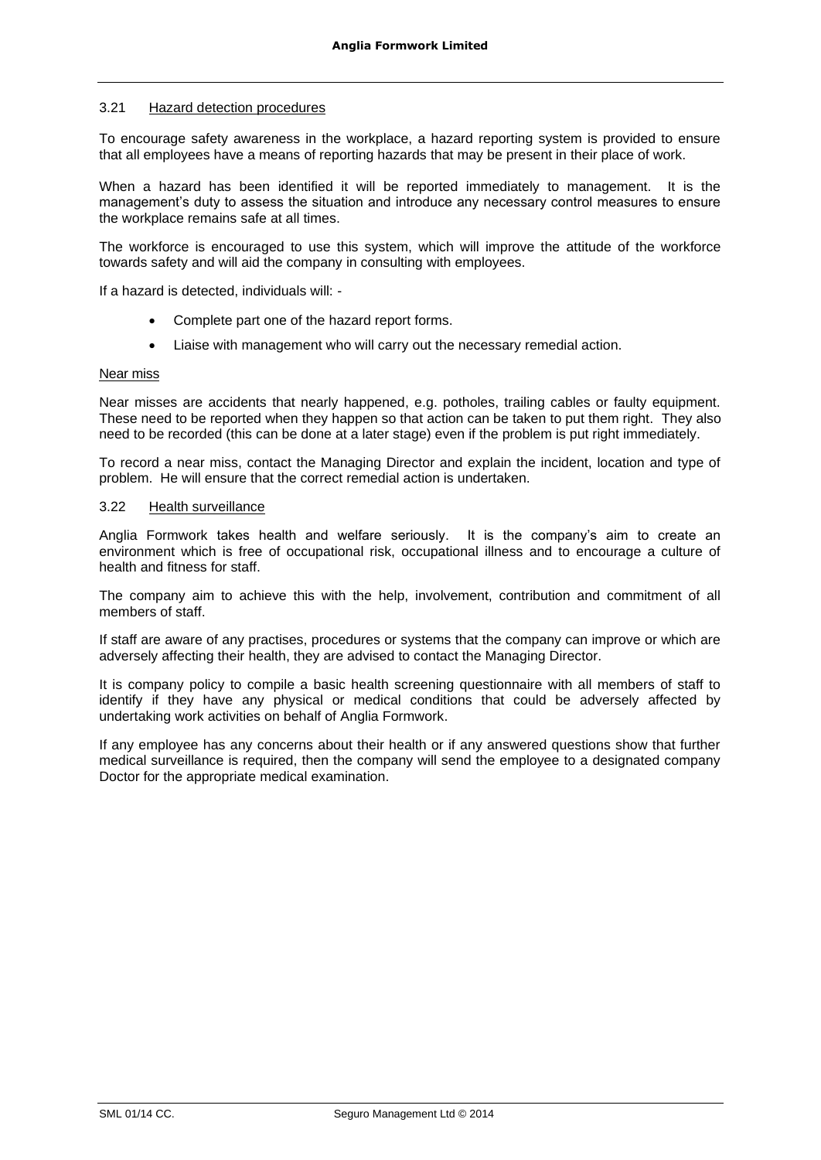# 3.21 Hazard detection procedures

To encourage safety awareness in the workplace, a hazard reporting system is provided to ensure that all employees have a means of reporting hazards that may be present in their place of work.

When a hazard has been identified it will be reported immediately to management. It is the management's duty to assess the situation and introduce any necessary control measures to ensure the workplace remains safe at all times.

The workforce is encouraged to use this system, which will improve the attitude of the workforce towards safety and will aid the company in consulting with employees.

If a hazard is detected, individuals will: -

- Complete part one of the hazard report forms.
- Liaise with management who will carry out the necessary remedial action.

#### Near miss

Near misses are accidents that nearly happened, e.g. potholes, trailing cables or faulty equipment. These need to be reported when they happen so that action can be taken to put them right. They also need to be recorded (this can be done at a later stage) even if the problem is put right immediately.

To record a near miss, contact the Managing Director and explain the incident, location and type of problem. He will ensure that the correct remedial action is undertaken.

# 3.22 Health surveillance

Anglia Formwork takes health and welfare seriously. It is the company's aim to create an environment which is free of occupational risk, occupational illness and to encourage a culture of health and fitness for staff.

The company aim to achieve this with the help, involvement, contribution and commitment of all members of staff.

If staff are aware of any practises, procedures or systems that the company can improve or which are adversely affecting their health, they are advised to contact the Managing Director.

It is company policy to compile a basic health screening questionnaire with all members of staff to identify if they have any physical or medical conditions that could be adversely affected by undertaking work activities on behalf of Anglia Formwork.

If any employee has any concerns about their health or if any answered questions show that further medical surveillance is required, then the company will send the employee to a designated company Doctor for the appropriate medical examination.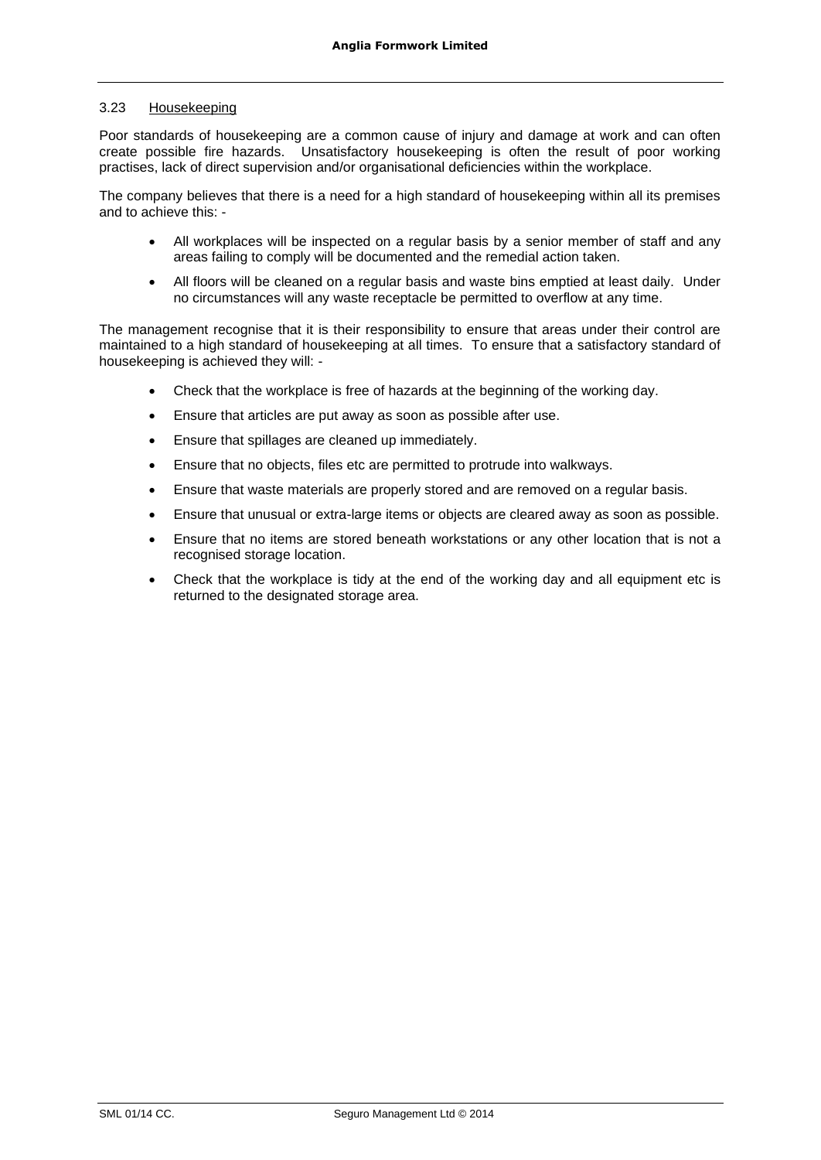# 3.23 Housekeeping

Poor standards of housekeeping are a common cause of injury and damage at work and can often create possible fire hazards. Unsatisfactory housekeeping is often the result of poor working practises, lack of direct supervision and/or organisational deficiencies within the workplace.

The company believes that there is a need for a high standard of housekeeping within all its premises and to achieve this: -

- All workplaces will be inspected on a regular basis by a senior member of staff and any areas failing to comply will be documented and the remedial action taken.
- All floors will be cleaned on a regular basis and waste bins emptied at least daily. Under no circumstances will any waste receptacle be permitted to overflow at any time.

The management recognise that it is their responsibility to ensure that areas under their control are maintained to a high standard of housekeeping at all times. To ensure that a satisfactory standard of housekeeping is achieved they will: -

- Check that the workplace is free of hazards at the beginning of the working day.
- Ensure that articles are put away as soon as possible after use.
- Ensure that spillages are cleaned up immediately.
- Ensure that no objects, files etc are permitted to protrude into walkways.
- Ensure that waste materials are properly stored and are removed on a regular basis.
- Ensure that unusual or extra-large items or objects are cleared away as soon as possible.
- Ensure that no items are stored beneath workstations or any other location that is not a recognised storage location.
- Check that the workplace is tidy at the end of the working day and all equipment etc is returned to the designated storage area.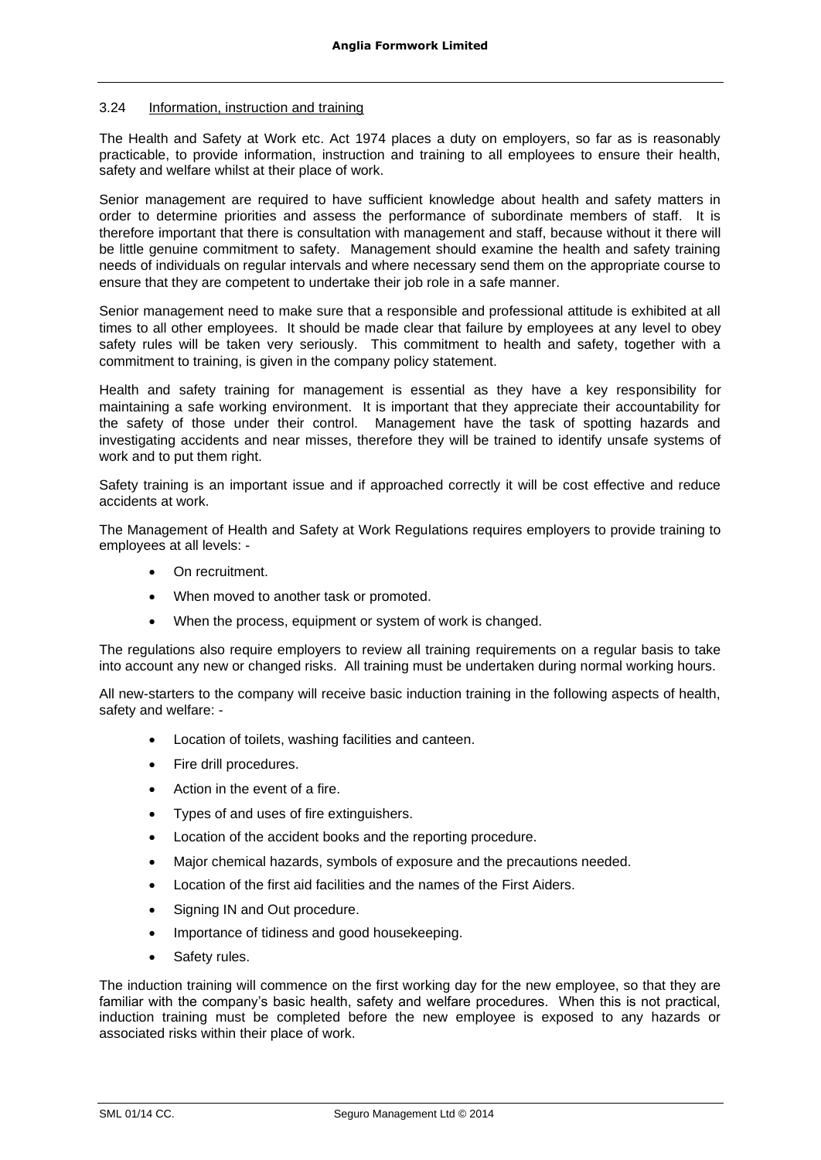# 3.24 Information, instruction and training

The Health and Safety at Work etc. Act 1974 places a duty on employers, so far as is reasonably practicable, to provide information, instruction and training to all employees to ensure their health, safety and welfare whilst at their place of work.

Senior management are required to have sufficient knowledge about health and safety matters in order to determine priorities and assess the performance of subordinate members of staff. It is therefore important that there is consultation with management and staff, because without it there will be little genuine commitment to safety. Management should examine the health and safety training needs of individuals on regular intervals and where necessary send them on the appropriate course to ensure that they are competent to undertake their job role in a safe manner.

Senior management need to make sure that a responsible and professional attitude is exhibited at all times to all other employees. It should be made clear that failure by employees at any level to obey safety rules will be taken very seriously. This commitment to health and safety, together with a commitment to training, is given in the company policy statement.

Health and safety training for management is essential as they have a key responsibility for maintaining a safe working environment. It is important that they appreciate their accountability for the safety of those under their control. Management have the task of spotting hazards and investigating accidents and near misses, therefore they will be trained to identify unsafe systems of work and to put them right.

Safety training is an important issue and if approached correctly it will be cost effective and reduce accidents at work.

The Management of Health and Safety at Work Regulations requires employers to provide training to employees at all levels: -

- On recruitment.
- When moved to another task or promoted.
- When the process, equipment or system of work is changed.

The regulations also require employers to review all training requirements on a regular basis to take into account any new or changed risks. All training must be undertaken during normal working hours.

All new-starters to the company will receive basic induction training in the following aspects of health, safety and welfare: -

- Location of toilets, washing facilities and canteen.
- Fire drill procedures.
- Action in the event of a fire.
- Types of and uses of fire extinguishers.
- Location of the accident books and the reporting procedure.
- Major chemical hazards, symbols of exposure and the precautions needed.
- Location of the first aid facilities and the names of the First Aiders.
- Signing IN and Out procedure.
- Importance of tidiness and good housekeeping.
- Safety rules.

The induction training will commence on the first working day for the new employee, so that they are familiar with the company's basic health, safety and welfare procedures. When this is not practical, induction training must be completed before the new employee is exposed to any hazards or associated risks within their place of work.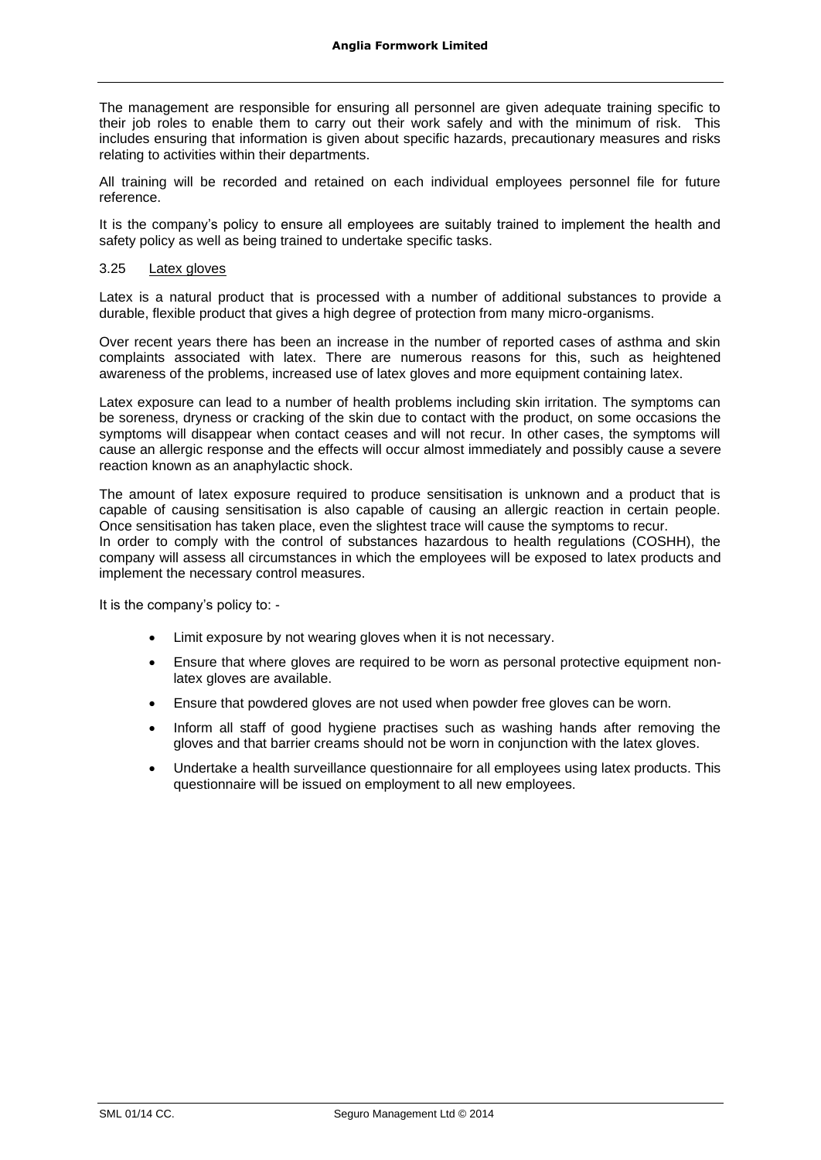The management are responsible for ensuring all personnel are given adequate training specific to their job roles to enable them to carry out their work safely and with the minimum of risk. This includes ensuring that information is given about specific hazards, precautionary measures and risks relating to activities within their departments.

All training will be recorded and retained on each individual employees personnel file for future reference.

It is the company's policy to ensure all employees are suitably trained to implement the health and safety policy as well as being trained to undertake specific tasks.

#### 3.25 Latex gloves

Latex is a natural product that is processed with a number of additional substances to provide a durable, flexible product that gives a high degree of protection from many micro-organisms.

Over recent years there has been an increase in the number of reported cases of asthma and skin complaints associated with latex. There are numerous reasons for this, such as heightened awareness of the problems, increased use of latex gloves and more equipment containing latex.

Latex exposure can lead to a number of health problems including skin irritation. The symptoms can be soreness, dryness or cracking of the skin due to contact with the product, on some occasions the symptoms will disappear when contact ceases and will not recur. In other cases, the symptoms will cause an allergic response and the effects will occur almost immediately and possibly cause a severe reaction known as an anaphylactic shock.

The amount of latex exposure required to produce sensitisation is unknown and a product that is capable of causing sensitisation is also capable of causing an allergic reaction in certain people. Once sensitisation has taken place, even the slightest trace will cause the symptoms to recur. In order to comply with the control of substances hazardous to health regulations (COSHH), the company will assess all circumstances in which the employees will be exposed to latex products and implement the necessary control measures.

It is the company's policy to: -

- Limit exposure by not wearing gloves when it is not necessary.
- Ensure that where gloves are required to be worn as personal protective equipment nonlatex gloves are available.
- Ensure that powdered gloves are not used when powder free gloves can be worn.
- Inform all staff of good hygiene practises such as washing hands after removing the gloves and that barrier creams should not be worn in conjunction with the latex gloves.
- Undertake a health surveillance questionnaire for all employees using latex products. This questionnaire will be issued on employment to all new employees.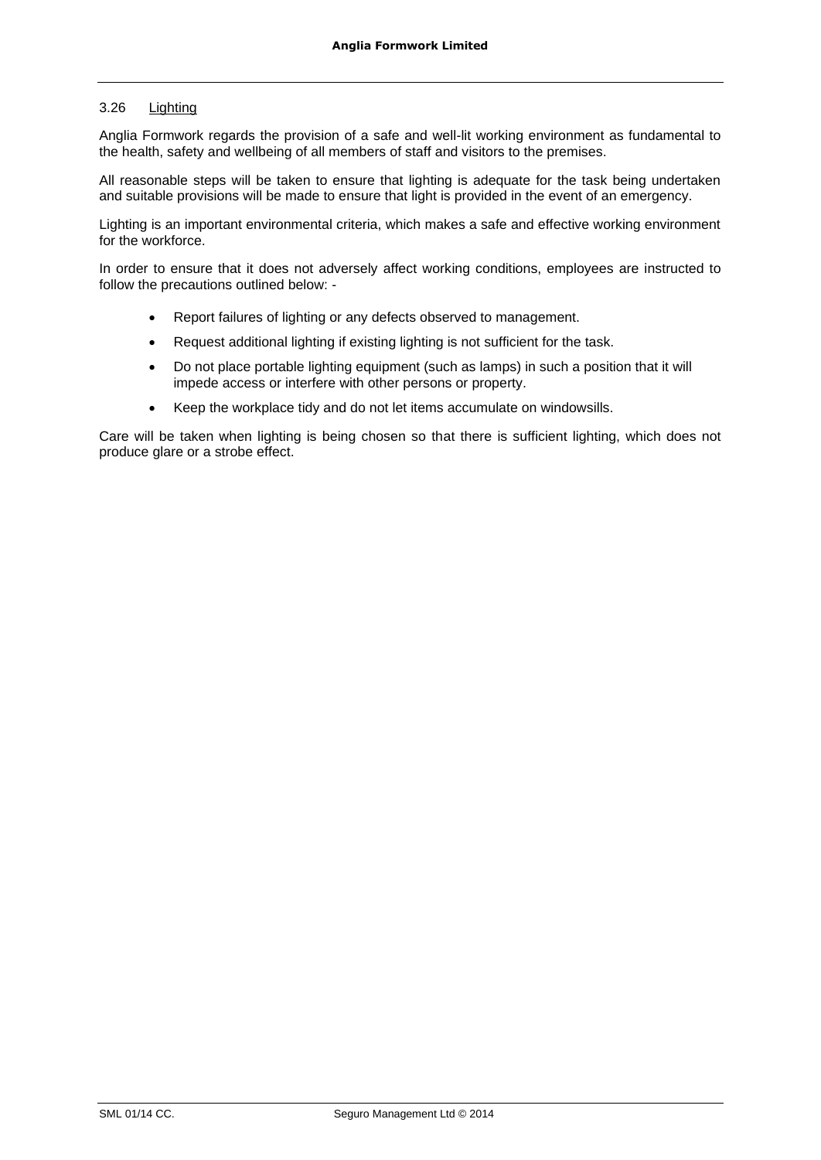# 3.26 Lighting

Anglia Formwork regards the provision of a safe and well-lit working environment as fundamental to the health, safety and wellbeing of all members of staff and visitors to the premises.

All reasonable steps will be taken to ensure that lighting is adequate for the task being undertaken and suitable provisions will be made to ensure that light is provided in the event of an emergency.

Lighting is an important environmental criteria, which makes a safe and effective working environment for the workforce.

In order to ensure that it does not adversely affect working conditions, employees are instructed to follow the precautions outlined below: -

- Report failures of lighting or any defects observed to management.
- Request additional lighting if existing lighting is not sufficient for the task.
- Do not place portable lighting equipment (such as lamps) in such a position that it will impede access or interfere with other persons or property.
- Keep the workplace tidy and do not let items accumulate on windowsills.

Care will be taken when lighting is being chosen so that there is sufficient lighting, which does not produce glare or a strobe effect.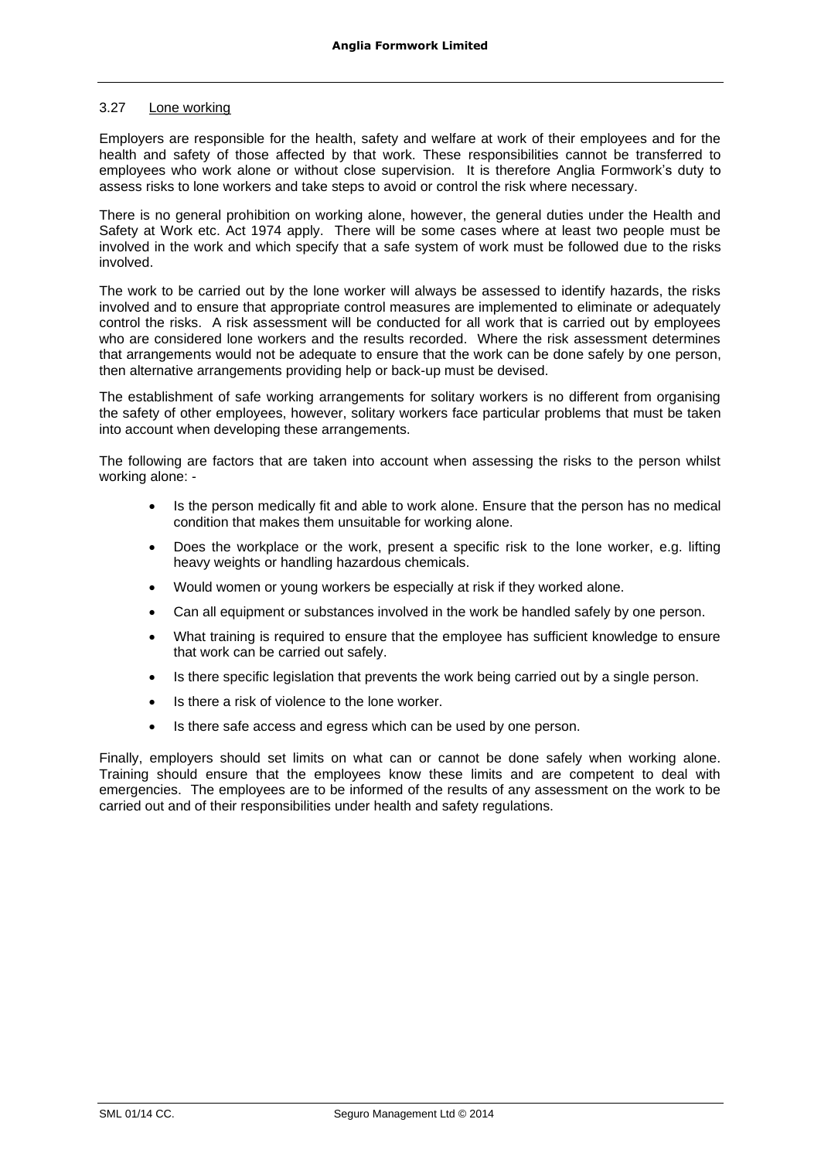### 3.27 Lone working

Employers are responsible for the health, safety and welfare at work of their employees and for the health and safety of those affected by that work. These responsibilities cannot be transferred to employees who work alone or without close supervision. It is therefore Anglia Formwork's duty to assess risks to lone workers and take steps to avoid or control the risk where necessary.

There is no general prohibition on working alone, however, the general duties under the Health and Safety at Work etc. Act 1974 apply. There will be some cases where at least two people must be involved in the work and which specify that a safe system of work must be followed due to the risks involved.

The work to be carried out by the lone worker will always be assessed to identify hazards, the risks involved and to ensure that appropriate control measures are implemented to eliminate or adequately control the risks. A risk assessment will be conducted for all work that is carried out by employees who are considered lone workers and the results recorded. Where the risk assessment determines that arrangements would not be adequate to ensure that the work can be done safely by one person, then alternative arrangements providing help or back-up must be devised.

The establishment of safe working arrangements for solitary workers is no different from organising the safety of other employees, however, solitary workers face particular problems that must be taken into account when developing these arrangements.

The following are factors that are taken into account when assessing the risks to the person whilst working alone: -

- Is the person medically fit and able to work alone. Ensure that the person has no medical condition that makes them unsuitable for working alone.
- Does the workplace or the work, present a specific risk to the lone worker, e.g. lifting heavy weights or handling hazardous chemicals.
- Would women or young workers be especially at risk if they worked alone.
- Can all equipment or substances involved in the work be handled safely by one person.
- What training is required to ensure that the employee has sufficient knowledge to ensure that work can be carried out safely.
- Is there specific legislation that prevents the work being carried out by a single person.
- Is there a risk of violence to the lone worker.
- Is there safe access and egress which can be used by one person.

Finally, employers should set limits on what can or cannot be done safely when working alone. Training should ensure that the employees know these limits and are competent to deal with emergencies. The employees are to be informed of the results of any assessment on the work to be carried out and of their responsibilities under health and safety regulations.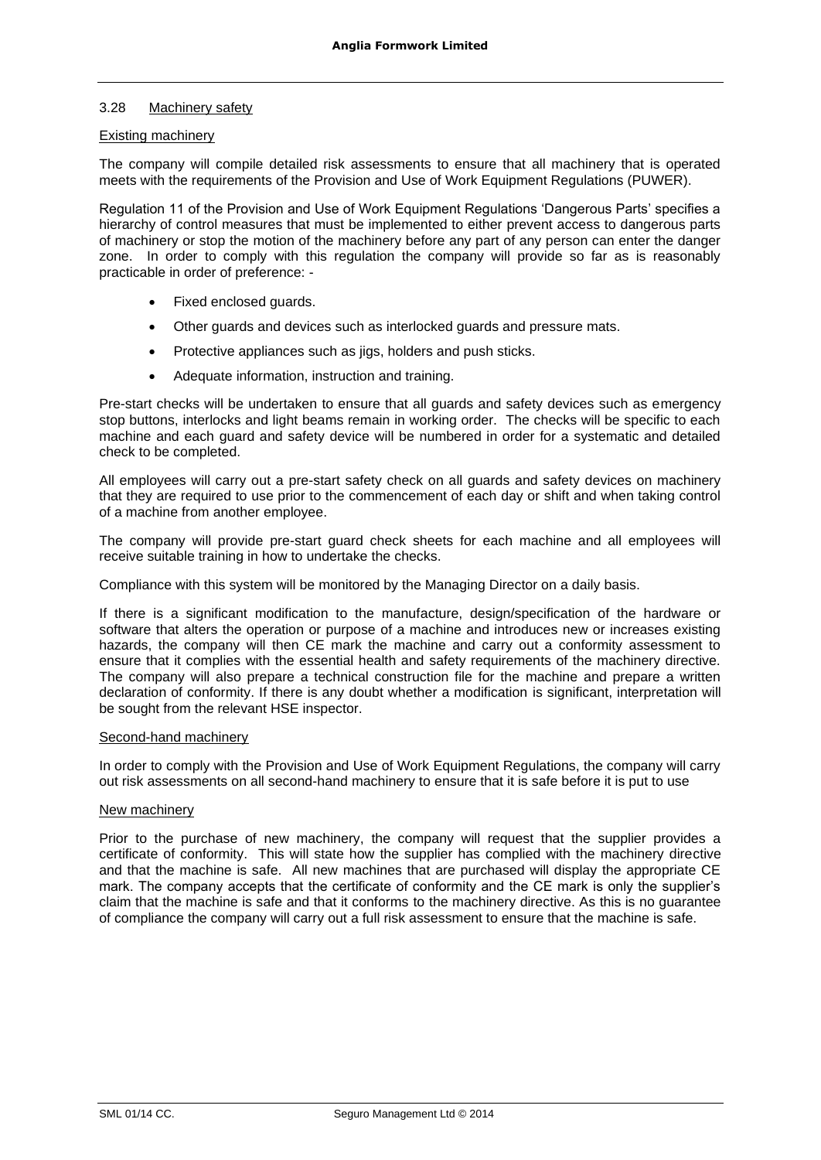# 3.28 Machinery safety

# Existing machinery

The company will compile detailed risk assessments to ensure that all machinery that is operated meets with the requirements of the Provision and Use of Work Equipment Regulations (PUWER).

Regulation 11 of the Provision and Use of Work Equipment Regulations 'Dangerous Parts' specifies a hierarchy of control measures that must be implemented to either prevent access to dangerous parts of machinery or stop the motion of the machinery before any part of any person can enter the danger zone. In order to comply with this regulation the company will provide so far as is reasonably practicable in order of preference: -

- Fixed enclosed guards.
- Other guards and devices such as interlocked guards and pressure mats.
- Protective appliances such as jigs, holders and push sticks.
- Adequate information, instruction and training.

Pre-start checks will be undertaken to ensure that all guards and safety devices such as emergency stop buttons, interlocks and light beams remain in working order. The checks will be specific to each machine and each guard and safety device will be numbered in order for a systematic and detailed check to be completed.

All employees will carry out a pre-start safety check on all guards and safety devices on machinery that they are required to use prior to the commencement of each day or shift and when taking control of a machine from another employee.

The company will provide pre-start guard check sheets for each machine and all employees will receive suitable training in how to undertake the checks.

Compliance with this system will be monitored by the Managing Director on a daily basis.

If there is a significant modification to the manufacture, design/specification of the hardware or software that alters the operation or purpose of a machine and introduces new or increases existing hazards, the company will then CE mark the machine and carry out a conformity assessment to ensure that it complies with the essential health and safety requirements of the machinery directive. The company will also prepare a technical construction file for the machine and prepare a written declaration of conformity. If there is any doubt whether a modification is significant, interpretation will be sought from the relevant HSE inspector.

#### Second-hand machinery

In order to comply with the Provision and Use of Work Equipment Regulations, the company will carry out risk assessments on all second-hand machinery to ensure that it is safe before it is put to use

#### New machinery

Prior to the purchase of new machinery, the company will request that the supplier provides a certificate of conformity. This will state how the supplier has complied with the machinery directive and that the machine is safe. All new machines that are purchased will display the appropriate CE mark. The company accepts that the certificate of conformity and the CE mark is only the supplier's claim that the machine is safe and that it conforms to the machinery directive. As this is no guarantee of compliance the company will carry out a full risk assessment to ensure that the machine is safe.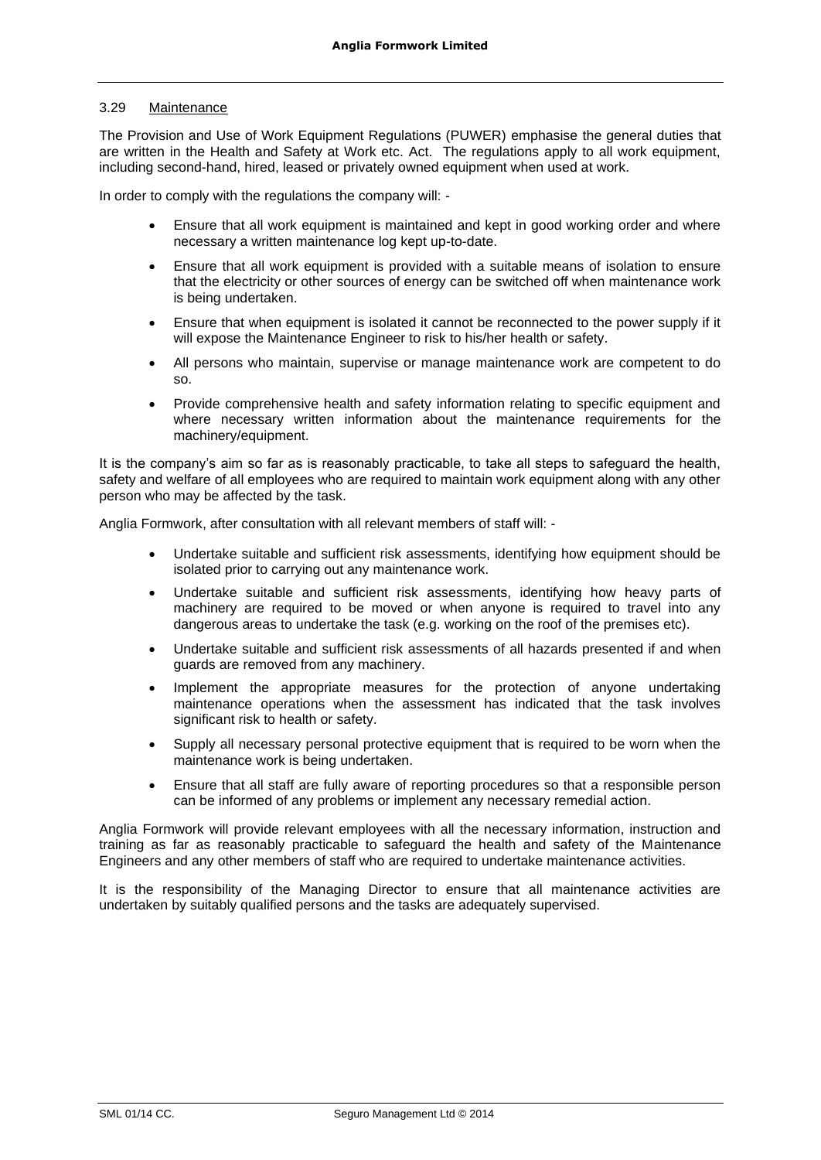#### 3.29 Maintenance

The Provision and Use of Work Equipment Regulations (PUWER) emphasise the general duties that are written in the Health and Safety at Work etc. Act. The regulations apply to all work equipment, including second-hand, hired, leased or privately owned equipment when used at work*.*

In order to comply with the regulations the company will: -

- Ensure that all work equipment is maintained and kept in good working order and where necessary a written maintenance log kept up-to-date.
- Ensure that all work equipment is provided with a suitable means of isolation to ensure that the electricity or other sources of energy can be switched off when maintenance work is being undertaken.
- Ensure that when equipment is isolated it cannot be reconnected to the power supply if it will expose the Maintenance Engineer to risk to his/her health or safety.
- All persons who maintain, supervise or manage maintenance work are competent to do so.
- Provide comprehensive health and safety information relating to specific equipment and where necessary written information about the maintenance requirements for the machinery/equipment.

It is the company's aim so far as is reasonably practicable, to take all steps to safeguard the health, safety and welfare of all employees who are required to maintain work equipment along with any other person who may be affected by the task.

Anglia Formwork, after consultation with all relevant members of staff will: -

- Undertake suitable and sufficient risk assessments, identifying how equipment should be isolated prior to carrying out any maintenance work.
- Undertake suitable and sufficient risk assessments, identifying how heavy parts of machinery are required to be moved or when anyone is required to travel into any dangerous areas to undertake the task (e.g. working on the roof of the premises etc).
- Undertake suitable and sufficient risk assessments of all hazards presented if and when guards are removed from any machinery.
- Implement the appropriate measures for the protection of anyone undertaking maintenance operations when the assessment has indicated that the task involves significant risk to health or safety.
- Supply all necessary personal protective equipment that is required to be worn when the maintenance work is being undertaken.
- Ensure that all staff are fully aware of reporting procedures so that a responsible person can be informed of any problems or implement any necessary remedial action.

Anglia Formwork will provide relevant employees with all the necessary information, instruction and training as far as reasonably practicable to safeguard the health and safety of the Maintenance Engineers and any other members of staff who are required to undertake maintenance activities.

It is the responsibility of the Managing Director to ensure that all maintenance activities are undertaken by suitably qualified persons and the tasks are adequately supervised.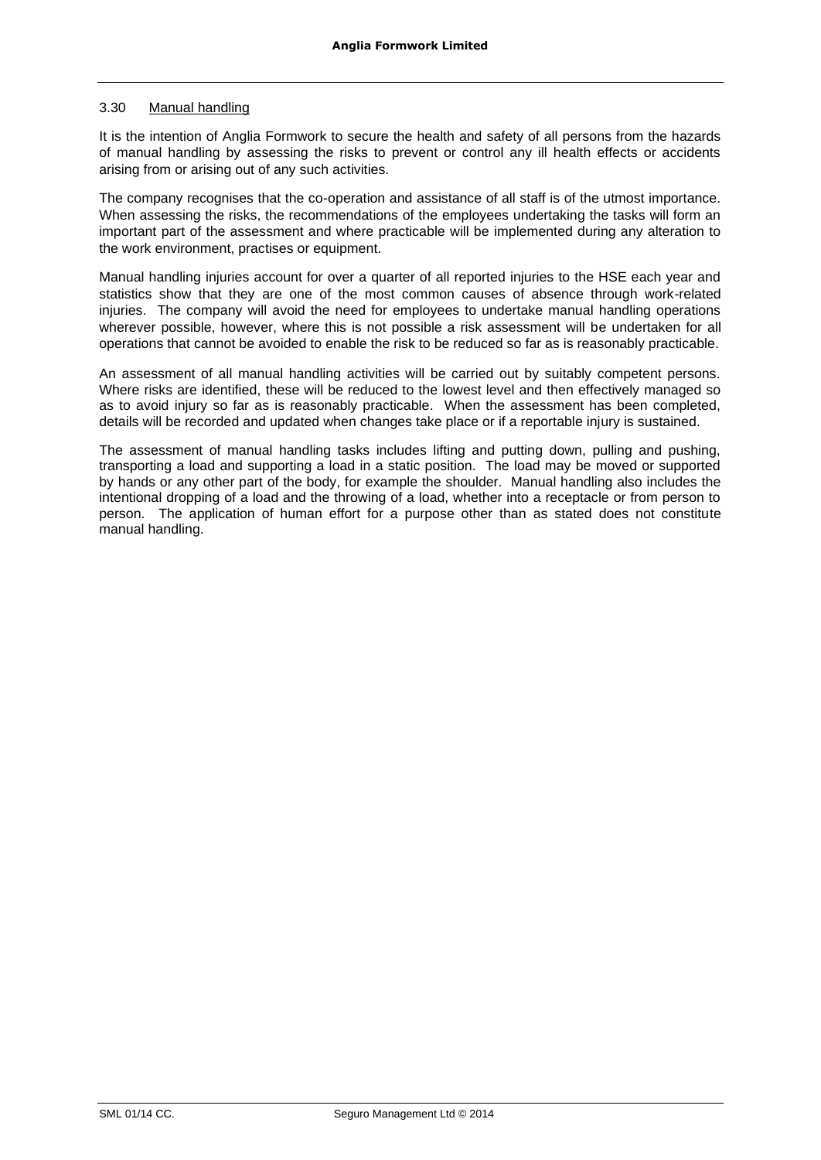# 3.30 Manual handling

It is the intention of Anglia Formwork to secure the health and safety of all persons from the hazards of manual handling by assessing the risks to prevent or control any ill health effects or accidents arising from or arising out of any such activities.

The company recognises that the co-operation and assistance of all staff is of the utmost importance. When assessing the risks, the recommendations of the employees undertaking the tasks will form an important part of the assessment and where practicable will be implemented during any alteration to the work environment, practises or equipment.

Manual handling injuries account for over a quarter of all reported injuries to the HSE each year and statistics show that they are one of the most common causes of absence through work-related injuries. The company will avoid the need for employees to undertake manual handling operations wherever possible, however, where this is not possible a risk assessment will be undertaken for all operations that cannot be avoided to enable the risk to be reduced so far as is reasonably practicable.

An assessment of all manual handling activities will be carried out by suitably competent persons. Where risks are identified, these will be reduced to the lowest level and then effectively managed so as to avoid injury so far as is reasonably practicable. When the assessment has been completed, details will be recorded and updated when changes take place or if a reportable injury is sustained.

The assessment of manual handling tasks includes lifting and putting down, pulling and pushing, transporting a load and supporting a load in a static position. The load may be moved or supported by hands or any other part of the body, for example the shoulder. Manual handling also includes the intentional dropping of a load and the throwing of a load, whether into a receptacle or from person to person. The application of human effort for a purpose other than as stated does not constitute manual handling.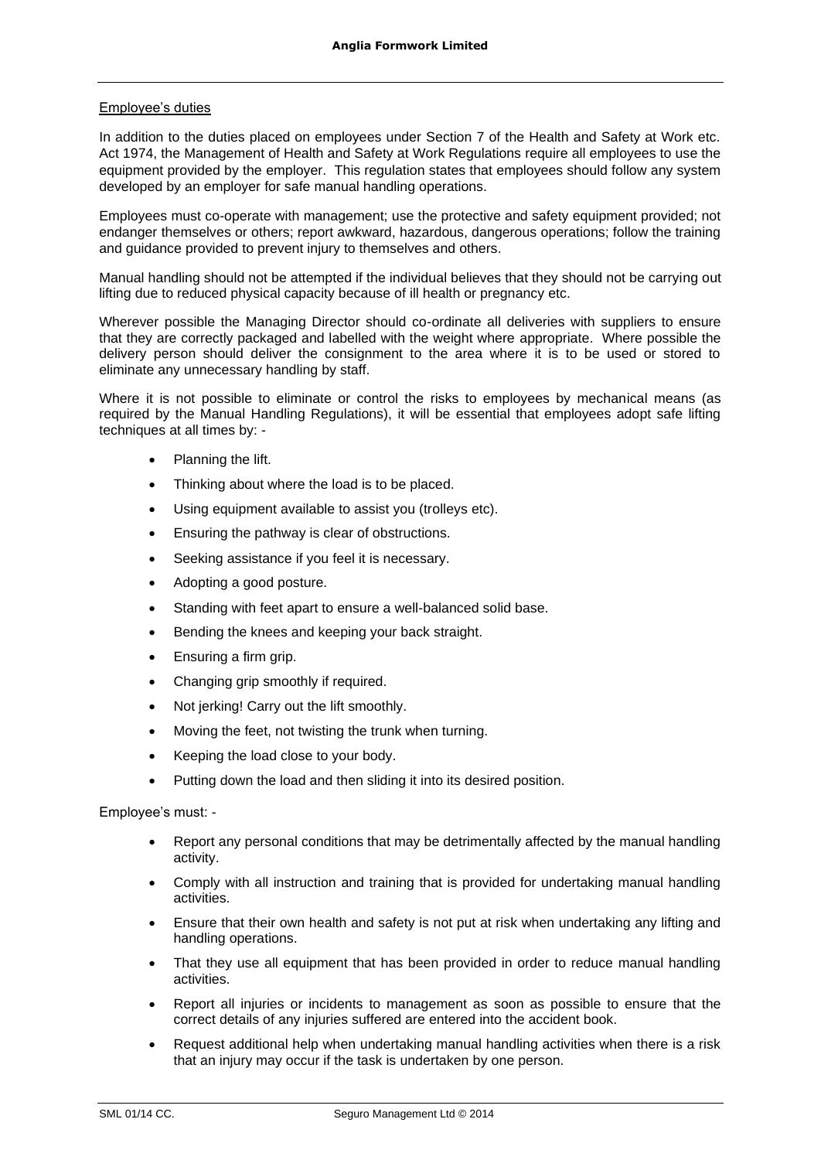# Employee's duties

In addition to the duties placed on employees under Section 7 of the Health and Safety at Work etc. Act 1974, the Management of Health and Safety at Work Regulations require all employees to use the equipment provided by the employer. This regulation states that employees should follow any system developed by an employer for safe manual handling operations.

Employees must co-operate with management; use the protective and safety equipment provided; not endanger themselves or others; report awkward, hazardous, dangerous operations; follow the training and guidance provided to prevent injury to themselves and others.

Manual handling should not be attempted if the individual believes that they should not be carrying out lifting due to reduced physical capacity because of ill health or pregnancy etc.

Wherever possible the Managing Director should co-ordinate all deliveries with suppliers to ensure that they are correctly packaged and labelled with the weight where appropriate. Where possible the delivery person should deliver the consignment to the area where it is to be used or stored to eliminate any unnecessary handling by staff.

Where it is not possible to eliminate or control the risks to employees by mechanical means (as required by the Manual Handling Regulations), it will be essential that employees adopt safe lifting techniques at all times by: -

- Planning the lift.
- Thinking about where the load is to be placed.
- Using equipment available to assist you (trolleys etc).
- Ensuring the pathway is clear of obstructions.
- Seeking assistance if you feel it is necessary.
- Adopting a good posture.
- Standing with feet apart to ensure a well-balanced solid base.
- Bending the knees and keeping your back straight.
- Ensuring a firm grip.
- Changing grip smoothly if required.
- Not jerking! Carry out the lift smoothly.
- Moving the feet, not twisting the trunk when turning.
- Keeping the load close to your body.
- Putting down the load and then sliding it into its desired position.

Employee's must: -

- Report any personal conditions that may be detrimentally affected by the manual handling activity.
- Comply with all instruction and training that is provided for undertaking manual handling activities.
- Ensure that their own health and safety is not put at risk when undertaking any lifting and handling operations.
- That they use all equipment that has been provided in order to reduce manual handling activities.
- Report all injuries or incidents to management as soon as possible to ensure that the correct details of any injuries suffered are entered into the accident book.
- Request additional help when undertaking manual handling activities when there is a risk that an injury may occur if the task is undertaken by one person.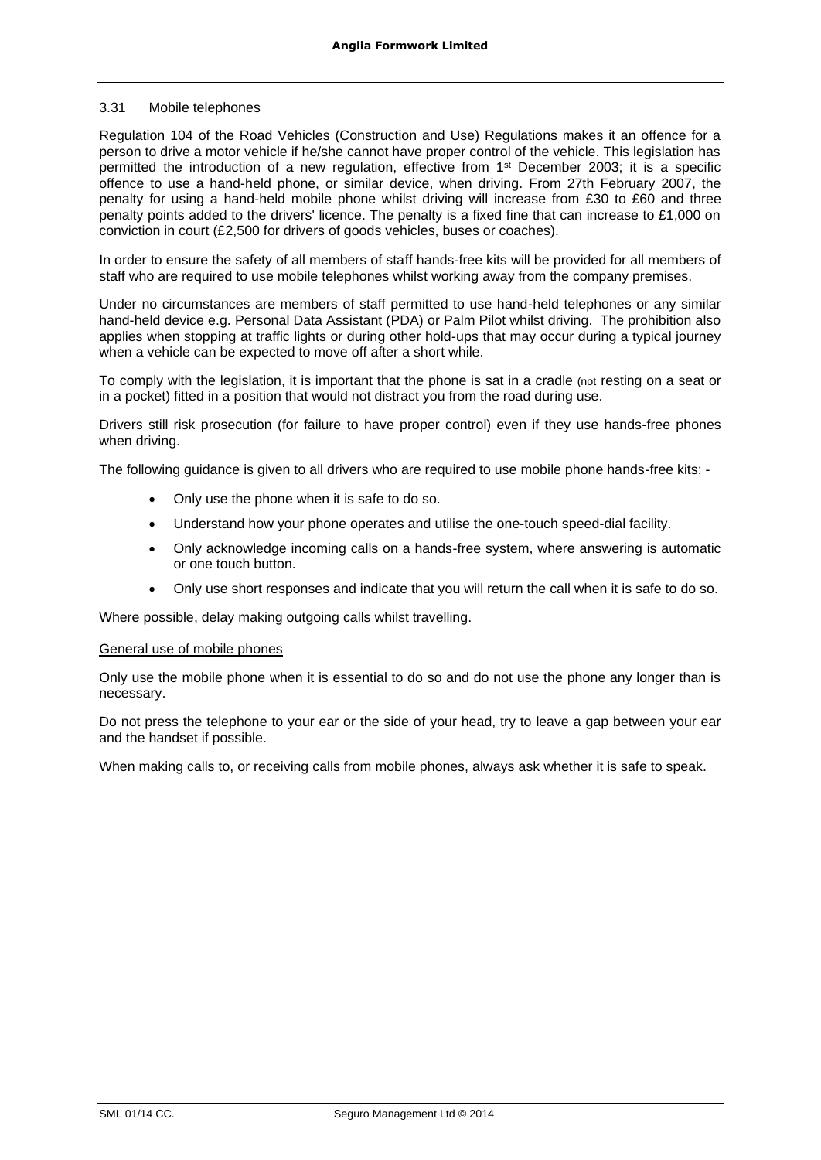# 3.31 Mobile telephones

Regulation 104 of the Road Vehicles (Construction and Use) Regulations makes it an offence for a person to drive a motor vehicle if he/she cannot have proper control of the vehicle. This legislation has permitted the introduction of a new regulation, effective from 1<sup>st</sup> December 2003; it is a specific offence to use a hand-held phone, or similar device, when driving. From 27th February 2007, the penalty for using a hand-held mobile phone whilst driving will increase from £30 to £60 and three penalty points added to the drivers' licence. The penalty is a fixed fine that can increase to £1,000 on conviction in court (£2,500 for drivers of goods vehicles, buses or coaches).

In order to ensure the safety of all members of staff hands-free kits will be provided for all members of staff who are required to use mobile telephones whilst working away from the company premises.

Under no circumstances are members of staff permitted to use hand-held telephones or any similar hand-held device e.g. Personal Data Assistant (PDA) or Palm Pilot whilst driving. The prohibition also applies when stopping at traffic lights or during other hold-ups that may occur during a typical journey when a vehicle can be expected to move off after a short while.

To comply with the legislation, it is important that the phone is sat in a cradle (not resting on a seat or in a pocket) fitted in a position that would not distract you from the road during use.

Drivers still risk prosecution (for failure to have proper control) even if they use hands-free phones when driving.

The following guidance is given to all drivers who are required to use mobile phone hands-free kits: -

- Only use the phone when it is safe to do so.
- Understand how your phone operates and utilise the one-touch speed-dial facility.
- Only acknowledge incoming calls on a hands-free system, where answering is automatic or one touch button.
- Only use short responses and indicate that you will return the call when it is safe to do so.

Where possible, delay making outgoing calls whilst travelling.

#### General use of mobile phones

Only use the mobile phone when it is essential to do so and do not use the phone any longer than is necessary.

Do not press the telephone to your ear or the side of your head, try to leave a gap between your ear and the handset if possible.

When making calls to, or receiving calls from mobile phones, always ask whether it is safe to speak.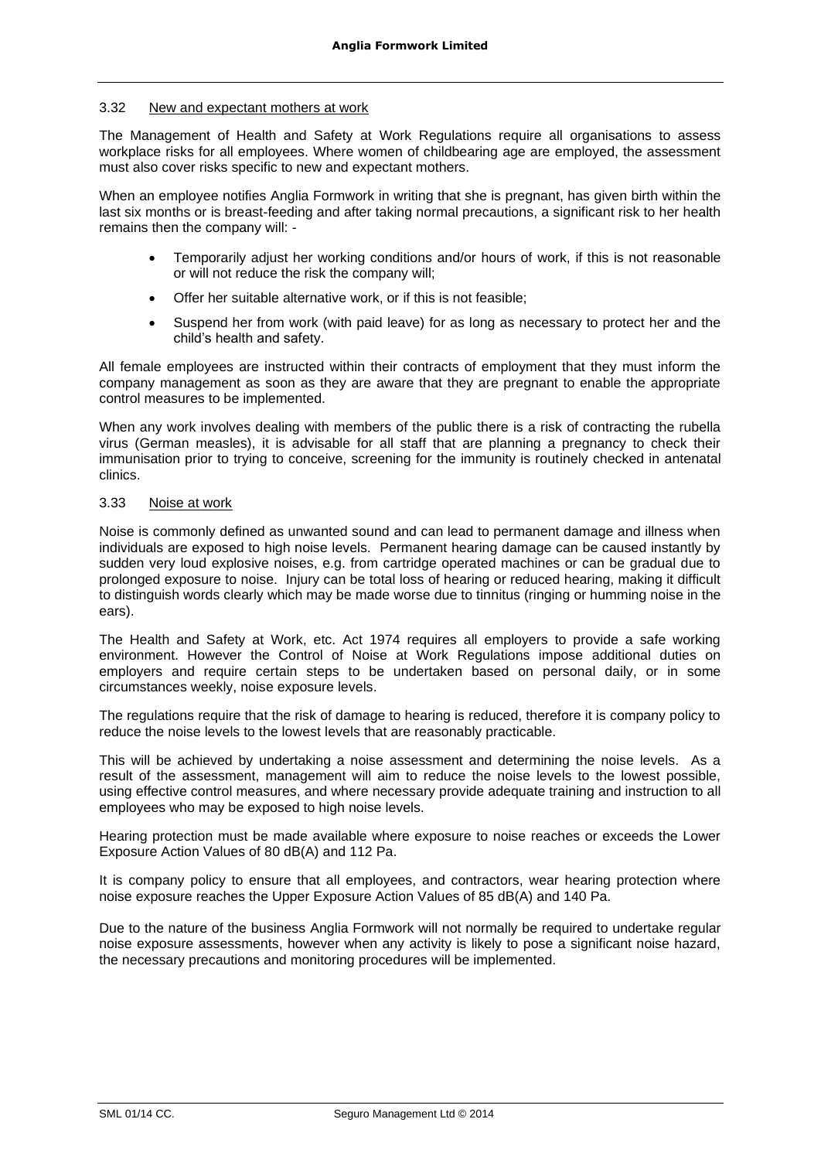# 3.32 New and expectant mothers at work

The Management of Health and Safety at Work Regulations require all organisations to assess workplace risks for all employees. Where women of childbearing age are employed, the assessment must also cover risks specific to new and expectant mothers.

When an employee notifies Anglia Formwork in writing that she is pregnant, has given birth within the last six months or is breast-feeding and after taking normal precautions, a significant risk to her health remains then the company will: -

- Temporarily adjust her working conditions and/or hours of work, if this is not reasonable or will not reduce the risk the company will;
- Offer her suitable alternative work, or if this is not feasible;
- Suspend her from work (with paid leave) for as long as necessary to protect her and the child's health and safety.

All female employees are instructed within their contracts of employment that they must inform the company management as soon as they are aware that they are pregnant to enable the appropriate control measures to be implemented.

When any work involves dealing with members of the public there is a risk of contracting the rubella virus (German measles), it is advisable for all staff that are planning a pregnancy to check their immunisation prior to trying to conceive, screening for the immunity is routinely checked in antenatal clinics.

# 3.33 Noise at work

Noise is commonly defined as unwanted sound and can lead to permanent damage and illness when individuals are exposed to high noise levels. Permanent hearing damage can be caused instantly by sudden very loud explosive noises, e.g. from cartridge operated machines or can be gradual due to prolonged exposure to noise. Injury can be total loss of hearing or reduced hearing, making it difficult to distinguish words clearly which may be made worse due to tinnitus (ringing or humming noise in the ears).

The Health and Safety at Work, etc. Act 1974 requires all employers to provide a safe working environment. However the Control of Noise at Work Regulations impose additional duties on employers and require certain steps to be undertaken based on personal daily, or in some circumstances weekly, noise exposure levels.

The regulations require that the risk of damage to hearing is reduced, therefore it is company policy to reduce the noise levels to the lowest levels that are reasonably practicable.

This will be achieved by undertaking a noise assessment and determining the noise levels. As a result of the assessment, management will aim to reduce the noise levels to the lowest possible, using effective control measures, and where necessary provide adequate training and instruction to all employees who may be exposed to high noise levels.

Hearing protection must be made available where exposure to noise reaches or exceeds the Lower Exposure Action Values of 80 dB(A) and 112 Pa.

It is company policy to ensure that all employees, and contractors, wear hearing protection where noise exposure reaches the Upper Exposure Action Values of 85 dB(A) and 140 Pa.

Due to the nature of the business Anglia Formwork will not normally be required to undertake regular noise exposure assessments, however when any activity is likely to pose a significant noise hazard, the necessary precautions and monitoring procedures will be implemented.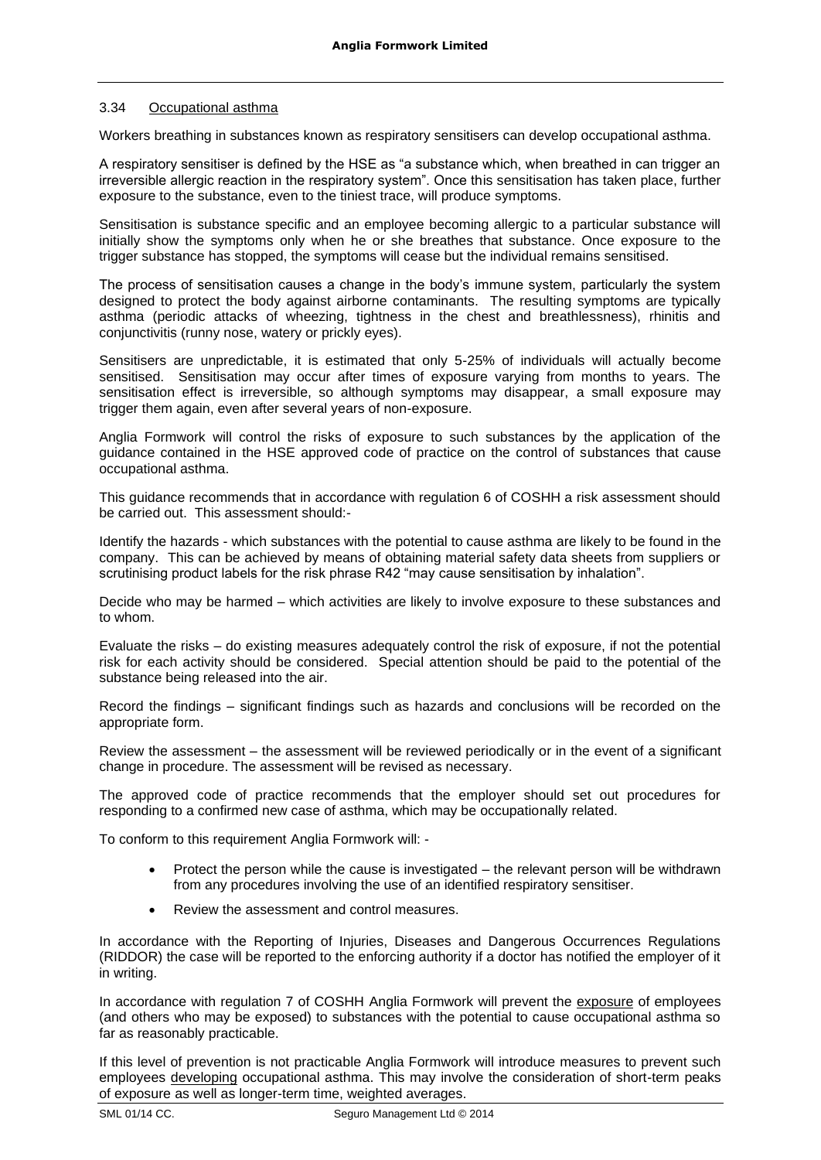# 3.34 Occupational asthma

Workers breathing in substances known as respiratory sensitisers can develop occupational asthma.

A respiratory sensitiser is defined by the HSE as "a substance which, when breathed in can trigger an irreversible allergic reaction in the respiratory system". Once this sensitisation has taken place, further exposure to the substance, even to the tiniest trace, will produce symptoms.

Sensitisation is substance specific and an employee becoming allergic to a particular substance will initially show the symptoms only when he or she breathes that substance. Once exposure to the trigger substance has stopped, the symptoms will cease but the individual remains sensitised.

The process of sensitisation causes a change in the body's immune system, particularly the system designed to protect the body against airborne contaminants. The resulting symptoms are typically asthma (periodic attacks of wheezing, tightness in the chest and breathlessness), rhinitis and conjunctivitis (runny nose, watery or prickly eyes).

Sensitisers are unpredictable, it is estimated that only 5-25% of individuals will actually become sensitised. Sensitisation may occur after times of exposure varying from months to years. The sensitisation effect is irreversible, so although symptoms may disappear, a small exposure may trigger them again, even after several years of non-exposure.

Anglia Formwork will control the risks of exposure to such substances by the application of the guidance contained in the HSE approved code of practice on the control of substances that cause occupational asthma.

This guidance recommends that in accordance with regulation 6 of COSHH a risk assessment should be carried out. This assessment should:-

Identify the hazards - which substances with the potential to cause asthma are likely to be found in the company. This can be achieved by means of obtaining material safety data sheets from suppliers or scrutinising product labels for the risk phrase R42 "may cause sensitisation by inhalation".

Decide who may be harmed – which activities are likely to involve exposure to these substances and to whom.

Evaluate the risks – do existing measures adequately control the risk of exposure, if not the potential risk for each activity should be considered. Special attention should be paid to the potential of the substance being released into the air.

Record the findings – significant findings such as hazards and conclusions will be recorded on the appropriate form.

Review the assessment – the assessment will be reviewed periodically or in the event of a significant change in procedure. The assessment will be revised as necessary.

The approved code of practice recommends that the employer should set out procedures for responding to a confirmed new case of asthma, which may be occupationally related.

To conform to this requirement Anglia Formwork will: -

- Protect the person while the cause is investigated the relevant person will be withdrawn from any procedures involving the use of an identified respiratory sensitiser.
- Review the assessment and control measures.

In accordance with the Reporting of Injuries, Diseases and Dangerous Occurrences Regulations (RIDDOR) the case will be reported to the enforcing authority if a doctor has notified the employer of it in writing.

In accordance with regulation 7 of COSHH Anglia Formwork will prevent the exposure of employees (and others who may be exposed) to substances with the potential to cause occupational asthma so far as reasonably practicable.

If this level of prevention is not practicable Anglia Formwork will introduce measures to prevent such employees developing occupational asthma. This may involve the consideration of short-term peaks of exposure as well as longer-term time, weighted averages.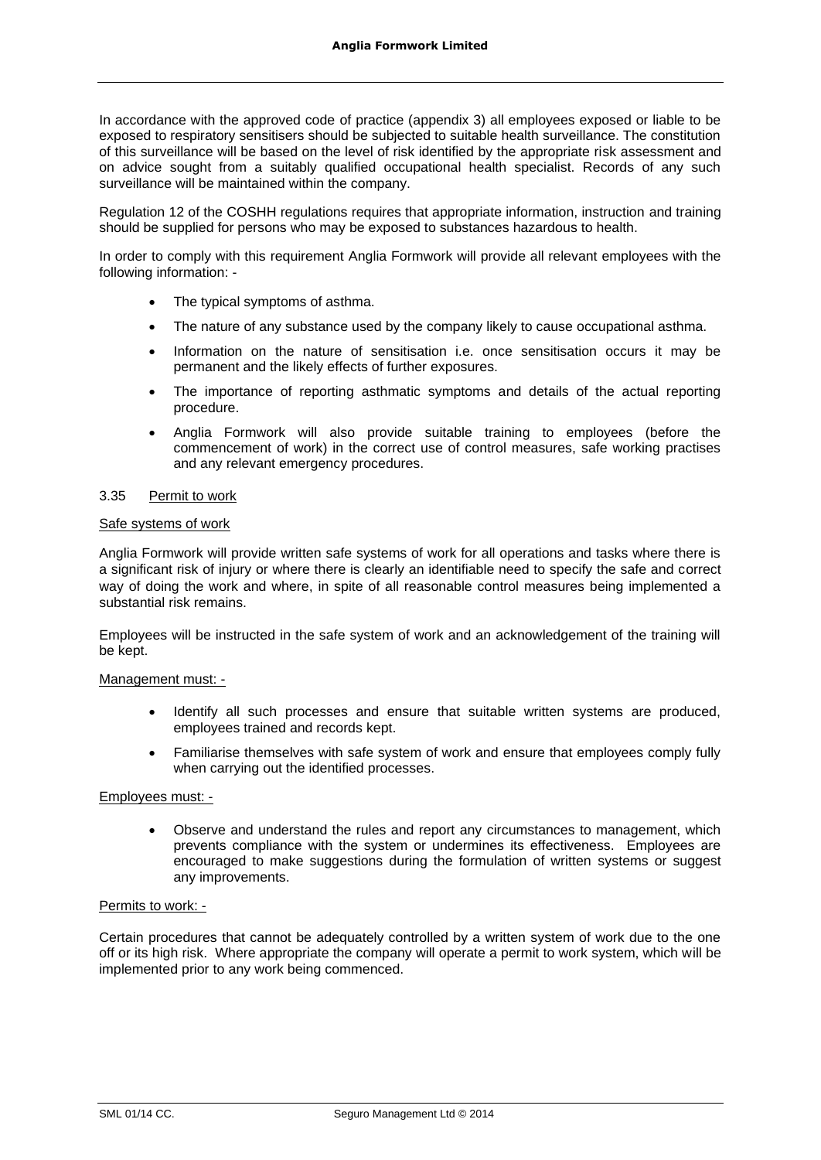In accordance with the approved code of practice (appendix 3) all employees exposed or liable to be exposed to respiratory sensitisers should be subjected to suitable health surveillance. The constitution of this surveillance will be based on the level of risk identified by the appropriate risk assessment and on advice sought from a suitably qualified occupational health specialist. Records of any such surveillance will be maintained within the company.

Regulation 12 of the COSHH regulations requires that appropriate information, instruction and training should be supplied for persons who may be exposed to substances hazardous to health.

In order to comply with this requirement Anglia Formwork will provide all relevant employees with the following information: -

- The typical symptoms of asthma.
- The nature of any substance used by the company likely to cause occupational asthma.
- Information on the nature of sensitisation i.e. once sensitisation occurs it may be permanent and the likely effects of further exposures.
- The importance of reporting asthmatic symptoms and details of the actual reporting procedure.
- Anglia Formwork will also provide suitable training to employees (before the commencement of work) in the correct use of control measures, safe working practises and any relevant emergency procedures.

#### 3.35 Permit to work

#### Safe systems of work

Anglia Formwork will provide written safe systems of work for all operations and tasks where there is a significant risk of injury or where there is clearly an identifiable need to specify the safe and correct way of doing the work and where, in spite of all reasonable control measures being implemented a substantial risk remains.

Employees will be instructed in the safe system of work and an acknowledgement of the training will be kept.

#### Management must: -

- Identify all such processes and ensure that suitable written systems are produced, employees trained and records kept.
- Familiarise themselves with safe system of work and ensure that employees comply fully when carrying out the identified processes.

# Employees must: -

• Observe and understand the rules and report any circumstances to management, which prevents compliance with the system or undermines its effectiveness. Employees are encouraged to make suggestions during the formulation of written systems or suggest any improvements.

#### Permits to work: -

Certain procedures that cannot be adequately controlled by a written system of work due to the one off or its high risk. Where appropriate the company will operate a permit to work system, which will be implemented prior to any work being commenced.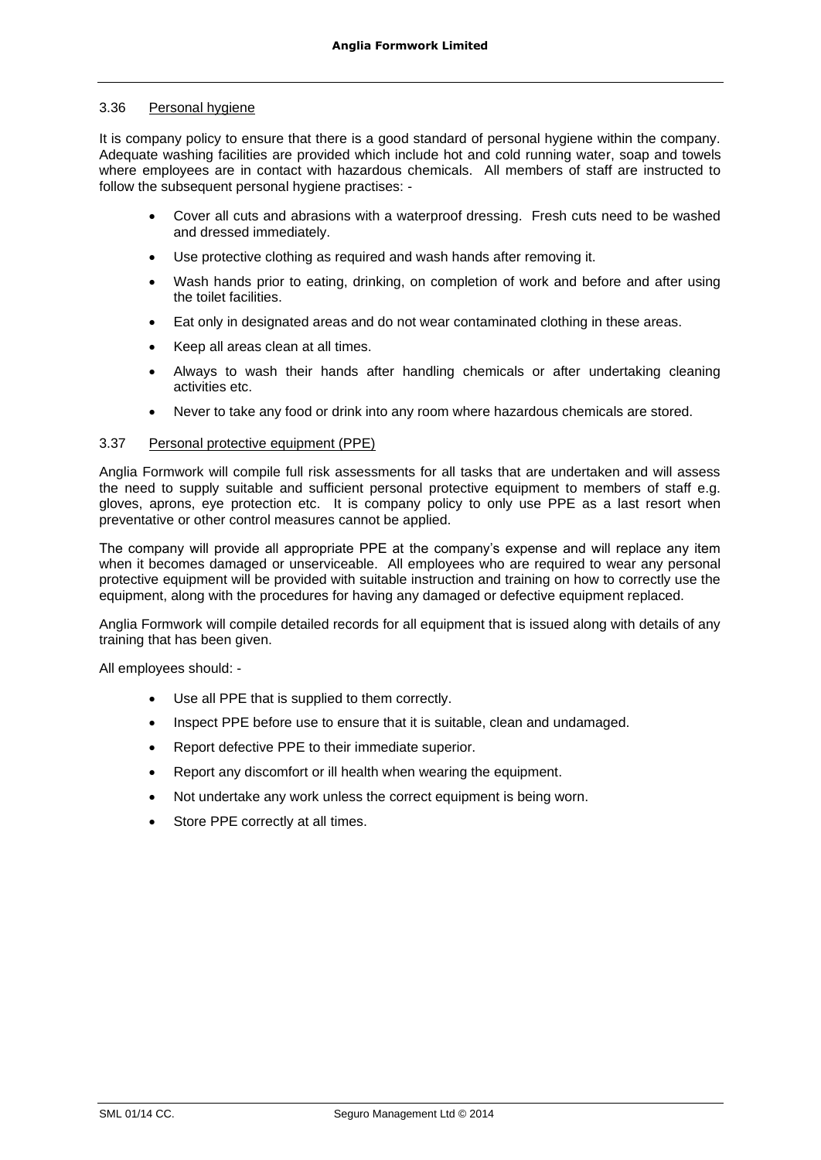### 3.36 Personal hygiene

It is company policy to ensure that there is a good standard of personal hygiene within the company. Adequate washing facilities are provided which include hot and cold running water, soap and towels where employees are in contact with hazardous chemicals. All members of staff are instructed to follow the subsequent personal hygiene practises: -

- Cover all cuts and abrasions with a waterproof dressing. Fresh cuts need to be washed and dressed immediately.
- Use protective clothing as required and wash hands after removing it.
- Wash hands prior to eating, drinking, on completion of work and before and after using the toilet facilities.
- Eat only in designated areas and do not wear contaminated clothing in these areas.
- Keep all areas clean at all times.
- Always to wash their hands after handling chemicals or after undertaking cleaning activities etc.
- Never to take any food or drink into any room where hazardous chemicals are stored.

# 3.37 Personal protective equipment (PPE)

Anglia Formwork will compile full risk assessments for all tasks that are undertaken and will assess the need to supply suitable and sufficient personal protective equipment to members of staff e.g. gloves, aprons, eye protection etc. It is company policy to only use PPE as a last resort when preventative or other control measures cannot be applied.

The company will provide all appropriate PPE at the company's expense and will replace any item when it becomes damaged or unserviceable. All employees who are required to wear any personal protective equipment will be provided with suitable instruction and training on how to correctly use the equipment, along with the procedures for having any damaged or defective equipment replaced.

Anglia Formwork will compile detailed records for all equipment that is issued along with details of any training that has been given.

All employees should: -

- Use all PPE that is supplied to them correctly.
- Inspect PPE before use to ensure that it is suitable, clean and undamaged.
- Report defective PPE to their immediate superior.
- Report any discomfort or ill health when wearing the equipment.
- Not undertake any work unless the correct equipment is being worn.
- Store PPE correctly at all times.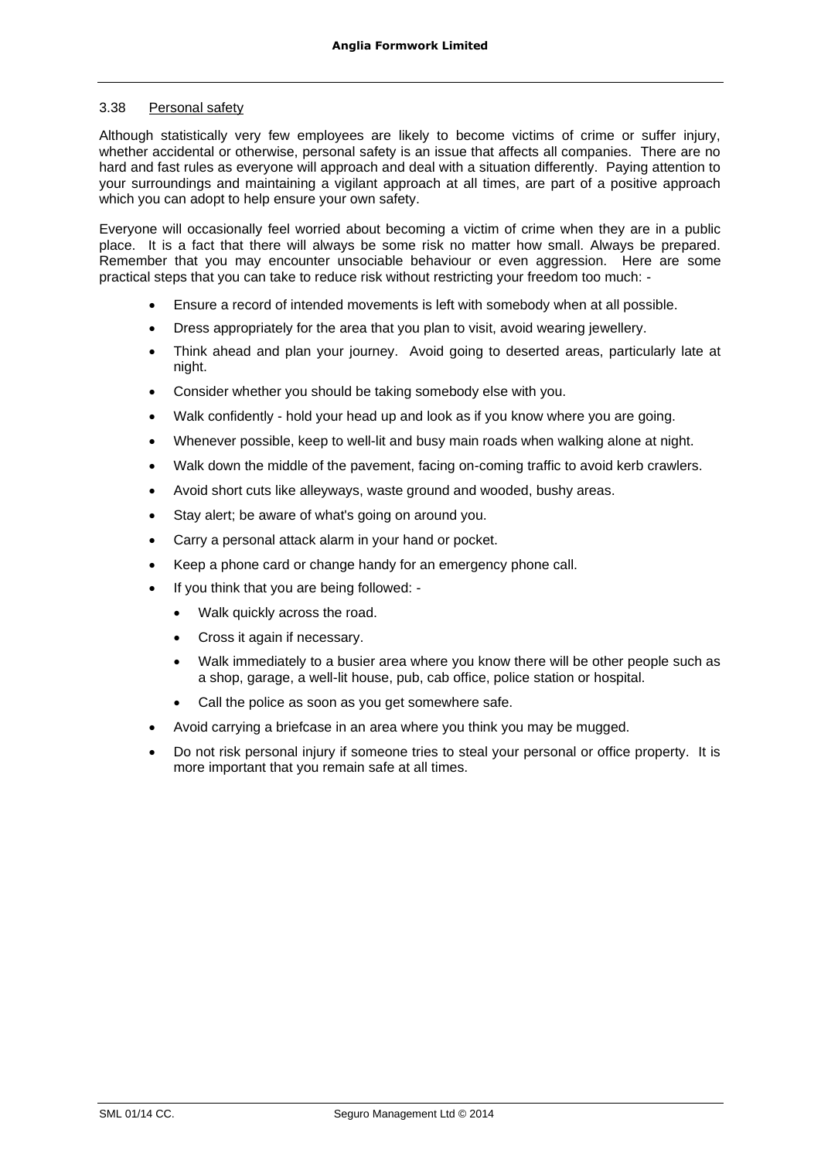# 3.38 Personal safety

Although statistically very few employees are likely to become victims of crime or suffer injury, whether accidental or otherwise, personal safety is an issue that affects all companies. There are no hard and fast rules as everyone will approach and deal with a situation differently. Paying attention to your surroundings and maintaining a vigilant approach at all times, are part of a positive approach which you can adopt to help ensure your own safety.

Everyone will occasionally feel worried about becoming a victim of crime when they are in a public place. It is a fact that there will always be some risk no matter how small. Always be prepared. Remember that you may encounter unsociable behaviour or even aggression. Here are some practical steps that you can take to reduce risk without restricting your freedom too much: -

- Ensure a record of intended movements is left with somebody when at all possible.
- Dress appropriately for the area that you plan to visit, avoid wearing jewellery.
- Think ahead and plan your journey. Avoid going to deserted areas, particularly late at night.
- Consider whether you should be taking somebody else with you.
- Walk confidently hold your head up and look as if you know where you are going.
- Whenever possible, keep to well-lit and busy main roads when walking alone at night.
- Walk down the middle of the pavement, facing on-coming traffic to avoid kerb crawlers.
- Avoid short cuts like alleyways, waste ground and wooded, bushy areas.
- Stay alert; be aware of what's going on around you.
- Carry a personal attack alarm in your hand or pocket.
- Keep a phone card or change handy for an emergency phone call.
- If you think that you are being followed:
	- Walk quickly across the road.
	- Cross it again if necessary.
	- Walk immediately to a busier area where you know there will be other people such as a shop, garage, a well-lit house, pub, cab office, police station or hospital.
	- Call the police as soon as you get somewhere safe.
- Avoid carrying a briefcase in an area where you think you may be mugged.
- Do not risk personal injury if someone tries to steal your personal or office property. It is more important that you remain safe at all times.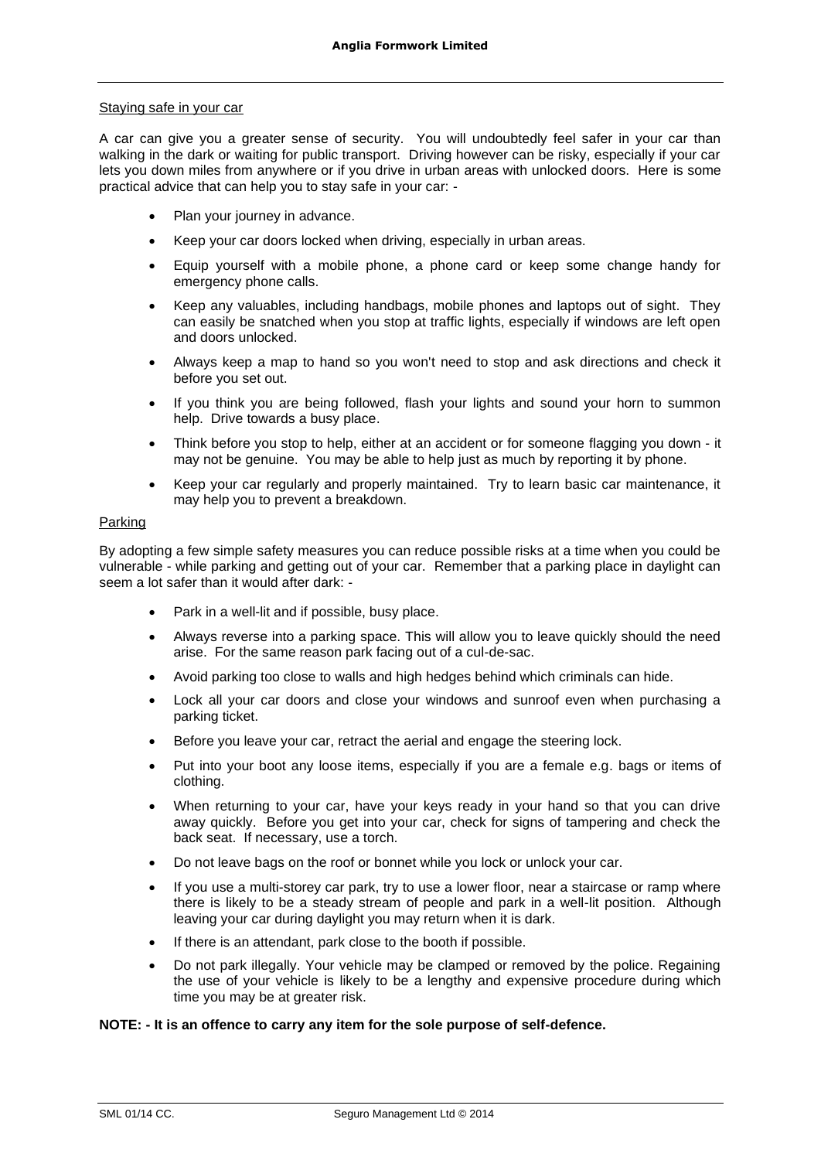#### Staying safe in your car

A car can give you a greater sense of security. You will undoubtedly feel safer in your car than walking in the dark or waiting for public transport. Driving however can be risky, especially if your car lets you down miles from anywhere or if you drive in urban areas with unlocked doors. Here is some practical advice that can help you to stay safe in your car: -

- Plan your journey in advance.
- Keep your car doors locked when driving, especially in urban areas.
- Equip yourself with a mobile phone, a phone card or keep some change handy for emergency phone calls.
- Keep any valuables, including handbags, mobile phones and laptops out of sight. They can easily be snatched when you stop at traffic lights, especially if windows are left open and doors unlocked.
- Always keep a map to hand so you won't need to stop and ask directions and check it before you set out.
- If you think you are being followed, flash your lights and sound your horn to summon help. Drive towards a busy place.
- Think before you stop to help, either at an accident or for someone flagging you down it may not be genuine. You may be able to help just as much by reporting it by phone.
- Keep your car regularly and properly maintained. Try to learn basic car maintenance, it may help you to prevent a breakdown.

# Parking

By adopting a few simple safety measures you can reduce possible risks at a time when you could be vulnerable - while parking and getting out of your car. Remember that a parking place in daylight can seem a lot safer than it would after dark: -

- Park in a well-lit and if possible, busy place.
- Always reverse into a parking space. This will allow you to leave quickly should the need arise. For the same reason park facing out of a cul-de-sac.
- Avoid parking too close to walls and high hedges behind which criminals can hide.
- Lock all your car doors and close your windows and sunroof even when purchasing a parking ticket.
- Before you leave your car, retract the aerial and engage the steering lock.
- Put into your boot any loose items, especially if you are a female e.g. bags or items of clothing.
- When returning to your car, have your keys ready in your hand so that you can drive away quickly. Before you get into your car, check for signs of tampering and check the back seat. If necessary, use a torch.
- Do not leave bags on the roof or bonnet while you lock or unlock your car.
- If you use a multi-storey car park, try to use a lower floor, near a staircase or ramp where there is likely to be a steady stream of people and park in a well-lit position. Although leaving your car during daylight you may return when it is dark.
- If there is an attendant, park close to the booth if possible.
- Do not park illegally. Your vehicle may be clamped or removed by the police. Regaining the use of your vehicle is likely to be a lengthy and expensive procedure during which time you may be at greater risk.

#### **NOTE: - It is an offence to carry any item for the sole purpose of self-defence.**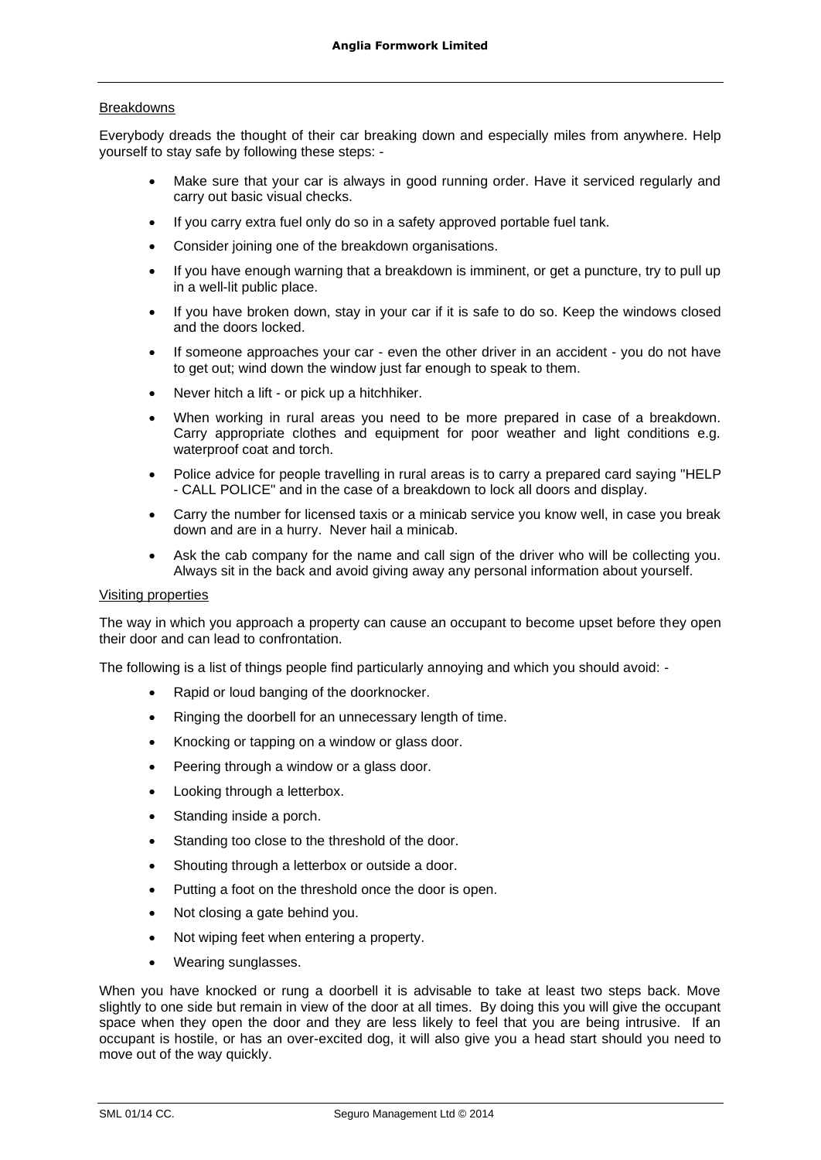# **Breakdowns**

Everybody dreads the thought of their car breaking down and especially miles from anywhere. Help yourself to stay safe by following these steps: -

- Make sure that your car is always in good running order. Have it serviced regularly and carry out basic visual checks.
- If you carry extra fuel only do so in a safety approved portable fuel tank.
- Consider joining one of the breakdown organisations.
- If you have enough warning that a breakdown is imminent, or get a puncture, try to pull up in a well-lit public place.
- If you have broken down, stay in your car if it is safe to do so. Keep the windows closed and the doors locked.
- If someone approaches your car even the other driver in an accident you do not have to get out; wind down the window just far enough to speak to them.
- Never hitch a lift or pick up a hitchhiker.
- When working in rural areas you need to be more prepared in case of a breakdown. Carry appropriate clothes and equipment for poor weather and light conditions e.g. waterproof coat and torch.
- Police advice for people travelling in rural areas is to carry a prepared card saying "HELP - CALL POLICE" and in the case of a breakdown to lock all doors and display.
- Carry the number for licensed taxis or a minicab service you know well, in case you break down and are in a hurry. Never hail a minicab.
- Ask the cab company for the name and call sign of the driver who will be collecting you. Always sit in the back and avoid giving away any personal information about yourself.

# Visiting properties

The way in which you approach a property can cause an occupant to become upset before they open their door and can lead to confrontation.

The following is a list of things people find particularly annoying and which you should avoid: -

- Rapid or loud banging of the doorknocker.
- Ringing the doorbell for an unnecessary length of time.
- Knocking or tapping on a window or glass door.
- Peering through a window or a glass door.
- Looking through a letterbox.
- Standing inside a porch.
- Standing too close to the threshold of the door.
- Shouting through a letterbox or outside a door.
- Putting a foot on the threshold once the door is open.
- Not closing a gate behind you.
- Not wiping feet when entering a property.
- Wearing sunglasses.

When you have knocked or rung a doorbell it is advisable to take at least two steps back. Move slightly to one side but remain in view of the door at all times. By doing this you will give the occupant space when they open the door and they are less likely to feel that you are being intrusive. If an occupant is hostile, or has an over-excited dog, it will also give you a head start should you need to move out of the way quickly.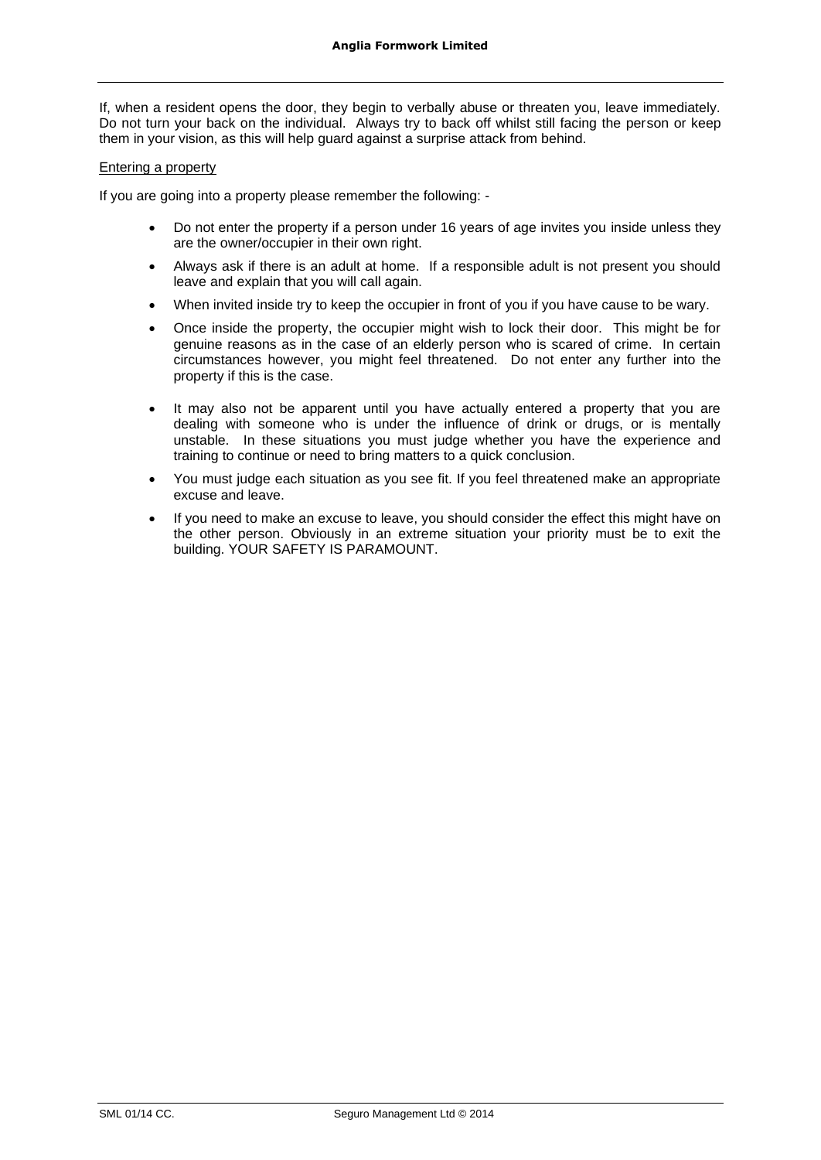If, when a resident opens the door, they begin to verbally abuse or threaten you, leave immediately. Do not turn your back on the individual. Always try to back off whilst still facing the person or keep them in your vision, as this will help guard against a surprise attack from behind.

# Entering a property

If you are going into a property please remember the following: -

- Do not enter the property if a person under 16 years of age invites you inside unless they are the owner/occupier in their own right.
- Always ask if there is an adult at home. If a responsible adult is not present you should leave and explain that you will call again.
- When invited inside try to keep the occupier in front of you if you have cause to be wary.
- Once inside the property, the occupier might wish to lock their door. This might be for genuine reasons as in the case of an elderly person who is scared of crime. In certain circumstances however, you might feel threatened. Do not enter any further into the property if this is the case.
- It may also not be apparent until you have actually entered a property that you are dealing with someone who is under the influence of drink or drugs, or is mentally unstable. In these situations you must judge whether you have the experience and training to continue or need to bring matters to a quick conclusion.
- You must judge each situation as you see fit. If you feel threatened make an appropriate excuse and leave.
- If you need to make an excuse to leave, you should consider the effect this might have on the other person. Obviously in an extreme situation your priority must be to exit the building. YOUR SAFETY IS PARAMOUNT.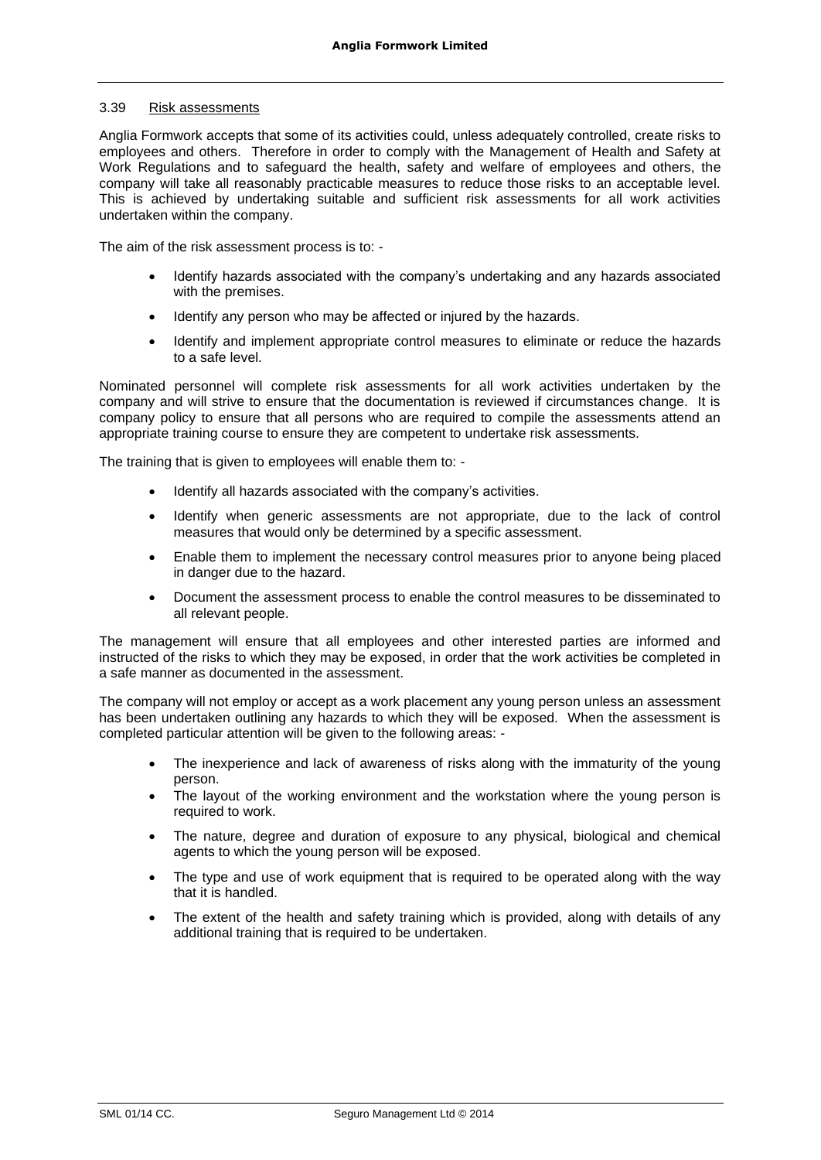#### 3.39 Risk assessments

Anglia Formwork accepts that some of its activities could, unless adequately controlled, create risks to employees and others. Therefore in order to comply with the Management of Health and Safety at Work Regulations and to safeguard the health, safety and welfare of employees and others, the company will take all reasonably practicable measures to reduce those risks to an acceptable level. This is achieved by undertaking suitable and sufficient risk assessments for all work activities undertaken within the company.

The aim of the risk assessment process is to: -

- Identify hazards associated with the company's undertaking and any hazards associated with the premises.
- Identify any person who may be affected or injured by the hazards.
- Identify and implement appropriate control measures to eliminate or reduce the hazards to a safe level.

Nominated personnel will complete risk assessments for all work activities undertaken by the company and will strive to ensure that the documentation is reviewed if circumstances change. It is company policy to ensure that all persons who are required to compile the assessments attend an appropriate training course to ensure they are competent to undertake risk assessments.

The training that is given to employees will enable them to: -

- Identify all hazards associated with the company's activities.
- Identify when generic assessments are not appropriate, due to the lack of control measures that would only be determined by a specific assessment.
- Enable them to implement the necessary control measures prior to anyone being placed in danger due to the hazard.
- Document the assessment process to enable the control measures to be disseminated to all relevant people.

The management will ensure that all employees and other interested parties are informed and instructed of the risks to which they may be exposed, in order that the work activities be completed in a safe manner as documented in the assessment.

The company will not employ or accept as a work placement any young person unless an assessment has been undertaken outlining any hazards to which they will be exposed. When the assessment is completed particular attention will be given to the following areas: -

- The inexperience and lack of awareness of risks along with the immaturity of the young person.
- The layout of the working environment and the workstation where the young person is required to work.
- The nature, degree and duration of exposure to any physical, biological and chemical agents to which the young person will be exposed.
- The type and use of work equipment that is required to be operated along with the way that it is handled.
- The extent of the health and safety training which is provided, along with details of any additional training that is required to be undertaken.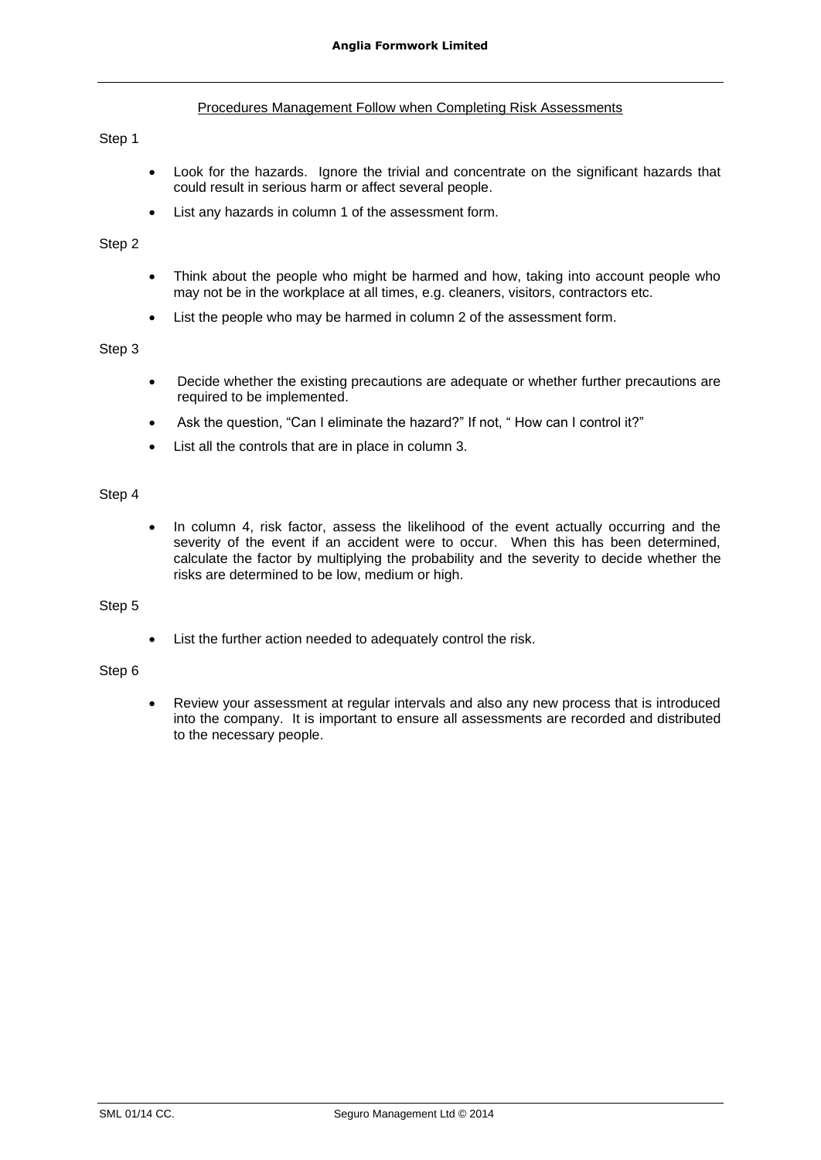# Procedures Management Follow when Completing Risk Assessments

### Step 1

- Look for the hazards. Ignore the trivial and concentrate on the significant hazards that could result in serious harm or affect several people.
- List any hazards in column 1 of the assessment form.

# Step 2

- Think about the people who might be harmed and how, taking into account people who may not be in the workplace at all times, e.g. cleaners, visitors, contractors etc.
- List the people who may be harmed in column 2 of the assessment form.

# Step 3

- Decide whether the existing precautions are adequate or whether further precautions are required to be implemented.
- Ask the question, "Can I eliminate the hazard?" If not, " How can I control it?"
- List all the controls that are in place in column 3.

# Step 4

• In column 4, risk factor, assess the likelihood of the event actually occurring and the severity of the event if an accident were to occur. When this has been determined, calculate the factor by multiplying the probability and the severity to decide whether the risks are determined to be low, medium or high.

#### Step 5

List the further action needed to adequately control the risk.

# Step 6

• Review your assessment at regular intervals and also any new process that is introduced into the company. It is important to ensure all assessments are recorded and distributed to the necessary people.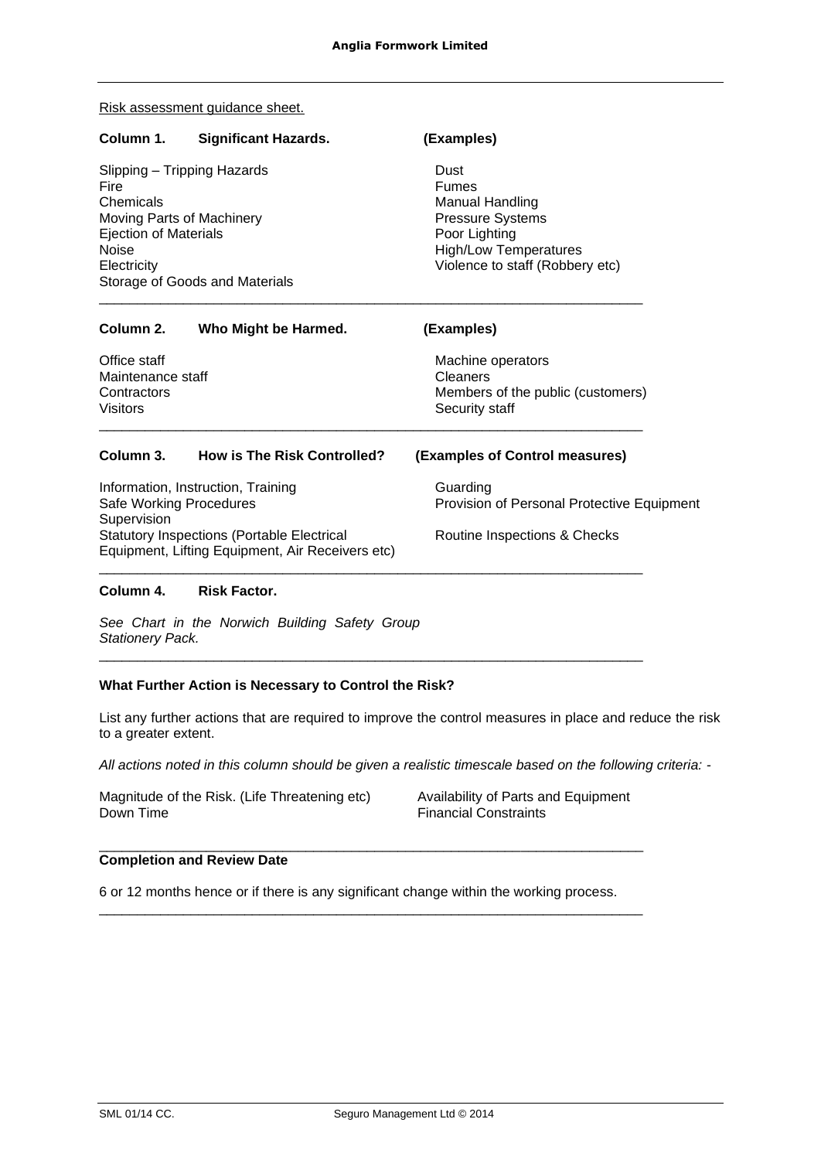Risk assessment guidance sheet.

| Column 1.                                                                                                                                                                      | <b>Significant Hazards.</b>        | (Examples)                                                                                                                                      |
|--------------------------------------------------------------------------------------------------------------------------------------------------------------------------------|------------------------------------|-------------------------------------------------------------------------------------------------------------------------------------------------|
| Slipping – Tripping Hazards<br>Fire<br>Chemicals<br>Moving Parts of Machinery<br><b>Ejection of Materials</b><br><b>Noise</b><br>Electricity<br>Storage of Goods and Materials |                                    | Dust<br><b>Fumes</b><br>Manual Handling<br>Pressure Systems<br>Poor Lighting<br><b>High/Low Temperatures</b><br>Violence to staff (Robbery etc) |
| Column 2.                                                                                                                                                                      | Who Might be Harmed.               | (Examples)                                                                                                                                      |
| Office staff<br>Maintenance staff<br>Contractors<br><b>Visitors</b>                                                                                                            |                                    | Machine operators<br>Cleaners<br>Members of the public (customers)<br>Security staff                                                            |
| Column 3.                                                                                                                                                                      | <b>How is The Risk Controlled?</b> | (Examples of Control measures)                                                                                                                  |
| Information, Instruction, Training<br>Safe Working Procedures<br>Supervision                                                                                                   |                                    | Guarding<br>Provision of Personal Protective Equipment                                                                                          |
| <b>Statutory Inspections (Portable Electrical</b><br>Equipment, Lifting Equipment, Air Receivers etc)                                                                          |                                    | Routine Inspections & Checks                                                                                                                    |
| Column 4.                                                                                                                                                                      | <b>Risk Factor.</b>                |                                                                                                                                                 |

*See Chart in the Norwich Building Safety Group Stationery Pack.* 

# **What Further Action is Necessary to Control the Risk?**

List any further actions that are required to improve the control measures in place and reduce the risk to a greater extent.

\_\_\_\_\_\_\_\_\_\_\_\_\_\_\_\_\_\_\_\_\_\_\_\_\_\_\_\_\_\_\_\_\_\_\_\_\_\_\_\_\_\_\_\_\_\_\_\_\_\_\_\_\_\_\_\_\_\_\_\_\_\_\_\_\_\_\_\_\_\_\_

*All actions noted in this column should be given a realistic timescale based on the following criteria: -*

Magnitude of the Risk. (Life Threatening etc)<br>Down Time

Availability of Parts and Equipment<br>Financial Constraints

# **Completion and Review Date**

6 or 12 months hence or if there is any significant change within the working process.

\_\_\_\_\_\_\_\_\_\_\_\_\_\_\_\_\_\_\_\_\_\_\_\_\_\_\_\_\_\_\_\_\_\_\_\_\_\_\_\_\_\_\_\_\_\_\_\_\_\_\_\_\_\_\_\_\_\_\_\_\_\_\_\_\_\_\_\_\_\_\_

\_\_\_\_\_\_\_\_\_\_\_\_\_\_\_\_\_\_\_\_\_\_\_\_\_\_\_\_\_\_\_\_\_\_\_\_\_\_\_\_\_\_\_\_\_\_\_\_\_\_\_\_\_\_\_\_\_\_\_\_\_\_\_\_\_\_\_\_\_\_\_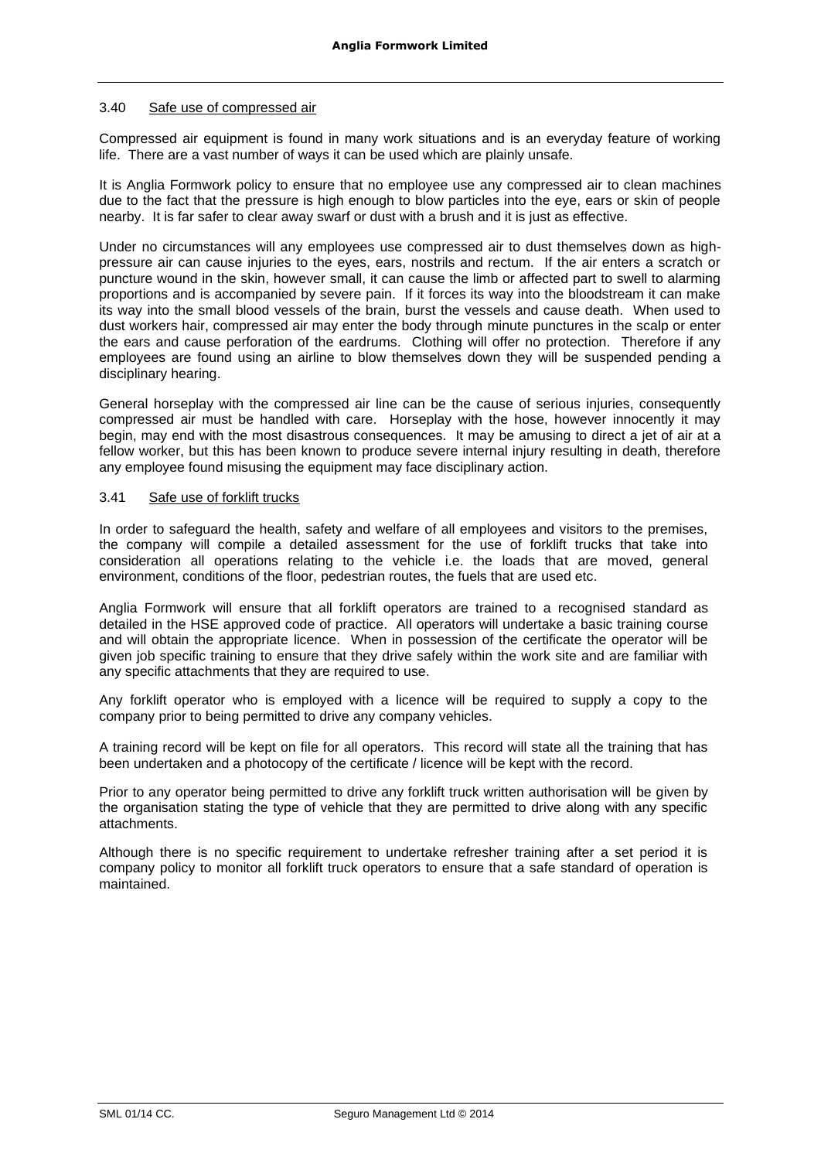# 3.40 Safe use of compressed air

Compressed air equipment is found in many work situations and is an everyday feature of working life. There are a vast number of ways it can be used which are plainly unsafe.

It is Anglia Formwork policy to ensure that no employee use any compressed air to clean machines due to the fact that the pressure is high enough to blow particles into the eye, ears or skin of people nearby. It is far safer to clear away swarf or dust with a brush and it is just as effective.

Under no circumstances will any employees use compressed air to dust themselves down as highpressure air can cause injuries to the eyes, ears, nostrils and rectum. If the air enters a scratch or puncture wound in the skin, however small, it can cause the limb or affected part to swell to alarming proportions and is accompanied by severe pain. If it forces its way into the bloodstream it can make its way into the small blood vessels of the brain, burst the vessels and cause death. When used to dust workers hair, compressed air may enter the body through minute punctures in the scalp or enter the ears and cause perforation of the eardrums. Clothing will offer no protection. Therefore if any employees are found using an airline to blow themselves down they will be suspended pending a disciplinary hearing.

General horseplay with the compressed air line can be the cause of serious injuries, consequently compressed air must be handled with care. Horseplay with the hose, however innocently it may begin, may end with the most disastrous consequences. It may be amusing to direct a jet of air at a fellow worker, but this has been known to produce severe internal injury resulting in death, therefore any employee found misusing the equipment may face disciplinary action.

#### 3.41 Safe use of forklift trucks

In order to safeguard the health, safety and welfare of all employees and visitors to the premises, the company will compile a detailed assessment for the use of forklift trucks that take into consideration all operations relating to the vehicle i.e. the loads that are moved, general environment, conditions of the floor, pedestrian routes, the fuels that are used etc.

Anglia Formwork will ensure that all forklift operators are trained to a recognised standard as detailed in the HSE approved code of practice. All operators will undertake a basic training course and will obtain the appropriate licence. When in possession of the certificate the operator will be given job specific training to ensure that they drive safely within the work site and are familiar with any specific attachments that they are required to use.

Any forklift operator who is employed with a licence will be required to supply a copy to the company prior to being permitted to drive any company vehicles.

A training record will be kept on file for all operators. This record will state all the training that has been undertaken and a photocopy of the certificate / licence will be kept with the record.

Prior to any operator being permitted to drive any forklift truck written authorisation will be given by the organisation stating the type of vehicle that they are permitted to drive along with any specific attachments.

Although there is no specific requirement to undertake refresher training after a set period it is company policy to monitor all forklift truck operators to ensure that a safe standard of operation is maintained.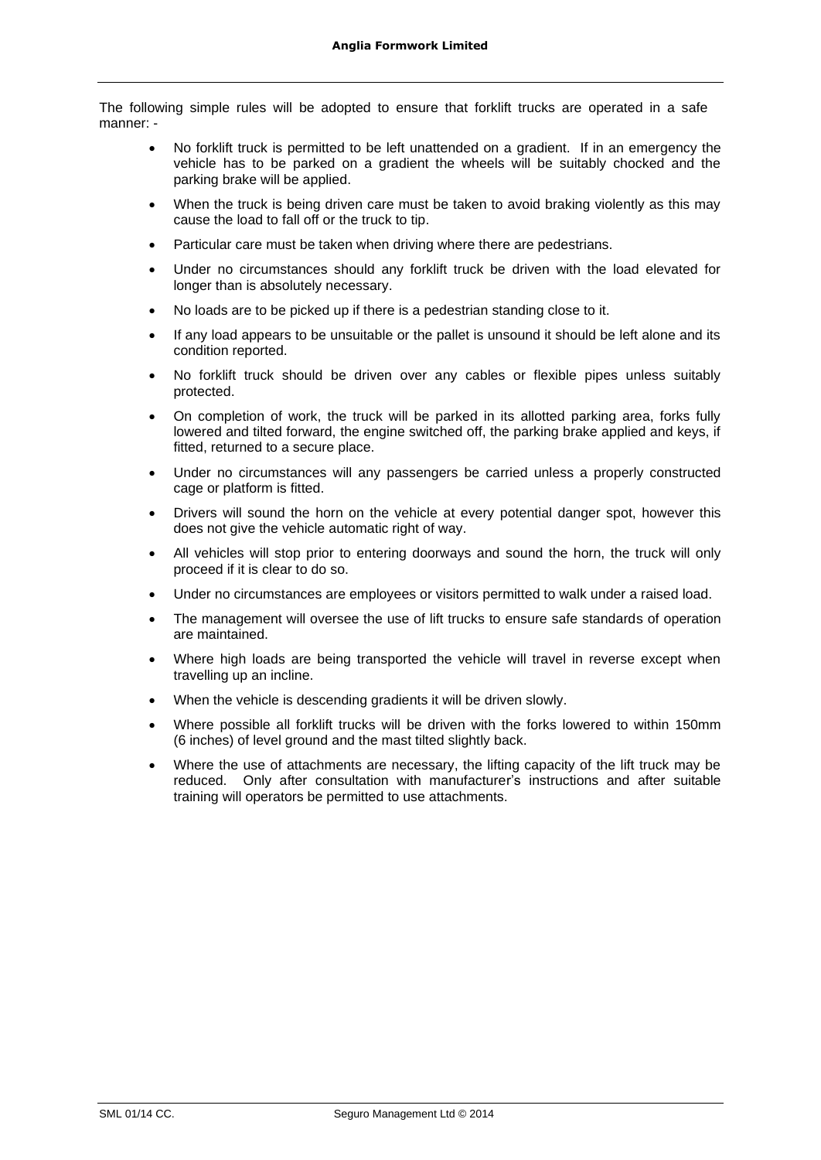The following simple rules will be adopted to ensure that forklift trucks are operated in a safe manner: -

- No forklift truck is permitted to be left unattended on a gradient. If in an emergency the vehicle has to be parked on a gradient the wheels will be suitably chocked and the parking brake will be applied.
- When the truck is being driven care must be taken to avoid braking violently as this may cause the load to fall off or the truck to tip.
- Particular care must be taken when driving where there are pedestrians.
- Under no circumstances should any forklift truck be driven with the load elevated for longer than is absolutely necessary.
- No loads are to be picked up if there is a pedestrian standing close to it.
- If any load appears to be unsuitable or the pallet is unsound it should be left alone and its condition reported.
- No forklift truck should be driven over any cables or flexible pipes unless suitably protected.
- On completion of work, the truck will be parked in its allotted parking area, forks fully lowered and tilted forward, the engine switched off, the parking brake applied and keys, if fitted, returned to a secure place.
- Under no circumstances will any passengers be carried unless a properly constructed cage or platform is fitted.
- Drivers will sound the horn on the vehicle at every potential danger spot, however this does not give the vehicle automatic right of way.
- All vehicles will stop prior to entering doorways and sound the horn, the truck will only proceed if it is clear to do so.
- Under no circumstances are employees or visitors permitted to walk under a raised load.
- The management will oversee the use of lift trucks to ensure safe standards of operation are maintained.
- Where high loads are being transported the vehicle will travel in reverse except when travelling up an incline.
- When the vehicle is descending gradients it will be driven slowly.
- Where possible all forklift trucks will be driven with the forks lowered to within 150mm (6 inches) of level ground and the mast tilted slightly back.
- Where the use of attachments are necessary, the lifting capacity of the lift truck may be reduced. Only after consultation with manufacturer's instructions and after suitable training will operators be permitted to use attachments.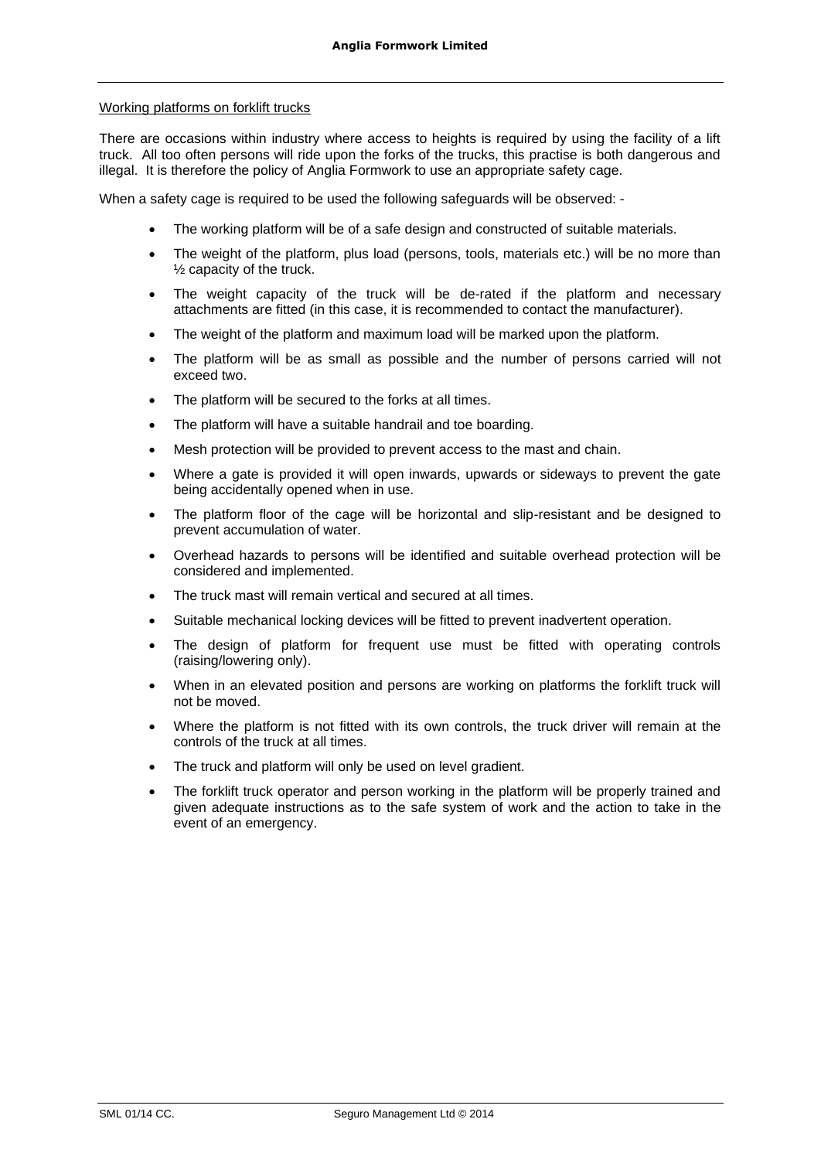# Working platforms on forklift trucks

There are occasions within industry where access to heights is required by using the facility of a lift truck. All too often persons will ride upon the forks of the trucks, this practise is both dangerous and illegal. It is therefore the policy of Anglia Formwork to use an appropriate safety cage.

When a safety cage is required to be used the following safeguards will be observed: -

- The working platform will be of a safe design and constructed of suitable materials.
- The weight of the platform, plus load (persons, tools, materials etc.) will be no more than  $\frac{1}{2}$  capacity of the truck.
- The weight capacity of the truck will be de-rated if the platform and necessary attachments are fitted (in this case, it is recommended to contact the manufacturer).
- The weight of the platform and maximum load will be marked upon the platform.
- The platform will be as small as possible and the number of persons carried will not exceed two.
- The platform will be secured to the forks at all times.
- The platform will have a suitable handrail and toe boarding.
- Mesh protection will be provided to prevent access to the mast and chain.
- Where a gate is provided it will open inwards, upwards or sideways to prevent the gate being accidentally opened when in use.
- The platform floor of the cage will be horizontal and slip-resistant and be designed to prevent accumulation of water.
- Overhead hazards to persons will be identified and suitable overhead protection will be considered and implemented.
- The truck mast will remain vertical and secured at all times.
- Suitable mechanical locking devices will be fitted to prevent inadvertent operation.
- The design of platform for frequent use must be fitted with operating controls (raising/lowering only).
- When in an elevated position and persons are working on platforms the forklift truck will not be moved.
- Where the platform is not fitted with its own controls, the truck driver will remain at the controls of the truck at all times.
- The truck and platform will only be used on level gradient.
- The forklift truck operator and person working in the platform will be properly trained and given adequate instructions as to the safe system of work and the action to take in the event of an emergency.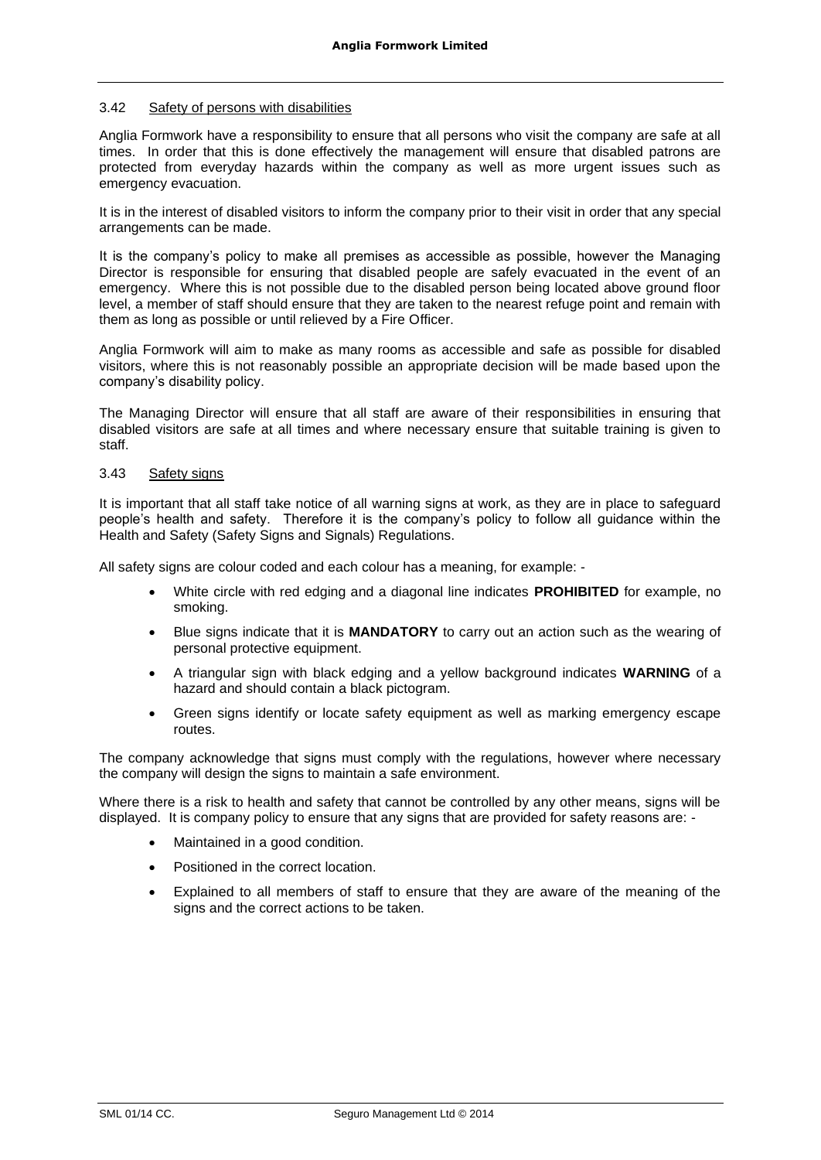### 3.42 Safety of persons with disabilities

Anglia Formwork have a responsibility to ensure that all persons who visit the company are safe at all times. In order that this is done effectively the management will ensure that disabled patrons are protected from everyday hazards within the company as well as more urgent issues such as emergency evacuation.

It is in the interest of disabled visitors to inform the company prior to their visit in order that any special arrangements can be made.

It is the company's policy to make all premises as accessible as possible, however the Managing Director is responsible for ensuring that disabled people are safely evacuated in the event of an emergency. Where this is not possible due to the disabled person being located above ground floor level, a member of staff should ensure that they are taken to the nearest refuge point and remain with them as long as possible or until relieved by a Fire Officer.

Anglia Formwork will aim to make as many rooms as accessible and safe as possible for disabled visitors, where this is not reasonably possible an appropriate decision will be made based upon the company's disability policy.

The Managing Director will ensure that all staff are aware of their responsibilities in ensuring that disabled visitors are safe at all times and where necessary ensure that suitable training is given to staff.

# 3.43 Safety signs

It is important that all staff take notice of all warning signs at work, as they are in place to safeguard people's health and safety. Therefore it is the company's policy to follow all guidance within the Health and Safety (Safety Signs and Signals) Regulations.

All safety signs are colour coded and each colour has a meaning, for example: -

- White circle with red edging and a diagonal line indicates **PROHIBITED** for example, no smoking.
- Blue signs indicate that it is **MANDATORY** to carry out an action such as the wearing of personal protective equipment.
- A triangular sign with black edging and a yellow background indicates **WARNING** of a hazard and should contain a black pictogram.
- Green signs identify or locate safety equipment as well as marking emergency escape routes.

The company acknowledge that signs must comply with the regulations, however where necessary the company will design the signs to maintain a safe environment.

Where there is a risk to health and safety that cannot be controlled by any other means, signs will be displayed. It is company policy to ensure that any signs that are provided for safety reasons are: -

- Maintained in a good condition.
- Positioned in the correct location.
- Explained to all members of staff to ensure that they are aware of the meaning of the signs and the correct actions to be taken.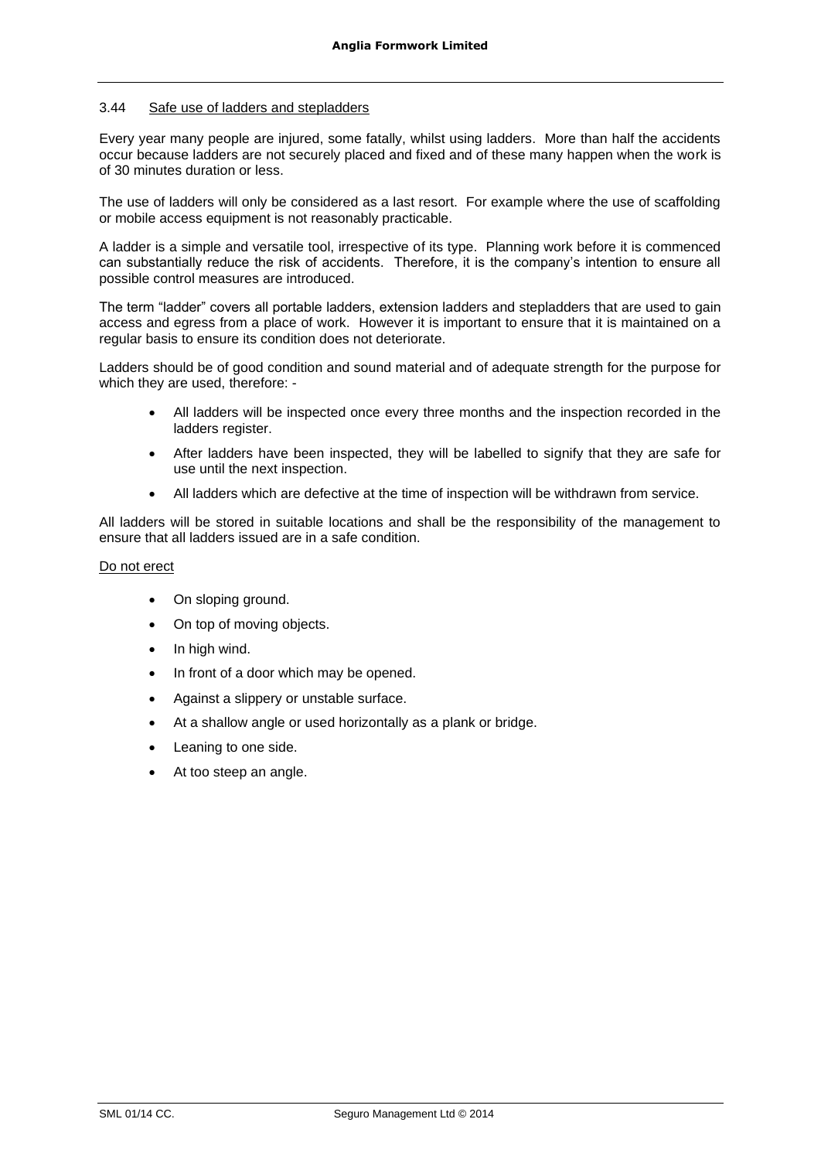# 3.44 Safe use of ladders and stepladders

Every year many people are injured, some fatally, whilst using ladders. More than half the accidents occur because ladders are not securely placed and fixed and of these many happen when the work is of 30 minutes duration or less.

The use of ladders will only be considered as a last resort. For example where the use of scaffolding or mobile access equipment is not reasonably practicable.

A ladder is a simple and versatile tool, irrespective of its type. Planning work before it is commenced can substantially reduce the risk of accidents. Therefore, it is the company's intention to ensure all possible control measures are introduced.

The term "ladder" covers all portable ladders, extension ladders and stepladders that are used to gain access and egress from a place of work. However it is important to ensure that it is maintained on a regular basis to ensure its condition does not deteriorate.

Ladders should be of good condition and sound material and of adequate strength for the purpose for which they are used, therefore: -

- All ladders will be inspected once every three months and the inspection recorded in the ladders register.
- After ladders have been inspected, they will be labelled to signify that they are safe for use until the next inspection.
- All ladders which are defective at the time of inspection will be withdrawn from service.

All ladders will be stored in suitable locations and shall be the responsibility of the management to ensure that all ladders issued are in a safe condition.

#### Do not erect

- On sloping ground.
- On top of moving objects.
- In high wind.
- In front of a door which may be opened.
- Against a slippery or unstable surface.
- At a shallow angle or used horizontally as a plank or bridge.
- Leaning to one side.
- At too steep an angle.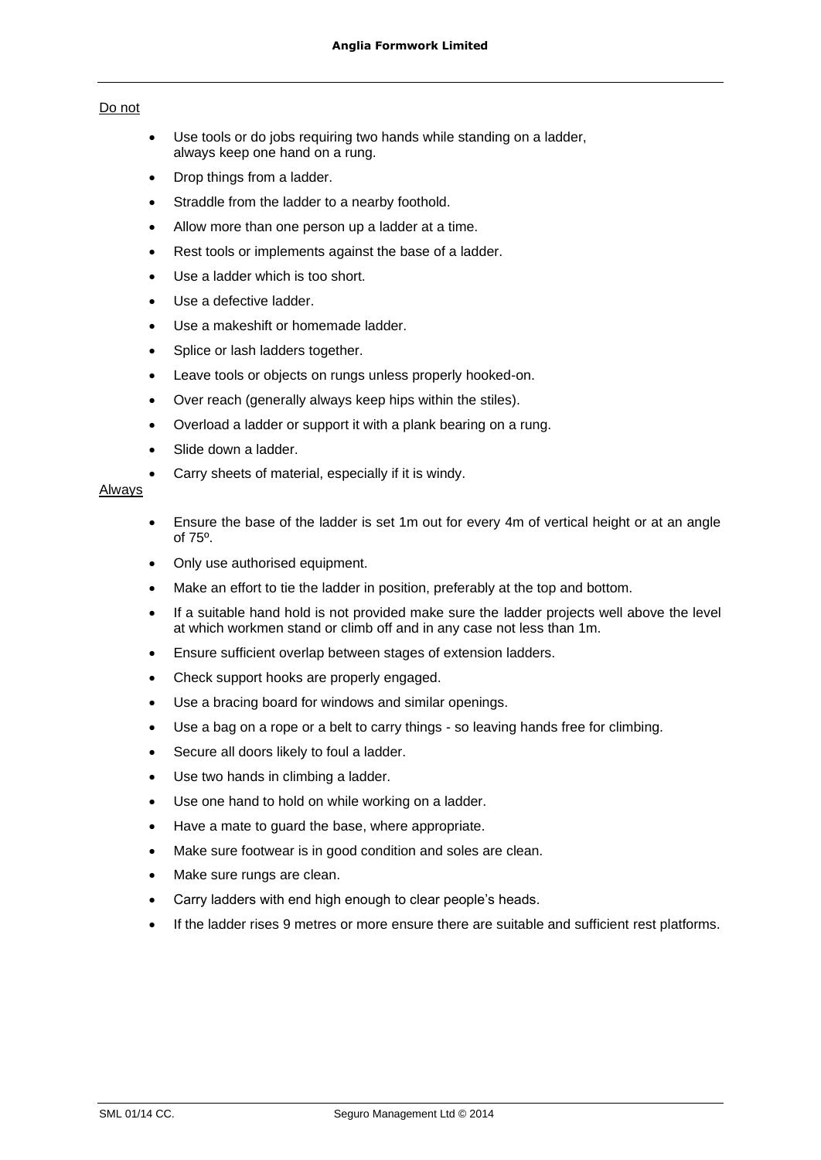# Do not

- Use tools or do jobs requiring two hands while standing on a ladder, always keep one hand on a rung.
- Drop things from a ladder.
- Straddle from the ladder to a nearby foothold.
- Allow more than one person up a ladder at a time.
- Rest tools or implements against the base of a ladder.
- Use a ladder which is too short.
- Use a defective ladder.
- Use a makeshift or homemade ladder.
- Splice or lash ladders together.
- Leave tools or objects on rungs unless properly hooked-on.
- Over reach (generally always keep hips within the stiles).
- Overload a ladder or support it with a plank bearing on a rung.
- Slide down a ladder.
- Carry sheets of material, especially if it is windy.

# **Always**

- Ensure the base of the ladder is set 1m out for every 4m of vertical height or at an angle of 75º.
- Only use authorised equipment.
- Make an effort to tie the ladder in position, preferably at the top and bottom.
- If a suitable hand hold is not provided make sure the ladder projects well above the level at which workmen stand or climb off and in any case not less than 1m.
- Ensure sufficient overlap between stages of extension ladders.
- Check support hooks are properly engaged.
- Use a bracing board for windows and similar openings.
- Use a bag on a rope or a belt to carry things so leaving hands free for climbing.
- Secure all doors likely to foul a ladder.
- Use two hands in climbing a ladder.
- Use one hand to hold on while working on a ladder.
- Have a mate to guard the base, where appropriate.
- Make sure footwear is in good condition and soles are clean.
- Make sure rungs are clean.
- Carry ladders with end high enough to clear people's heads.
- If the ladder rises 9 metres or more ensure there are suitable and sufficient rest platforms.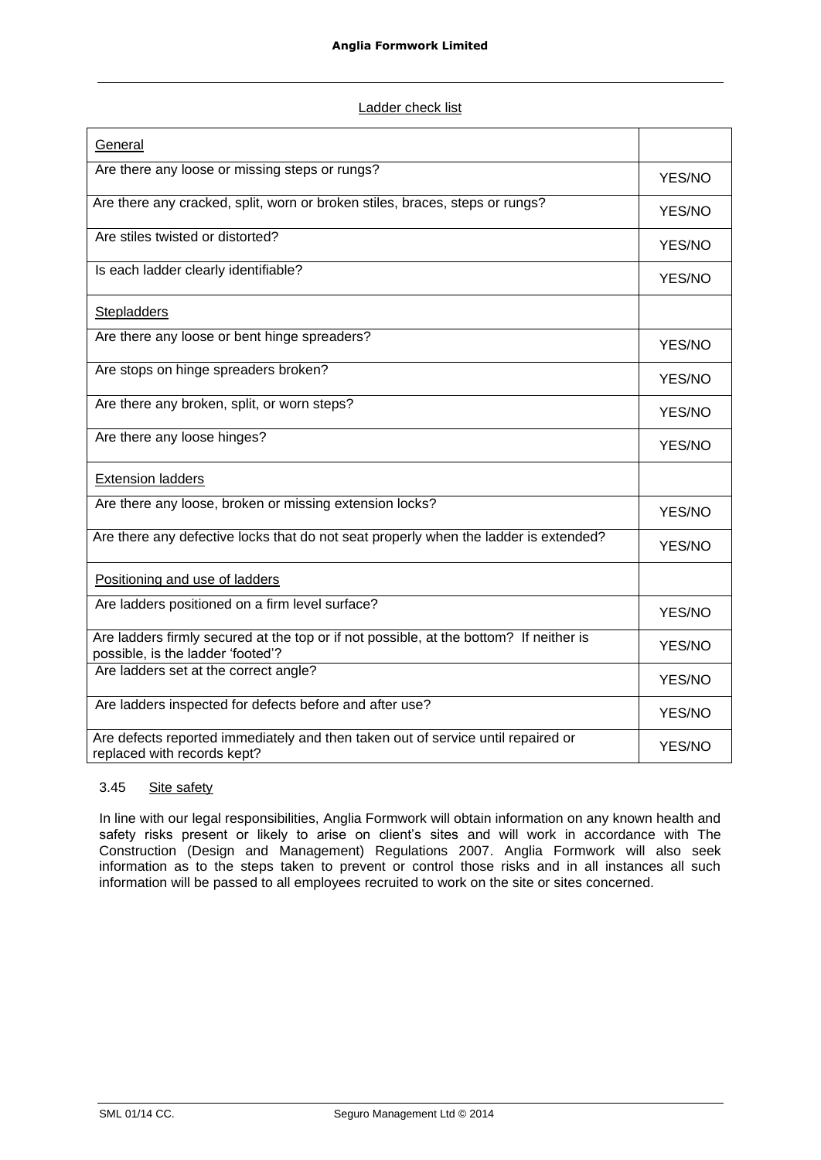|--|

| General                                                                                                                     |        |
|-----------------------------------------------------------------------------------------------------------------------------|--------|
| Are there any loose or missing steps or rungs?                                                                              | YES/NO |
| Are there any cracked, split, worn or broken stiles, braces, steps or rungs?                                                | YES/NO |
| Are stiles twisted or distorted?                                                                                            | YES/NO |
| Is each ladder clearly identifiable?                                                                                        | YES/NO |
| <b>Stepladders</b>                                                                                                          |        |
| Are there any loose or bent hinge spreaders?                                                                                | YES/NO |
| Are stops on hinge spreaders broken?                                                                                        | YES/NO |
| Are there any broken, split, or worn steps?                                                                                 | YES/NO |
| Are there any loose hinges?                                                                                                 | YES/NO |
| <b>Extension ladders</b>                                                                                                    |        |
| Are there any loose, broken or missing extension locks?                                                                     | YES/NO |
| Are there any defective locks that do not seat properly when the ladder is extended?                                        | YES/NO |
| Positioning and use of ladders                                                                                              |        |
| Are ladders positioned on a firm level surface?                                                                             | YES/NO |
| Are ladders firmly secured at the top or if not possible, at the bottom? If neither is<br>possible, is the ladder 'footed'? | YES/NO |
| Are ladders set at the correct angle?                                                                                       | YES/NO |
| Are ladders inspected for defects before and after use?                                                                     | YES/NO |
| Are defects reported immediately and then taken out of service until repaired or<br>replaced with records kept?             | YES/NO |

# 3.45 Site safety

In line with our legal responsibilities, Anglia Formwork will obtain information on any known health and safety risks present or likely to arise on client's sites and will work in accordance with The Construction (Design and Management) Regulations 2007. Anglia Formwork will also seek information as to the steps taken to prevent or control those risks and in all instances all such information will be passed to all employees recruited to work on the site or sites concerned.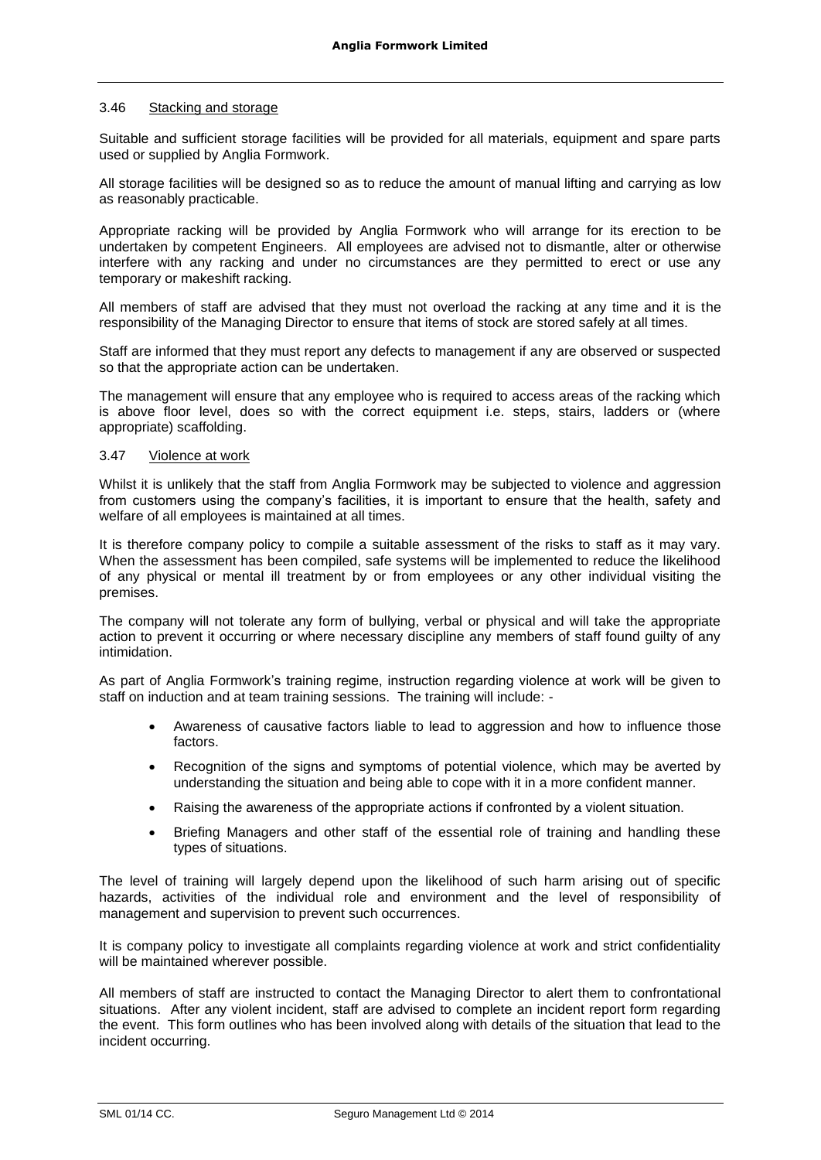### 3.46 Stacking and storage

Suitable and sufficient storage facilities will be provided for all materials, equipment and spare parts used or supplied by Anglia Formwork.

All storage facilities will be designed so as to reduce the amount of manual lifting and carrying as low as reasonably practicable.

Appropriate racking will be provided by Anglia Formwork who will arrange for its erection to be undertaken by competent Engineers. All employees are advised not to dismantle, alter or otherwise interfere with any racking and under no circumstances are they permitted to erect or use any temporary or makeshift racking.

All members of staff are advised that they must not overload the racking at any time and it is the responsibility of the Managing Director to ensure that items of stock are stored safely at all times.

Staff are informed that they must report any defects to management if any are observed or suspected so that the appropriate action can be undertaken.

The management will ensure that any employee who is required to access areas of the racking which is above floor level, does so with the correct equipment i.e. steps, stairs, ladders or (where appropriate) scaffolding.

# 3.47 Violence at work

Whilst it is unlikely that the staff from Anglia Formwork may be subjected to violence and aggression from customers using the company's facilities, it is important to ensure that the health, safety and welfare of all employees is maintained at all times.

It is therefore company policy to compile a suitable assessment of the risks to staff as it may vary. When the assessment has been compiled, safe systems will be implemented to reduce the likelihood of any physical or mental ill treatment by or from employees or any other individual visiting the premises.

The company will not tolerate any form of bullying, verbal or physical and will take the appropriate action to prevent it occurring or where necessary discipline any members of staff found guilty of any intimidation.

As part of Anglia Formwork's training regime, instruction regarding violence at work will be given to staff on induction and at team training sessions. The training will include: -

- Awareness of causative factors liable to lead to aggression and how to influence those factors.
- Recognition of the signs and symptoms of potential violence, which may be averted by understanding the situation and being able to cope with it in a more confident manner.
- Raising the awareness of the appropriate actions if confronted by a violent situation.
- Briefing Managers and other staff of the essential role of training and handling these types of situations.

The level of training will largely depend upon the likelihood of such harm arising out of specific hazards, activities of the individual role and environment and the level of responsibility of management and supervision to prevent such occurrences.

It is company policy to investigate all complaints regarding violence at work and strict confidentiality will be maintained wherever possible.

All members of staff are instructed to contact the Managing Director to alert them to confrontational situations. After any violent incident, staff are advised to complete an incident report form regarding the event. This form outlines who has been involved along with details of the situation that lead to the incident occurring.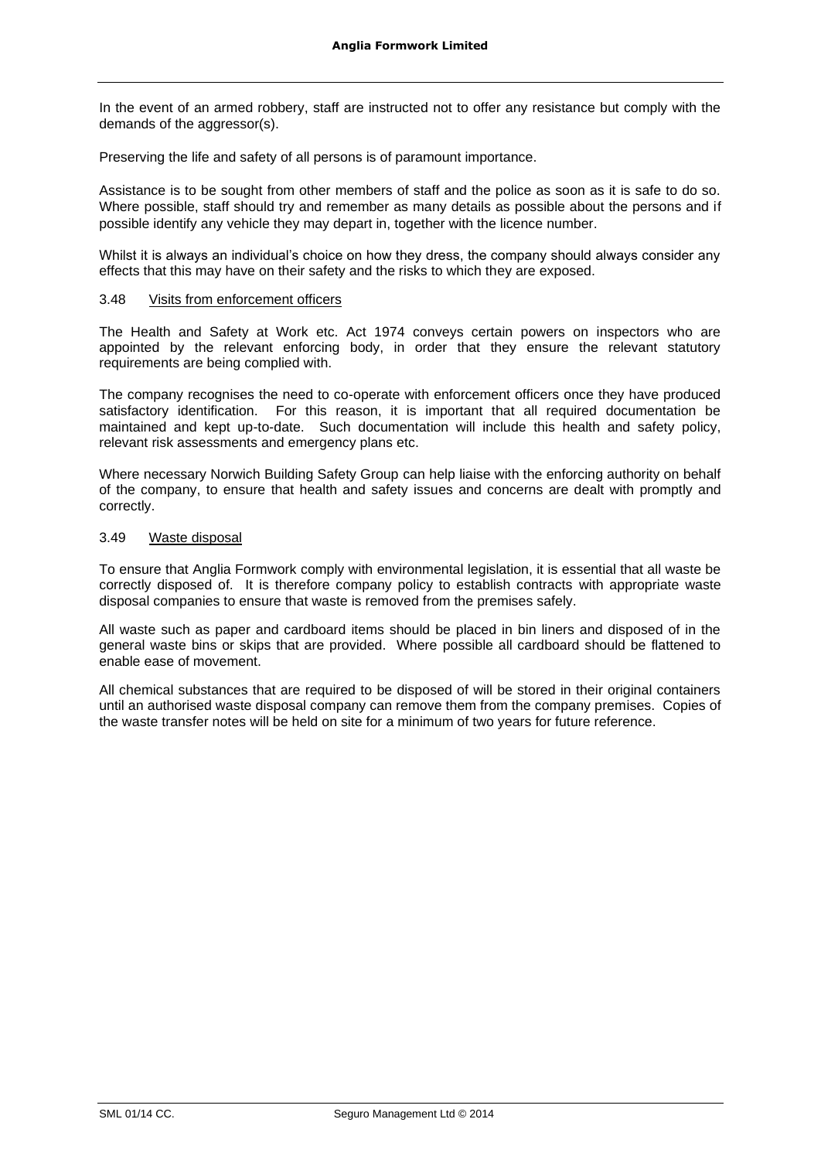In the event of an armed robbery, staff are instructed not to offer any resistance but comply with the demands of the aggressor(s).

Preserving the life and safety of all persons is of paramount importance.

Assistance is to be sought from other members of staff and the police as soon as it is safe to do so. Where possible, staff should try and remember as many details as possible about the persons and if possible identify any vehicle they may depart in, together with the licence number.

Whilst it is always an individual's choice on how they dress, the company should always consider any effects that this may have on their safety and the risks to which they are exposed.

### 3.48 Visits from enforcement officers

The Health and Safety at Work etc. Act 1974 conveys certain powers on inspectors who are appointed by the relevant enforcing body, in order that they ensure the relevant statutory requirements are being complied with.

The company recognises the need to co-operate with enforcement officers once they have produced satisfactory identification. For this reason, it is important that all required documentation be maintained and kept up-to-date. Such documentation will include this health and safety policy, relevant risk assessments and emergency plans etc.

Where necessary Norwich Building Safety Group can help liaise with the enforcing authority on behalf of the company, to ensure that health and safety issues and concerns are dealt with promptly and correctly.

### 3.49 Waste disposal

To ensure that Anglia Formwork comply with environmental legislation, it is essential that all waste be correctly disposed of. It is therefore company policy to establish contracts with appropriate waste disposal companies to ensure that waste is removed from the premises safely.

All waste such as paper and cardboard items should be placed in bin liners and disposed of in the general waste bins or skips that are provided. Where possible all cardboard should be flattened to enable ease of movement.

All chemical substances that are required to be disposed of will be stored in their original containers until an authorised waste disposal company can remove them from the company premises. Copies of the waste transfer notes will be held on site for a minimum of two years for future reference.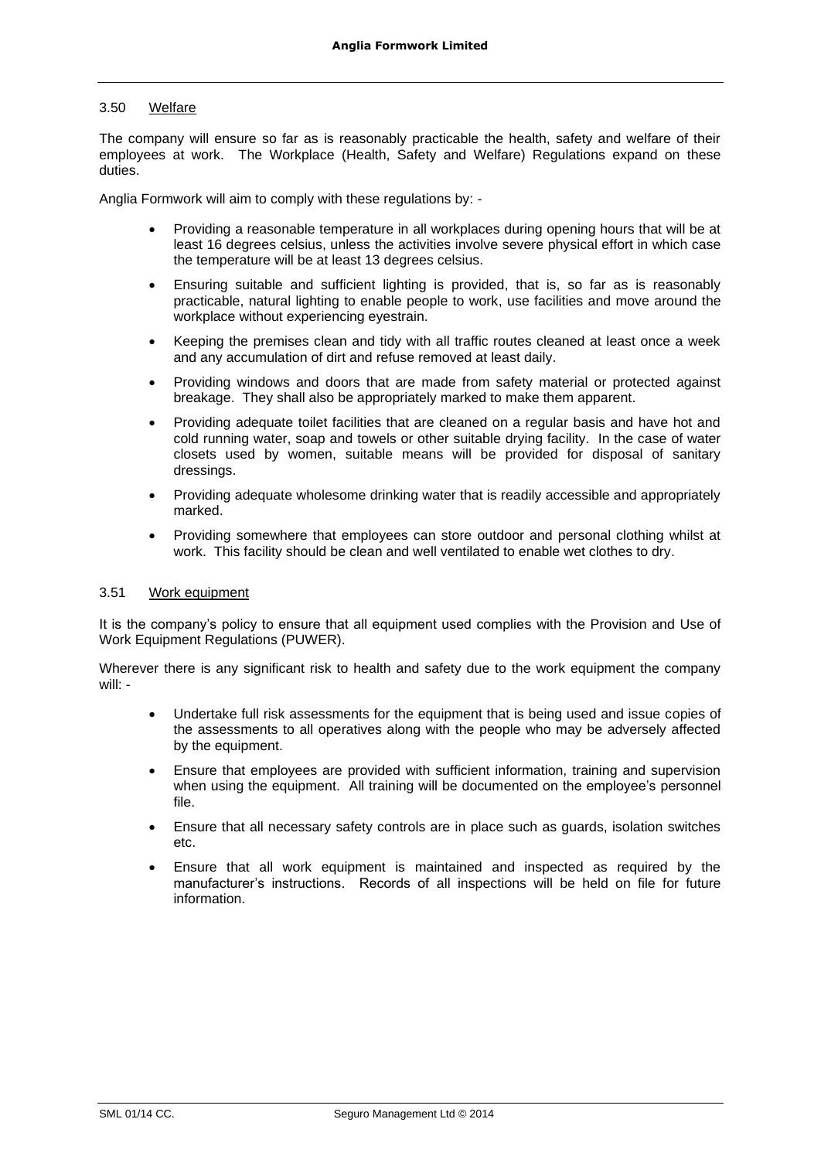# 3.50 Welfare

The company will ensure so far as is reasonably practicable the health, safety and welfare of their employees at work. The Workplace (Health, Safety and Welfare) Regulations expand on these duties.

Anglia Formwork will aim to comply with these regulations by: -

- Providing a reasonable temperature in all workplaces during opening hours that will be at least 16 degrees celsius, unless the activities involve severe physical effort in which case the temperature will be at least 13 degrees celsius.
- Ensuring suitable and sufficient lighting is provided, that is, so far as is reasonably practicable, natural lighting to enable people to work, use facilities and move around the workplace without experiencing eyestrain.
- Keeping the premises clean and tidy with all traffic routes cleaned at least once a week and any accumulation of dirt and refuse removed at least daily.
- Providing windows and doors that are made from safety material or protected against breakage. They shall also be appropriately marked to make them apparent.
- Providing adequate toilet facilities that are cleaned on a regular basis and have hot and cold running water, soap and towels or other suitable drying facility. In the case of water closets used by women, suitable means will be provided for disposal of sanitary dressings.
- Providing adequate wholesome drinking water that is readily accessible and appropriately marked.
- Providing somewhere that employees can store outdoor and personal clothing whilst at work. This facility should be clean and well ventilated to enable wet clothes to dry.

## 3.51 Work equipment

It is the company's policy to ensure that all equipment used complies with the Provision and Use of Work Equipment Regulations (PUWER).

Wherever there is any significant risk to health and safety due to the work equipment the company will: -

- Undertake full risk assessments for the equipment that is being used and issue copies of the assessments to all operatives along with the people who may be adversely affected by the equipment.
- Ensure that employees are provided with sufficient information, training and supervision when using the equipment. All training will be documented on the employee's personnel file.
- Ensure that all necessary safety controls are in place such as guards, isolation switches etc.
- Ensure that all work equipment is maintained and inspected as required by the manufacturer's instructions. Records of all inspections will be held on file for future information.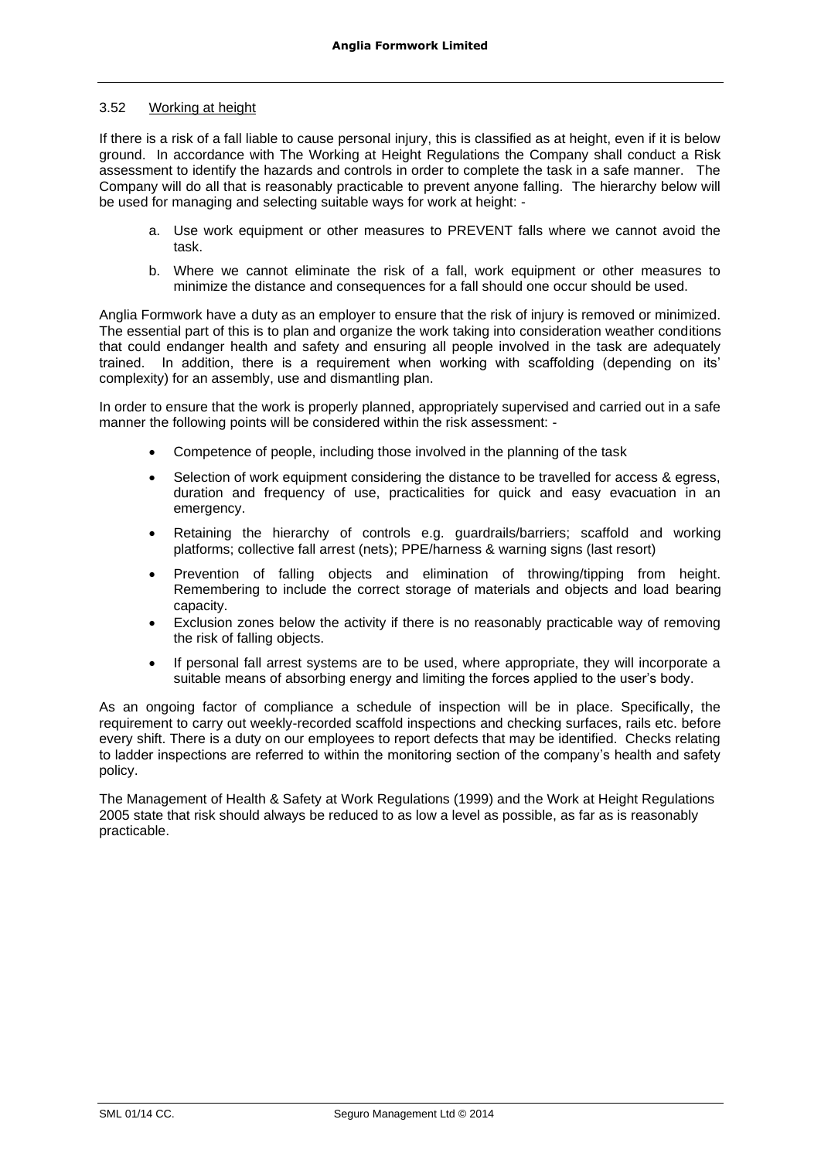# 3.52 Working at height

If there is a risk of a fall liable to cause personal injury, this is classified as at height, even if it is below ground. In accordance with The Working at Height Regulations the Company shall conduct a Risk assessment to identify the hazards and controls in order to complete the task in a safe manner. The Company will do all that is reasonably practicable to prevent anyone falling. The hierarchy below will be used for managing and selecting suitable ways for work at height: -

- a. Use work equipment or other measures to PREVENT falls where we cannot avoid the task.
- b. Where we cannot eliminate the risk of a fall, work equipment or other measures to minimize the distance and consequences for a fall should one occur should be used.

Anglia Formwork have a duty as an employer to ensure that the risk of injury is removed or minimized. The essential part of this is to plan and organize the work taking into consideration weather conditions that could endanger health and safety and ensuring all people involved in the task are adequately trained. In addition, there is a requirement when working with scaffolding (depending on its' complexity) for an assembly, use and dismantling plan.

In order to ensure that the work is properly planned, appropriately supervised and carried out in a safe manner the following points will be considered within the risk assessment: -

- Competence of people, including those involved in the planning of the task
- Selection of work equipment considering the distance to be travelled for access & egress, duration and frequency of use, practicalities for quick and easy evacuation in an emergency.
- Retaining the hierarchy of controls e.g. guardrails/barriers; scaffold and working platforms; collective fall arrest (nets); PPE/harness & warning signs (last resort)
- Prevention of falling objects and elimination of throwing/tipping from height. Remembering to include the correct storage of materials and objects and load bearing capacity.
- Exclusion zones below the activity if there is no reasonably practicable way of removing the risk of falling objects.
- If personal fall arrest systems are to be used, where appropriate, they will incorporate a suitable means of absorbing energy and limiting the forces applied to the user's body.

As an ongoing factor of compliance a schedule of inspection will be in place. Specifically, the requirement to carry out weekly-recorded scaffold inspections and checking surfaces, rails etc. before every shift. There is a duty on our employees to report defects that may be identified. Checks relating to ladder inspections are referred to within the monitoring section of the company's health and safety policy.

The Management of Health & Safety at Work Regulations (1999) and the Work at Height Regulations 2005 state that risk should always be reduced to as low a level as possible, as far as is reasonably practicable.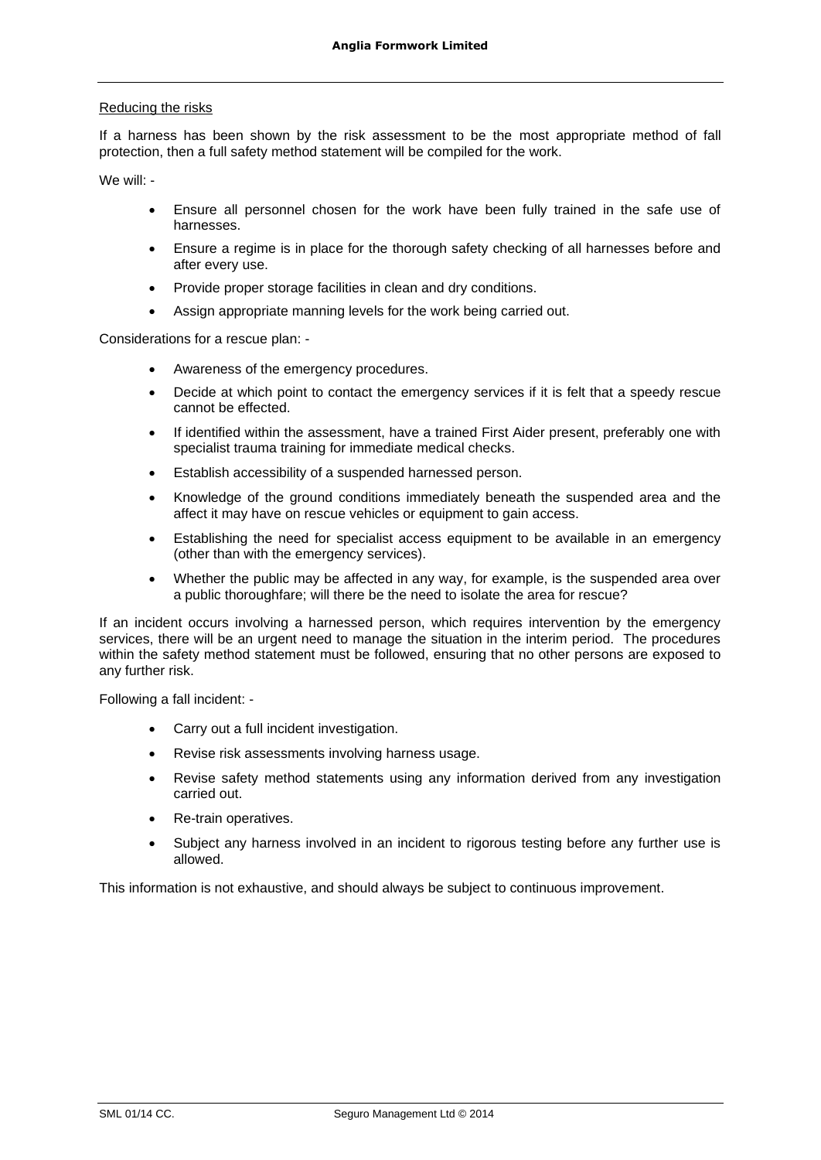# Reducing the risks

If a harness has been shown by the risk assessment to be the most appropriate method of fall protection, then a full safety method statement will be compiled for the work.

We will: -

- Ensure all personnel chosen for the work have been fully trained in the safe use of harnesses.
- Ensure a regime is in place for the thorough safety checking of all harnesses before and after every use.
- Provide proper storage facilities in clean and dry conditions.
- Assign appropriate manning levels for the work being carried out.

Considerations for a rescue plan: -

- Awareness of the emergency procedures.
- Decide at which point to contact the emergency services if it is felt that a speedy rescue cannot be effected.
- If identified within the assessment, have a trained First Aider present, preferably one with specialist trauma training for immediate medical checks.
- Establish accessibility of a suspended harnessed person.
- Knowledge of the ground conditions immediately beneath the suspended area and the affect it may have on rescue vehicles or equipment to gain access.
- Establishing the need for specialist access equipment to be available in an emergency (other than with the emergency services).
- Whether the public may be affected in any way, for example, is the suspended area over a public thoroughfare; will there be the need to isolate the area for rescue?

If an incident occurs involving a harnessed person, which requires intervention by the emergency services, there will be an urgent need to manage the situation in the interim period. The procedures within the safety method statement must be followed, ensuring that no other persons are exposed to any further risk.

Following a fall incident: -

- Carry out a full incident investigation.
- Revise risk assessments involving harness usage.
- Revise safety method statements using any information derived from any investigation carried out.
- Re-train operatives.
- Subject any harness involved in an incident to rigorous testing before any further use is allowed.

This information is not exhaustive, and should always be subject to continuous improvement.